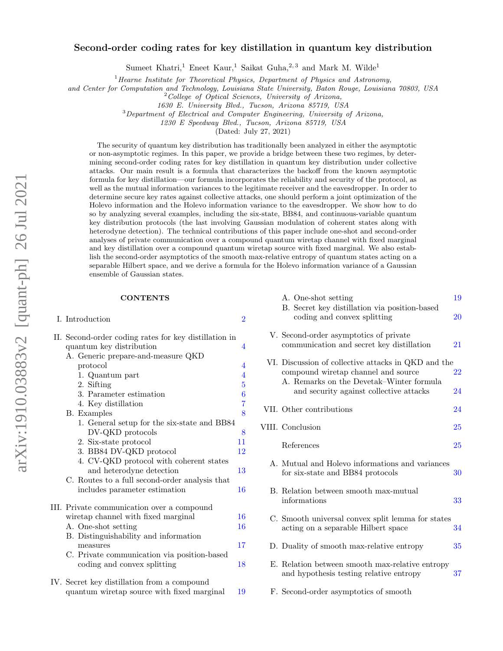# arXiv:1910.03883v2 [quant-ph] 26 Jul 2021 arXiv:1910.03883v2 [quant-ph] 26 Jul 2021

# Second-order coding rates for key distillation in quantum key distribution

Sumeet Khatri,<sup>1</sup> Eneet Kaur,<sup>1</sup> Saikat Guha,<sup>2,3</sup> and Mark M. Wilde<sup>1</sup>

 $1$ <sup>1</sup>Hearne Institute for Theoretical Physics, Department of Physics and Astronomy,

and Center for Computation and Technology, Louisiana State University, Baton Rouge, Louisiana 70803, USA

<sup>2</sup>College of Optical Sciences, University of Arizona,

1630 E. University Blvd., Tucson, Arizona 85719, USA

<sup>3</sup>Department of Electrical and Computer Engineering, University of Arizona,

1230 E Speedway Blvd., Tucson, Arizona 85719, USA

(Dated: July 27, 2021)

The security of quantum key distribution has traditionally been analyzed in either the asymptotic or non-asymptotic regimes. In this paper, we provide a bridge between these two regimes, by determining second-order coding rates for key distillation in quantum key distribution under collective attacks. Our main result is a formula that characterizes the backoff from the known asymptotic formula for key distillation—our formula incorporates the reliability and security of the protocol, as well as the mutual information variances to the legitimate receiver and the eavesdropper. In order to determine secure key rates against collective attacks, one should perform a joint optimization of the Holevo information and the Holevo information variance to the eavesdropper. We show how to do so by analyzing several examples, including the six-state, BB84, and continuous-variable quantum key distribution protocols (the last involving Gaussian modulation of coherent states along with heterodyne detection). The technical contributions of this paper include one-shot and second-order analyses of private communication over a compound quantum wiretap channel with fixed marginal and key distillation over a compound quantum wiretap source with fixed marginal. We also establish the second-order asymptotics of the smooth max-relative entropy of quantum states acting on a separable Hilbert space, and we derive a formula for the Holevo information variance of a Gaussian ensemble of Gaussian states.

# **CONTENTS**

I. Introduction [2](#page-1-0) II. Second-order coding rates for key distillation in quantum key distribution [4](#page-3-0) A. Generic prepare-and-measure QKD protocol [4](#page-3-1) 1. Quantum part [4](#page-3-2)<br>2. Sifting 5 2. Sifting 3. Parameter estimation [6](#page-5-0)<br>4. Key distillation 7 4. Key distillation B. Examples [8](#page-7-0) 1. General setup for the six-state and BB84 DV-QKD protocols [8](#page-7-1) 2. Six-state protocol [11](#page-10-0) 3. BB84 DV-QKD protocol [12](#page-11-0) 4. CV-QKD protocol with coherent states and heterodyne detection [13](#page-12-0) C. Routes to a full second-order analysis that includes parameter estimation [16](#page-15-0) III. Private communication over a compound wiretap channel with fixed marginal [16](#page-15-1) A. One-shot setting [16](#page-15-2) B. Distinguishability and information measures [17](#page-16-0)

- C. Private communication via position-based coding and convex splitting [18](#page-17-0)
- IV. Secret key distillation from a compound quantum wiretap source with fixed marginal [19](#page-18-0)

| A. One-shot setting<br>B. Secret key distillation via position-based<br>coding and convex splitting                                    | 19<br>20 |
|----------------------------------------------------------------------------------------------------------------------------------------|----------|
| V. Second-order asymptotics of private<br>communication and secret key distillation                                                    | 21       |
| VI. Discussion of collective attacks in QKD and the<br>compound wiretap channel and source<br>A. Remarks on the Devetak–Winter formula | $22\,$   |
| and security against collective attacks                                                                                                | 24       |
| VII. Other contributions                                                                                                               | 24       |
| VIII. Conclusion                                                                                                                       | 25       |
| References                                                                                                                             | $25\,$   |
| A. Mutual and Holevo informations and variances<br>for six-state and BB84 protocols                                                    | 30       |
| B. Relation between smooth max-mutual<br>informations                                                                                  | 33       |
| C. Smooth universal convex split lemma for states<br>acting on a separable Hilbert space                                               | 34       |
| D. Duality of smooth max-relative entropy                                                                                              | 35       |
| E. Relation between smooth max-relative entropy<br>and hypothesis testing relative entropy                                             | 37       |
| F. Second-order asymptotics of smooth                                                                                                  |          |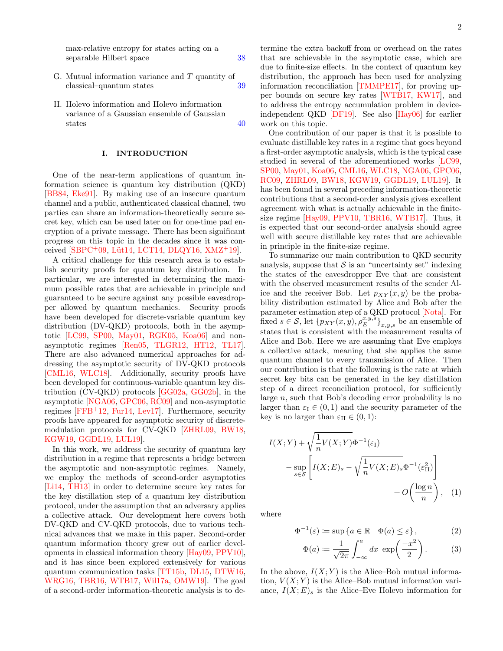max-relative entropy for states acting on a separable Hilbert space [38](#page-37-0)

- G. Mutual information variance and T quantity of classical–quantum states [39](#page-38-0)
- H. Holevo information and Holevo information variance of a Gaussian ensemble of Gaussian states [40](#page-39-0)

### <span id="page-1-0"></span>I. INTRODUCTION

One of the near-term applications of quantum information science is quantum key distribution (QKD) [\[BB84,](#page-25-0) [Eke91\]](#page-26-0). By making use of an insecure quantum channel and a public, authenticated classical channel, two parties can share an information-theoretically secure secret key, which can be used later on for one-time pad encryption of a private message. There has been significant progress on this topic in the decades since it was conceived  $[SBPC<sup>+</sup>09, Lüt14, LCT14, DLQY16, XML<sup>+</sup>19]$  $[SBPC<sup>+</sup>09, Lüt14, LCT14, DLQY16, XML<sup>+</sup>19]$  $[SBPC<sup>+</sup>09, Lüt14, LCT14, DLQY16, XML<sup>+</sup>19]$  $[SBPC<sup>+</sup>09, Lüt14, LCT14, DLQY16, XML<sup>+</sup>19]$  $[SBPC<sup>+</sup>09, Lüt14, LCT14, DLQY16, XML<sup>+</sup>19]$  $[SBPC<sup>+</sup>09, Lüt14, LCT14, DLQY16, XML<sup>+</sup>19]$ .

A critical challenge for this research area is to establish security proofs for quantum key distribution. In particular, we are interested in determining the maximum possible rates that are achievable in principle and guaranteed to be secure against any possible eavesdropper allowed by quantum mechanics. Security proofs have been developed for discrete-variable quantum key distribution (DV-QKD) protocols, both in the asymptotic [\[LC99,](#page-27-2) [SP00,](#page-28-1) [May01,](#page-27-3) [RGK05,](#page-28-2) [Koa06\]](#page-27-4) and nonasymptotic regimes [\[Ren05,](#page-28-3) [TLGR12,](#page-28-4) [HT12,](#page-26-2) [TL17\]](#page-28-5). There are also advanced numerical approaches for addressing the asymptotic security of DV-QKD protocols [\[CML16,](#page-25-1) [WLC18\]](#page-29-2). Additionally, security proofs have been developed for continuous-variable quantum key distribution (CV-QKD) protocols [\[GG02a,](#page-26-3) [GG02b\]](#page-26-4), in the asymptotic [\[NGA06,](#page-27-5) [GPC06,](#page-26-5) [RC09\]](#page-28-6) and non-asymptotic regimes  $[FFB+12, Fur14, Lev17]$  $[FFB+12, Fur14, Lev17]$  $[FFB+12, Fur14, Lev17]$  $[FFB+12, Fur14, Lev17]$  $[FFB+12, Fur14, Lev17]$ . Furthermore, security proofs have appeared for asymptotic security of discretemodulation protocols for CV-QKD [\[ZHRL09,](#page-29-3) [BW18,](#page-25-2) [KGW19,](#page-27-7) [GGDL19,](#page-26-8) [LUL19\]](#page-27-8).

In this work, we address the security of quantum key distribution in a regime that represents a bridge between the asymptotic and non-asymptotic regimes. Namely, we employ the methods of second-order asymptotics [\[Li14,](#page-27-9) [TH13\]](#page-28-7) in order to determine secure key rates for the key distillation step of a quantum key distribution protocol, under the assumption that an adversary applies a collective attack. Our development here covers both DV-QKD and CV-QKD protocols, due to various technical advances that we make in this paper. Second-order quantum information theory grew out of earlier developments in classical information theory [\[Hay09,](#page-26-9) [PPV10\]](#page-28-8), and it has since been explored extensively for various quantum communication tasks [\[TT15b,](#page-28-9) [DL15,](#page-26-10) [DTW16,](#page-26-11) [WRG16,](#page-29-4) [TBR16,](#page-28-10) [WTB17,](#page-29-5) [Wil17a,](#page-29-6) [OMW19\]](#page-27-10). The goal of a second-order information-theoretic analysis is to de-

termine the extra backoff from or overhead on the rates that are achievable in the asymptotic case, which are due to finite-size effects. In the context of quantum key distribution, the approach has been used for analyzing information reconciliation [\[TMMPE17\]](#page-28-11), for proving upper bounds on secure key rates [\[WTB17,](#page-29-5) [KW17\]](#page-27-11), and to address the entropy accumulation problem in deviceindependent QKD [\[DF19\]](#page-26-12). See also [\[Hay06\]](#page-26-13) for earlier work on this topic.

One contribution of our paper is that it is possible to evaluate distillable key rates in a regime that goes beyond a first-order asymptotic analysis, which is the typical case studied in several of the aforementioned works [\[LC99,](#page-27-2) [SP00,](#page-28-1) [May01,](#page-27-3) [Koa06,](#page-27-4) [CML16,](#page-25-1) [WLC18,](#page-29-2) [NGA06,](#page-27-5) [GPC06,](#page-26-5) [RC09,](#page-28-6) [ZHRL09,](#page-29-3) [BW18,](#page-25-2) [KGW19,](#page-27-7) [GGDL19,](#page-26-8) [LUL19\]](#page-27-8). It has been found in several preceding information-theoretic contributions that a second-order analysis gives excellent agreement with what is actually achievable in the finitesize regime [\[Hay09,](#page-26-9) [PPV10,](#page-28-8) [TBR16,](#page-28-10) [WTB17\]](#page-29-5). Thus, it is expected that our second-order analysis should agree well with secure distillable key rates that are achievable in principle in the finite-size regime.

To summarize our main contribution to QKD security analysis, suppose that  $\mathcal S$  is an "uncertainty set" indexing the states of the eavesdropper Eve that are consistent with the observed measurement results of the sender Alice and the receiver Bob. Let  $p_{XY}(x, y)$  be the probability distribution estimated by Alice and Bob after the parameter estimation step of a QKD protocol [\[Nota\]](#page-27-12). For fixed  $s \in \mathcal{S}$ , let  $\{p_{XY}(x,y), \rho_E^{x,y,s}\}_{x,y,s}$  be an ensemble of states that is consistent with the measurement results of Alice and Bob. Here we are assuming that Eve employs a collective attack, meaning that she applies the same quantum channel to every transmission of Alice. Then our contribution is that the following is the rate at which secret key bits can be generated in the key distillation step of a direct reconciliation protocol, for sufficiently large n, such that Bob's decoding error probability is no larger than  $\varepsilon_{I} \in (0,1)$  and the security parameter of the key is no larger than  $\varepsilon_{\text{II}} \in (0,1)$ :

$$
I(X;Y) + \sqrt{\frac{1}{n}V(X;Y)}\Phi^{-1}(\varepsilon_{I})
$$
  

$$
-\sup_{s\in\mathcal{S}}\left[I(X;E)_{s} - \sqrt{\frac{1}{n}V(X;E)_{s}}\Phi^{-1}(\varepsilon_{II}^{2})\right]
$$
  

$$
+ O\left(\frac{\log n}{n}\right), \quad (1)
$$

where

$$
\Phi^{-1}(\varepsilon) \coloneqq \sup \{ a \in \mathbb{R} \mid \Phi(a) \le \varepsilon \},\tag{2}
$$

<span id="page-1-2"></span><span id="page-1-1"></span>
$$
\Phi(a) \coloneqq \frac{1}{\sqrt{2\pi}} \int_{-\infty}^{a} dx \, \exp\left(\frac{-x^2}{2}\right). \tag{3}
$$

In the above,  $I(X; Y)$  is the Alice–Bob mutual information,  $V(X;Y)$  is the Alice–Bob mutual information variance,  $I(X; E)$ <sub>s</sub> is the Alice–Eve Holevo information for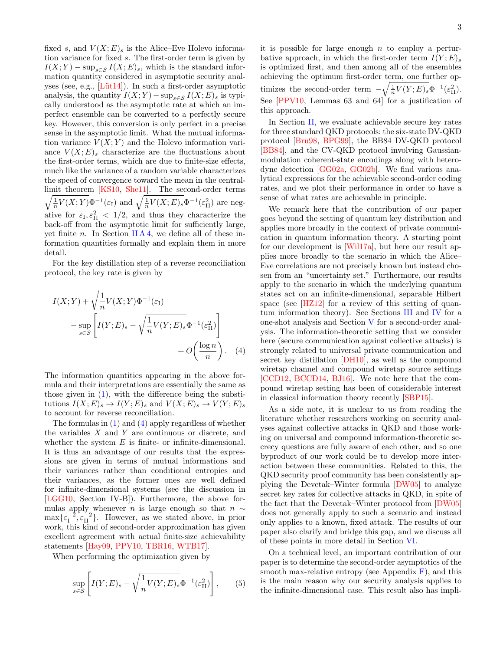fixed s, and  $V(X; E)$  is the Alice–Eve Holevo information variance for fixed s. The first-order term is given by  $I(X; Y) - \sup_{s \in \mathcal{S}} I(X; E)_{s}$ , which is the standard information quantity considered in asymptotic security analyses (see, e.g.,  $[Lüt14]$ ). In such a first-order asymptotic analysis, the quantity  $I(X;Y) - \sup_{s \in \mathcal{S}} I(X;E)$  is typically understood as the asymptotic rate at which an imperfect ensemble can be converted to a perfectly secure key. However, this conversion is only perfect in a precise sense in the asymptotic limit. What the mutual information variance  $V(X;Y)$  and the Holevo information variance  $V(X; E)$  characterize are the fluctuations about the first-order terms, which are due to finite-size effects, much like the variance of a random variable characterizes the speed of convergence toward the mean in the centrallimit theorem [ [KS10,](#page-27-13) [She11\]](#page-28-12). The second-order terms  $\sqrt{\frac{1}{n}V(X;Y)}\Phi^{-1}(\varepsilon_{I})$  and  $\sqrt{\frac{1}{n}V(X;E)_{s}}\Phi^{-1}(\varepsilon_{II}^{2})$  are negative for  $\varepsilon_{\text{I}}$ ,  $\varepsilon_{\text{II}}^2$  < 1/2, and thus they characterize the back-off from the asymptotic limit for sufficiently large, yet finite *n*. In Section [II A 4,](#page-6-0) we define all of these information quantities formally and explain them in more detail.

For the key distillation step of a reverse reconciliation protocol, the key rate is given by

$$
I(X;Y) + \sqrt{\frac{1}{n}V(X;Y)}\Phi^{-1}(\varepsilon_{I})
$$
  

$$
-\sup_{s \in S} \left[ I(Y;E)_{s} - \sqrt{\frac{1}{n}V(Y;E)_{s}}\Phi^{-1}(\varepsilon_{II}^{2}) \right]
$$
  

$$
+ O\left(\frac{\log n}{n}\right). \quad (4)
$$

The information quantities appearing in the above formula and their interpretations are essentially the same as those given in [\(1\)](#page-1-1), with the difference being the substitutions  $I(X; E)_s \to I(Y; E)_s$  and  $V(X; E)_s \to V(Y; E)_s$ to account for reverse reconciliation.

The formulas in [\(1\)](#page-1-1) and [\(4\)](#page-2-0) apply regardless of whether the variables  $X$  and  $Y$  are continuous or discrete, and whether the system  $E$  is finite- or infinite-dimensional. It is thus an advantage of our results that the expressions are given in terms of mutual informations and their variances rather than conditional entropies and their variances, as the former ones are well defined for infinite-dimensional systems (see the discussion in [\[LGG10,](#page-27-14) Section IV-B]). Furthermore, the above formulas apply whenever *n* is large enough so that  $n \sim$  $\max{\{\varepsilon_1^{-2}, \varepsilon_1^{-2}\}}$ . However, as we stated above, in prior work, this kind of second-order approximation has given excellent agreement with actual finite-size achievability statements [\[Hay09,](#page-26-9) [PPV10,](#page-28-8) [TBR16,](#page-28-10) [WTB17\]](#page-29-5).

When performing the optimization given by

$$
\sup_{s \in \mathcal{S}} \left[ I(Y;E)_s - \sqrt{\frac{1}{n} V(Y;E)_s} \Phi^{-1}(\varepsilon_{\text{II}}^2) \right],\tag{5}
$$

it is possible for large enough  $n$  to employ a perturbative approach, in which the first-order term  $I(Y;E)_{s}$ is optimized first, and then among all of the ensembles achieving the optimum first-order term, one further optimizes the second-order term  $-\sqrt{\frac{1}{n}V(Y;E)}s^{\Phi^{-1}}(\varepsilon_{\text{II}}^2)$ . See [\[PPV10,](#page-28-8) Lemmas 63 and 64] for a justification of this approach.

In Section [II,](#page-3-0) we evaluate achievable secure key rates for three standard QKD protocols: the six-state DV-QKD protocol [\[Bru98,](#page-25-3) [BPG99\]](#page-25-4), the BB84 DV-QKD protocol [\[BB84\]](#page-25-0), and the CV-QKD protocol involving Gaussianmodulation coherent-state encodings along with heterodyne detection [\[GG02a,](#page-26-3) [GG02b\]](#page-26-4). We find various analytical expressions for the achievable second-order coding rates, and we plot their performance in order to have a sense of what rates are achievable in principle.

We remark here that the contribution of our paper goes beyond the setting of quantum key distribution and applies more broadly in the context of private communication in quantum information theory. A starting point for our development is [\[Wil17a\]](#page-29-6), but here our result applies more broadly to the scenario in which the Alice– Eve correlations are not precisely known but instead chosen from an "uncertainty set." Furthermore, our results apply to the scenario in which the underlying quantum states act on an infinite-dimensional, separable Hilbert space (see [\[HZ12\]](#page-26-14) for a review of this setting of quantum information theory). See Sections [III](#page-15-1) and [IV](#page-18-0) for a one-shot analysis and Section [V](#page-20-0) for a second-order analysis. The information-theoretic setting that we consider here (secure communication against collective attacks) is strongly related to universal private communication and secret key distillation [\[DH10\]](#page-26-15), as well as the compound wiretap channel and compound wiretap source settings [\[CCD12,](#page-25-5) [BCCD14,](#page-25-6) [BJ16\]](#page-25-7). We note here that the compound wiretap setting has been of considerable interest in classical information theory recently [\[SBP15\]](#page-28-13).

<span id="page-2-0"></span>As a side note, it is unclear to us from reading the literature whether researchers working on security analyses against collective attacks in QKD and those working on universal and compound information-theoretic secrecy questions are fully aware of each other, and so one byproduct of our work could be to develop more interaction between these communities. Related to this, the QKD security proof community has been consistently applying the Devetak–Winter formula [\[DW05\]](#page-26-16) to analyze secret key rates for collective attacks in QKD, in spite of the fact that the Devetak–Winter protocol from [\[DW05\]](#page-26-16) does not generally apply to such a scenario and instead only applies to a known, fixed attack. The results of our paper also clarify and bridge this gap, and we discuss all of these points in more detail in Section [VI.](#page-21-0)

On a technical level, an important contribution of our paper is to determine the second-order asymptotics of the smooth max-relative entropy (see Appendix  $\overline{F}$ ), and this is the main reason why our security analysis applies to the infinite-dimensional case. This result also has impli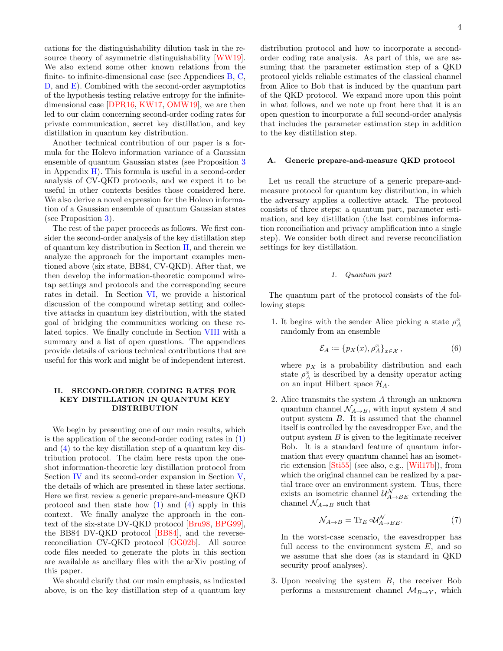cations for the distinguishability dilution task in the resource theory of asymmetric distinguishability [\[WW19\]](#page-29-7). We also extend some other known relations from the finite- to infinite-dimensional case (see Appendices [B,](#page-32-0) [C,](#page-33-0) [D,](#page-34-0) and [E\)](#page-36-0). Combined with the second-order asymptotics of the hypothesis testing relative entropy for the infinitedimensional case [\[DPR16,](#page-26-17) [KW17,](#page-27-11) [OMW19\]](#page-27-10), we are then led to our claim concerning second-order coding rates for private communication, secret key distillation, and key distillation in quantum key distribution.

Another technical contribution of our paper is a formula for the Holevo information variance of a Gaussian ensemble of quantum Gaussian states (see Proposition [3](#page-14-0) in Appendix  $H$ ). This formula is useful in a second-order analysis of CV-QKD protocols, and we expect it to be useful in other contexts besides those considered here. We also derive a novel expression for the Holevo information of a Gaussian ensemble of quantum Gaussian states (see Proposition [3\)](#page-14-0).

The rest of the paper proceeds as follows. We first consider the second-order analysis of the key distillation step of quantum key distribution in Section [II,](#page-3-0) and therein we analyze the approach for the important examples mentioned above (six state, BB84, CV-QKD). After that, we then develop the information-theoretic compound wiretap settings and protocols and the corresponding secure rates in detail. In Section [VI,](#page-21-0) we provide a historical discussion of the compound wiretap setting and collective attacks in quantum key distribution, with the stated goal of bridging the communities working on these related topics. We finally conclude in Section [VIII](#page-24-0) with a summary and a list of open questions. The appendices provide details of various technical contributions that are useful for this work and might be of independent interest.

# <span id="page-3-0"></span>II. SECOND-ORDER CODING RATES FOR KEY DISTILLATION IN QUANTUM KEY DISTRIBUTION

We begin by presenting one of our main results, which is the application of the second-order coding rates in [\(1\)](#page-1-1) and [\(4\)](#page-2-0) to the key distillation step of a quantum key distribution protocol. The claim here rests upon the oneshot information-theoretic key distillation protocol from Section [IV](#page-18-0) and its second-order expansion in Section [V,](#page-20-0) the details of which are presented in these later sections. Here we first review a generic prepare-and-measure QKD protocol and then state how  $(1)$  and  $(4)$  apply in this context. We finally analyze the approach in the context of the six-state DV-QKD protocol [\[Bru98,](#page-25-3) [BPG99\]](#page-25-4), the BB84 DV-QKD protocol [\[BB84\]](#page-25-0), and the reversereconciliation CV-QKD protocol [\[GG02b\]](#page-26-4). All source code files needed to generate the plots in this section are available as ancillary files with the arXiv posting of this paper.

We should clarify that our main emphasis, as indicated above, is on the key distillation step of a quantum key distribution protocol and how to incorporate a secondorder coding rate analysis. As part of this, we are assuming that the parameter estimation step of a QKD protocol yields reliable estimates of the classical channel from Alice to Bob that is induced by the quantum part of the QKD protocol. We expand more upon this point in what follows, and we note up front here that it is an open question to incorporate a full second-order analysis that includes the parameter estimation step in addition to the key distillation step.

### <span id="page-3-1"></span>A. Generic prepare-and-measure QKD protocol

Let us recall the structure of a generic prepare-andmeasure protocol for quantum key distribution, in which the adversary applies a collective attack. The protocol consists of three steps: a quantum part, parameter estimation, and key distillation (the last combines information reconciliation and privacy amplification into a single step). We consider both direct and reverse reconciliation settings for key distillation.

# <span id="page-3-2"></span>1. Quantum part

The quantum part of the protocol consists of the following steps:

1. It begins with the sender Alice picking a state  $\rho_A^x$ randomly from an ensemble

$$
\mathcal{E}_A := \{ p_X(x), \rho_A^x \}_{x \in \mathcal{X}},\tag{6}
$$

where  $p_X$  is a probability distribution and each state  $\rho_A^x$  is described by a density operator acting on an input Hilbert space  $\mathcal{H}_A$ .

2. Alice transmits the system A through an unknown quantum channel  $\mathcal{N}_{A\rightarrow B}$ , with input system A and output system B. It is assumed that the channel itself is controlled by the eavesdropper Eve, and the output system  $B$  is given to the legitimate receiver Bob. It is a standard feature of quantum information that every quantum channel has an isometric extension [\[Sti55\]](#page-28-14) (see also, e.g., [\[Wil17b\]](#page-29-8)), from which the original channel can be realized by a partial trace over an environment system. Thus, there exists an isometric channel  $\mathcal{U}_{A\to BE}^N$  extending the channel  $\mathcal{N}_{A\rightarrow B}$  such that

$$
\mathcal{N}_{A \to B} = \text{Tr}_E \circ \mathcal{U}_{A \to BE}^N. \tag{7}
$$

In the worst-case scenario, the eavesdropper has full access to the environment system  $E$ , and so we assume that she does (as is standard in QKD security proof analyses).

3. Upon receiving the system B, the receiver Bob performs a measurement channel  $\mathcal{M}_{B\to Y}$ , which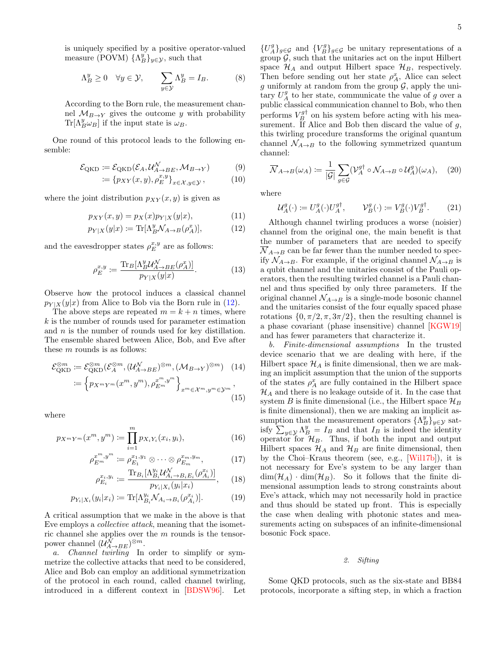$$
\Lambda_B^y \ge 0 \quad \forall y \in \mathcal{Y}, \qquad \sum_{y \in \mathcal{Y}} \Lambda_B^y = I_B. \tag{8}
$$

According to the Born rule, the measurement channel  $M_{B\to Y}$  gives the outcome y with probability  $\text{Tr}[\Lambda_B^y \omega_B]$  if the input state is  $\omega_B$ .

One round of this protocol leads to the following ensemble:

$$
\mathcal{E}_{\text{QKD}} \coloneqq \mathcal{E}_{\text{QKD}}(\mathcal{E}_A, \mathcal{U}_{A \to BE}^{\mathcal{N}}, \mathcal{M}_{B \to Y}) \tag{9}
$$

$$
\coloneqq \{p_{XY}(x,y), \rho_E^{x,y}\}_{x \in \mathcal{X}, y \in \mathcal{Y}},\tag{10}
$$

where the joint distribution  $p_{XY}(x, y)$  is given as

$$
p_{XY}(x,y) = p_X(x)p_{Y|X}(y|x),
$$
\n(11)

$$
p_{Y|X}(y|x) := \text{Tr}[\Lambda_B^y \mathcal{N}_{A \to B}(\rho_A^x)],\tag{12}
$$

and the eavesdropper states  $\rho_{E}^{x,y}$  are as follows:

$$
\rho_E^{x,y} := \frac{\text{Tr}_B[\Lambda_B^y \mathcal{U}_{A \to BE}^{\mathcal{N}}(\rho_A^x)]}{p_{Y|X}(y|x)}.
$$
(13)

Observe how the protocol induces a classical channel  $p_{Y|X}(y|x)$  from Alice to Bob via the Born rule in [\(12\)](#page-4-1).

The above steps are repeated  $m = k + n$  times, where  $k$  is the number of rounds used for parameter estimation and  $n$  is the number of rounds used for key distillation. The ensemble shared between Alice, Bob, and Eve after these  $m$  rounds is as follows:

$$
\mathcal{E}_{\text{QKD}}^{\otimes m} := \mathcal{E}_{\text{QKD}}^{\otimes m}(\mathcal{E}_A^{\otimes m}, (\mathcal{U}_{A \to BE}^N)^{\otimes m}, (\mathcal{M}_{B \to Y})^{\otimes m}) \quad (14)
$$

$$
:= \left\{ p_{X^m Y^m}(x^m, y^m), \rho_{E^m}^{x^m, y^m} \right\}_{x^m \in \mathcal{X}^m, y^m \in \mathcal{Y}^m}, \tag{15}
$$

where

$$
p_{X^m Y^m}(x^m, y^m) := \prod_{i=1}^m p_{X_i Y_i}(x_i, y_i), \qquad (16)
$$

$$
\rho_{E^m}^{x^m, y^m} := \rho_{E_1}^{x_1, y_1} \otimes \cdots \otimes \rho_{E_m}^{x_m, y_m},
$$
\n
$$
\text{Tr}_{\mathbf{E}} \left[ \Lambda^{y_i} \mathcal{U}^{\mathcal{N}} \right] \qquad (\alpha^{x_i})
$$

$$
\rho_{E_i}^{x_i, y_i} := \frac{\text{Tr}_{B_i}[\Lambda_{B_i}^{y_i} \mathcal{U}_{A_i \to B_i E_i}^N(\rho_{A_i}^{x_i})]}{p_{Y_i | X_i}(y_i | x_i)}, \quad (18)
$$

$$
p_{Y_i|X_i}(y_i|x_i) := \text{Tr}[\Lambda_{B_i}^{y_i} \mathcal{N}_{A_i \to B_i}(\rho_{A_i}^{x_i})]. \tag{19}
$$

A critical assumption that we make in the above is that Eve employs a collective attack, meaning that the isometric channel she applies over the  $m$  rounds is the tensorpower channel  $(\mathcal{U}_{A\rightarrow BE}^{\mathcal{N}})^{\otimes m}$ .

a. Channel twirling In order to simplify or symmetrize the collective attacks that need to be considered, Alice and Bob can employ an additional symmetrization of the protocol in each round, called channel twirling, introduced in a different context in [\[BDSW96\]](#page-25-8). Let

 ${U_A^g}_{g∈G}$  and  ${V_B^g}_{g∈G}$  be unitary representations of a group  $\mathcal{G}$ , such that the unitaries act on the input Hilbert space  $\mathcal{H}_A$  and output Hilbert space  $\mathcal{H}_B$ , respectively. Then before sending out her state  $\rho_A^x$ , Alice can select g uniformly at random from the group  $\mathcal{G}$ , apply the unitary  $U_A^g$  to her state, communicate the value of g over a public classical communication channel to Bob, who then performs  $V_B^{g\dagger}$  on his system before acting with his measurement. If Alice and Bob then discard the value of  $g$ , this twirling procedure transforms the original quantum channel  $\mathcal{N}_{A\rightarrow B}$  to the following symmetrized quantum channel:

<span id="page-4-5"></span>
$$
\overline{\mathcal{N}}_{A \to B}(\omega_A) := \frac{1}{|\mathcal{G}|} \sum_{g \in \mathcal{G}} (\mathcal{V}_A^{g\dagger} \circ \mathcal{N}_{A \to B} \circ \mathcal{U}_A^g)(\omega_A), \quad (20)
$$

where

<span id="page-4-4"></span>
$$
\mathcal{U}_A^g(\cdot) \coloneqq U_A^g(\cdot)U_A^{g\dagger}, \qquad \mathcal{V}_B^g(\cdot) \coloneqq V_B^g(\cdot)V_B^{g\dagger}.\tag{21}
$$

<span id="page-4-1"></span>Although channel twirling produces a worse (noisier) channel from the original one, the main benefit is that the number of parameters that are needed to specify  $\overline{\mathcal{N}}_{A\rightarrow B}$  can be far fewer than the number needed to specify  $\mathcal{N}_{A\rightarrow B}$ . For example, if the original channel  $\mathcal{N}_{A\rightarrow B}$  is a qubit channel and the unitaries consist of the Pauli operators, then the resulting twirled channel is a Pauli channel and thus specified by only three parameters. If the original channel  $\mathcal{N}_{A\rightarrow B}$  is a single-mode bosonic channel and the unitaries consist of the four equally spaced phase rotations  $\{0, \pi/2, \pi, 3\pi/2\}$ , then the resulting channel is a phase covariant (phase insensitive) channel [\[KGW19\]](#page-27-7) and has fewer parameters that characterize it.

<span id="page-4-2"></span>b. Finite-dimensional assumptions In the trusted device scenario that we are dealing with here, if the Hilbert space  $\mathcal{H}_A$  is finite dimensional, then we are making an implicit assumption that the union of the supports of the states  $\rho_A^x$  are fully contained in the Hilbert space  $\mathcal{H}_A$  and there is no leakage outside of it. In the case that system B is finite dimensional (i.e., the Hilbert space  $\mathcal{H}_B$ is finite dimensional), then we are making an implicit assumption that the measurement operators  $\{\Lambda_B^y\}_{y\in\mathcal{Y}}$  satisfy  $\sum_{y \in \mathcal{Y}} \Lambda_B^y = I_B$  and that  $I_B$  is indeed the identity operator for  $\mathcal{H}_B$ . Thus, if both the input and output Hilbert spaces  $\mathcal{H}_A$  and  $\mathcal{H}_B$  are finite dimensional, then by the Choi–Kraus theorem (see, e.g., [\[Wil17b\]](#page-29-8)), it is not necessary for Eve's system to be any larger than  $\dim(\mathcal{H}_A) \cdot \dim(\mathcal{H}_B)$ . So it follows that the finite dimensional assumption leads to strong constraints about Eve's attack, which may not necessarily hold in practice and thus should be stated up front. This is especially the case when dealing with photonic states and measurements acting on subspaces of an infinite-dimensional bosonic Fock space.

# <span id="page-4-0"></span>2. Sifting

<span id="page-4-3"></span>Some QKD protocols, such as the six-state and BB84 protocols, incorporate a sifting step, in which a fraction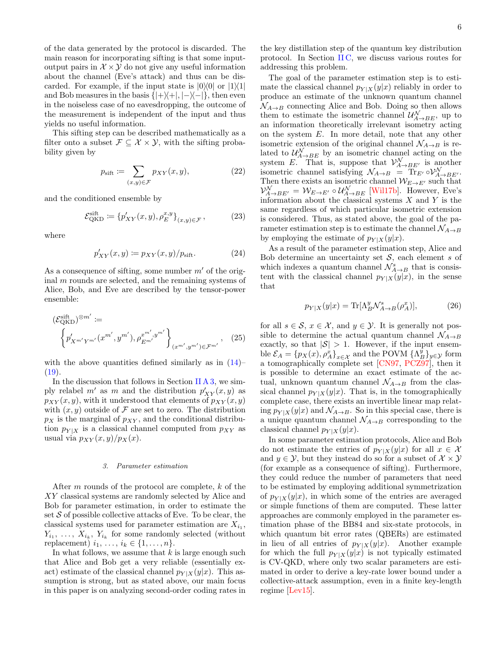of the data generated by the protocol is discarded. The main reason for incorporating sifting is that some inputoutput pairs in  $\mathcal{X} \times \mathcal{Y}$  do not give any useful information about the channel (Eve's attack) and thus can be discarded. For example, if the input state is  $|0\rangle\langle 0|$  or  $|1\rangle\langle 1|$ and Bob measures in the basis  $\{|+\rangle\langle+|, |-\rangle\langle-|\}$ , then even in the noiseless case of no eavesdropping, the outcome of the measurement is independent of the input and thus yields no useful information.

This sifting step can be described mathematically as a filter onto a subset  $\mathcal{F} \subseteq \mathcal{X} \times \mathcal{Y}$ , with the sifting probability given by

$$
p_{\text{sift}} := \sum_{(x,y)\in\mathcal{F}} p_{XY}(x,y),\tag{22}
$$

and the conditioned ensemble by

$$
\mathcal{E}_{\text{QKD}}^{\text{sift}} \coloneqq \{p'_{XY}(x, y), \rho_E^{x, y}\}_{(x, y) \in \mathcal{F}},\tag{23}
$$

where

$$
p'_{XY}(x,y) := p_{XY}(x,y)/p_{\text{sift}}.\tag{24}
$$

As a consequence of sifting, some number  $m'$  of the original m rounds are selected, and the remaining systems of Alice, Bob, and Eve are described by the tensor-power ensemble:

$$
\begin{aligned} \left(\mathcal{E}_{\text{QKD}}^{\text{sift}}\right)^{\otimes m'} &:= \\ \left\{ p'_{X^{m'}Y^{m'}}(x^{m'}, y^{m'}), \rho_{E^{m'}}^{x^{m'}, y^{m'}} \right\}_{(x^{m'}, y^{m'}) \in \mathcal{F}^{m'}}, \quad (25) \end{aligned}
$$

with the above quantities defined similarly as in  $(14)$ –  $(19).$  $(19).$ 

In the discussion that follows in Section II  $\overline{A}$  3, we simply relabel  $m'$  as m and the distribution  $p'_{XY}(x, y)$  as  $p_{XY}(x, y)$ , with it understood that elements of  $p_{XY}(x, y)$ with  $(x, y)$  outside of F are set to zero. The distribution  $p_X$  is the marginal of  $p_{XY}$ , and the conditional distribution  $p_{Y|X}$  is a classical channel computed from  $p_{XY}$  as usual via  $p_{XY}(x, y)/p_X(x)$ .

### <span id="page-5-0"></span>3. Parameter estimation

After m rounds of the protocol are complete, k of the XY classical systems are randomly selected by Alice and Bob for parameter estimation, in order to estimate the set  $S$  of possible collective attacks of Eve. To be clear, the classical systems used for parameter estimation are  $X_{i_1}$ ,  $Y_{i_1}, \ldots, X_{i_k}, Y_{i_k}$  for some randomly selected (without replacement)  $i_1, \ldots, i_k \in \{1, \ldots, n\}.$ 

In what follows, we assume that  $k$  is large enough such that Alice and Bob get a very reliable (essentially exact) estimate of the classical channel  $p_{Y|X}(y|x)$ . This assumption is strong, but as stated above, our main focus in this paper is on analyzing second-order coding rates in

the key distillation step of the quantum key distribution protocol. In Section [II C,](#page-15-0) we discuss various routes for addressing this problem.

The goal of the parameter estimation step is to estimate the classical channel  $p_{Y|X}(y|x)$  reliably in order to produce an estimate of the unknown quantum channel  $\mathcal{N}_{A\rightarrow B}$  connecting Alice and Bob. Doing so then allows them to estimate the isometric channel  $\mathcal{U}_{A\rightarrow BE}^{N}$ , up to an information theoretically irrelevant isometry acting on the system E. In more detail, note that any other isometric extension of the original channel  $\mathcal{N}_{A\rightarrow B}$  is related to  $\mathcal{U}^N_{A\to BE}$  by an isometric channel acting on the system E. That is, suppose that  $\mathcal{V}_{A\rightarrow BE'}^N$  is another isometric channel satisfying  $\mathcal{N}_{A\to B} = \text{Tr}_{E} \circ \mathcal{V}_{A\to BE}^{\mathcal{N}}$ . Then there exists an isometric channel  $W_{E\rightarrow E'}$  such that  $\mathcal{V}_{A\rightarrow BE'}^{\mathcal{N}} = \mathcal{W}_{E\rightarrow E'} \circ \mathcal{U}_{A\rightarrow BE}^{\mathcal{N}}$  [Will7b]. However, Eve's information about the classical systems  $X$  and  $Y$  is the same regardless of which particular isometric extension is considered. Thus, as stated above, the goal of the parameter estimation step is to estimate the channel  $\mathcal{N}_{A\rightarrow B}$ by employing the estimate of  $p_{Y|X}(y|x)$ .

As a result of the parameter estimation step, Alice and Bob determine an uncertainty set  $S$ , each element s of which indexes a quantum channel  $\mathcal{N}_{A\rightarrow B}^s$  that is consistent with the classical channel  $p_{Y|X}(y|x)$ , in the sense that

$$
p_{Y|X}(y|x) = \text{Tr}[\Lambda_B^y \mathcal{N}_{A \to B}^s(\rho_A^x)],\tag{26}
$$

for all  $s \in \mathcal{S}$ ,  $x \in \mathcal{X}$ , and  $y \in \mathcal{Y}$ . It is generally not possible to determine the actual quantum channel  $\mathcal{N}_{A\rightarrow B}$ exactly, so that  $|S| > 1$ . However, if the input ensemble  $\mathcal{E}_A = \{p_X(x), \rho_A^x\}_{x \in \mathcal{X}}$  and the POVM  $\{\Lambda_B^y\}_{y \in \mathcal{Y}}$  form a tomographically complete set [\[CN97,](#page-25-9) [PCZ97\]](#page-28-15), then it is possible to determine an exact estimate of the actual, unknown quantum channel  $\mathcal{N}_{A\rightarrow B}$  from the classical channel  $p_{Y|X}(y|x)$ . That is, in the tomographically complete case, there exists an invertible linear map relating  $p_{Y|X}(y|x)$  and  $\mathcal{N}_{A\rightarrow B}$ . So in this special case, there is a unique quantum channel  $\mathcal{N}_{A\rightarrow B}$  corresponding to the classical channel  $p_{Y|X}(y|x)$ .

In some parameter estimation protocols, Alice and Bob do not estimate the entries of  $p_{Y|X}(y|x)$  for all  $x \in \mathcal{X}$ and  $y \in \mathcal{Y}$ , but they instead do so for a subset of  $\mathcal{X} \times \mathcal{Y}$ (for example as a consequence of sifting). Furthermore, they could reduce the number of parameters that need to be estimated by employing additional symmetrization of  $p_{Y|X}(y|x)$ , in which some of the entries are averaged or simple functions of them are computed. These latter approaches are commonly employed in the parameter estimation phase of the BB84 and six-state protocols, in which quantum bit error rates (QBERs) are estimated in lieu of all entries of  $p_{Y|X}(y|x)$ . Another example for which the full  $p_{Y|X}(y|x)$  is not typically estimated is CV-QKD, where only two scalar parameters are estimated in order to derive a key-rate lower bound under a collective-attack assumption, even in a finite key-length regime [\[Lev15\]](#page-27-15).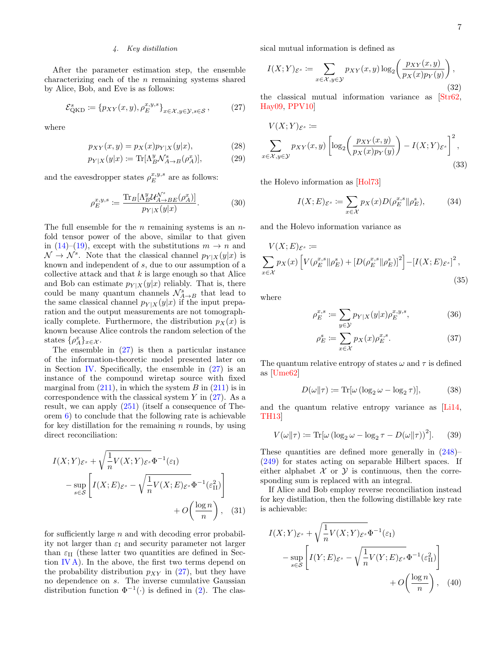# <span id="page-6-0"></span>4. Key distillation

After the parameter estimation step, the ensemble characterizing each of the  $n$  remaining systems shared by Alice, Bob, and Eve is as follows:

<span id="page-6-1"></span>
$$
\mathcal{E}_{\text{QKD}}^s \coloneqq \{ p_{XY}(x, y), \rho_E^{x, y, s} \}_{x \in \mathcal{X}, y \in \mathcal{Y}, s \in \mathcal{S}},\tag{27}
$$

where

$$
p_{XY}(x, y) = p_X(x)p_{Y|X}(y|x),
$$
\n(28)

$$
p_{Y|X}(y|x) := \text{Tr}[\Lambda_B^y \mathcal{N}_{A \to B}^s(\rho_A^x)],\tag{29}
$$

and the eavesdropper states  $\rho_E^{x,y,s}$  are as follows:

$$
\rho_E^{x,y,s} := \frac{\text{Tr}_B[\Lambda_B^y \mathcal{U}_{A \to BE}^{\mathcal{N}^s}(\rho_A^x)]}{p_{Y|X}(y|x)}.\tag{30}
$$

The full ensemble for the *n* remaining systems is an  $n$ fold tensor power of the above, similar to that given in  $(14)$ – $(19)$ , except with the substitutions  $m \to n$  and  $\mathcal{N} \to \mathcal{N}^s$ . Note that the classical channel  $p_{Y|X}(y|x)$  is known and independent of s, due to our assumption of a collective attack and that  $k$  is large enough so that Alice and Bob can estimate  $p_{Y|X}(y|x)$  reliably. That is, there could be many quantum channels  $\mathcal{N}_{A\rightarrow B}^s$  that lead to the same classical channel  $p_{Y|X}(y|x)$  if the input preparation and the output measurements are not tomographically complete. Furthermore, the distribution  $p_X(x)$  is known because Alice controls the random selection of the states  $\{\rho_A^x\}_{x \in \mathcal{X}}$ .

The ensemble in  $(27)$  is then a particular instance of the information-theoretic model presented later on in Section [IV.](#page-18-0) Specifically, the ensemble in  $(27)$  is an instance of the compound wiretap source with fixed marginal from  $(211)$ , in which the system B in  $(211)$  is in correspondence with the classical system  $Y$  in  $(27)$ . As a result, we can apply [\(251\)](#page-21-1) (itself a consequence of Theorem [6\)](#page-19-1) to conclude that the following rate is achievable for key distillation for the remaining  $n$  rounds, by using direct reconciliation:

$$
I(X;Y)_{\mathcal{E}^s} + \sqrt{\frac{1}{n}V(X;Y)_{\mathcal{E}^s}}\Phi^{-1}(\varepsilon_{\mathrm{I}})
$$

$$
-\sup_{s\in\mathcal{S}}\left[I(X;E)_{\mathcal{E}^s} - \sqrt{\frac{1}{n}V(X;E)_{\mathcal{E}^s}}\Phi^{-1}(\varepsilon_{\mathrm{II}}^2)\right]
$$

$$
+ O\left(\frac{\log n}{n}\right), \quad (31)
$$

for sufficiently large n and with decoding error probability not larger than  $\varepsilon_I$  and security parameter not larger than  $\varepsilon_{\text{II}}$  (these latter two quantities are defined in Section  $\Gamma$ V A). In the above, the first two terms depend on the probability distribution  $p_{XY}$  in [\(27\)](#page-6-1), but they have no dependence on s. The inverse cumulative Gaussian distribution function  $\Phi^{-1}(\cdot)$  is defined in [\(2\)](#page-1-2). The classical mutual information is defined as

$$
I(X;Y)_{\mathcal{E}^s} := \sum_{x \in \mathcal{X}, y \in \mathcal{Y}} p_{XY}(x, y) \log_2 \left( \frac{p_{XY}(x, y)}{p_X(x) p_Y(y)} \right),\tag{32}
$$

the classical mutual information variance as [\[Str62,](#page-28-16) [Hay09,](#page-26-9) [PPV10\]](#page-28-8)

$$
V(X;Y)_{\mathcal{E}^s} := \sum_{x \in \mathcal{X}, y \in \mathcal{Y}} p_{XY}(x, y) \left[ \log_2 \left( \frac{p_{XY}(x, y)}{p_X(x) p_Y(y)} \right) - I(X;Y)_{\mathcal{E}^s} \right]^2,
$$
\n(33)

the Holevo information as [\[Hol73\]](#page-26-18)

$$
I(X;E)_{\mathcal{E}^s} := \sum_{x \in \mathcal{X}} p_X(x) D(\rho_E^{x,s} \| \rho_E^s), \tag{34}
$$

and the Holevo information variance as

$$
V(X;E)_{\mathcal{E}^s} :=
$$
  

$$
\sum_{x \in \mathcal{X}} p_X(x) \left[ V(\rho_E^{x,s} || \rho_E^s) + \left[ D(\rho_E^{x,s} || \rho_E^s) \right]^2 \right] - \left[ I(X;E)_{\mathcal{E}^s} \right]^2,
$$
  
(35)

where

$$
\rho_E^{x,s} := \sum_{y \in \mathcal{Y}} p_{Y|X}(y|x) \rho_E^{x,y,s},\tag{36}
$$

$$
\rho_E^s := \sum_{x \in \mathcal{X}} p_X(x) \rho_E^{x,s}.
$$
\n(37)

The quantum relative entropy of states  $\omega$  and  $\tau$  is defined as [\[Ume62\]](#page-29-9)

<span id="page-6-4"></span>
$$
D(\omega||\tau) \coloneqq \text{Tr}[\omega (\log_2 \omega - \log_2 \tau)],\tag{38}
$$

and the quantum relative entropy variance as [\[Li14,](#page-27-9) [TH13\]](#page-28-7)

<span id="page-6-5"></span>
$$
V(\omega||\tau) \coloneqq \text{Tr}[\omega (\log_2 \omega - \log_2 \tau - D(\omega||\tau))^2]. \tag{39}
$$

These quantities are defined more generally in [\(248\)](#page-21-2)– [\(249\)](#page-21-3) for states acting on separable Hilbert spaces. If either alphabet  $\mathcal X$  or  $\mathcal Y$  is continuous, then the corresponding sum is replaced with an integral.

<span id="page-6-2"></span>If Alice and Bob employ reverse reconciliation instead for key distillation, then the following distillable key rate is achievable:

<span id="page-6-3"></span>
$$
I(X;Y)_{\mathcal{E}^s} + \sqrt{\frac{1}{n}V(X;Y)_{\mathcal{E}^s}}\Phi^{-1}(\varepsilon_{\mathrm{I}})
$$

$$
-\sup_{s\in\mathcal{S}}\left[I(Y;E)_{\mathcal{E}^s} - \sqrt{\frac{1}{n}V(Y;E)_{\mathcal{E}^s}}\Phi^{-1}(\varepsilon_{\mathrm{II}}^2)\right]
$$

$$
+O\left(\frac{\log n}{n}\right), \quad (40)
$$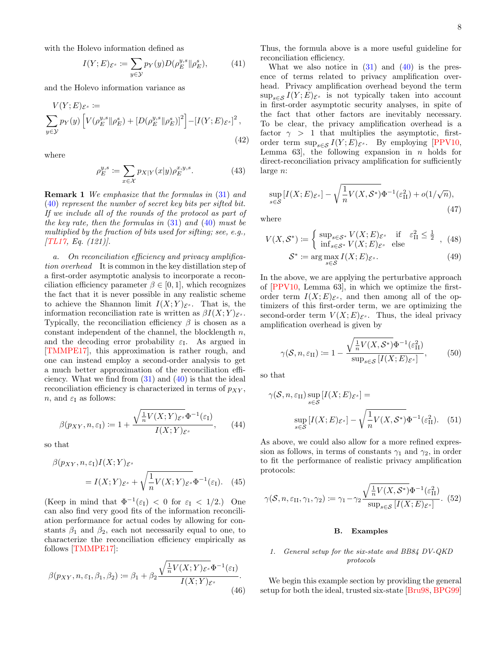with the Holevo information defined as

<span id="page-7-2"></span>
$$
I(Y;E)_{\mathcal{E}^s} := \sum_{y \in \mathcal{Y}} p_Y(y) D(\rho_E^{y,s} \| \rho_E^s), \tag{41}
$$

and the Holevo information variance as

$$
V(Y;E)_{\mathcal{E}^s} :=
$$
  
\n
$$
\sum_{y \in \mathcal{Y}} p_Y(y) \left[ V(\rho_E^{y,s} || \rho_E^s) + \left[ D(\rho_E^{y,s} || \rho_E^s) \right]^2 \right] - \left[ I(Y;E)_{\mathcal{E}^s} \right]^2,
$$
\n(42)

where

$$
\rho_E^{y,s} := \sum_{x \in \mathcal{X}} p_{X|Y}(x|y) \rho_E^{x,y,s}.
$$
\n(43)

**Remark 1** We emphasize that the formulas in  $(31)$  and [\(40\)](#page-6-3) represent the number of secret key bits per sifted bit. If we include all of the rounds of the protocol as part of the key rate, then the formulas in  $(31)$  and  $(40)$  must be multiplied by the fraction of bits used for sifting; see, e.g.,  $[TL17, Eq. (121)].$  $[TL17, Eq. (121)].$ 

a. On reconciliation efficiency and privacy amplification overhead It is common in the key distillation step of a first-order asymptotic analysis to incorporate a reconciliation efficiency parameter  $\beta \in [0, 1]$ , which recognizes the fact that it is never possible in any realistic scheme to achieve the Shannon limit  $I(X;Y)_{\mathcal{E}^s}$ . That is, the information reconciliation rate is written as  $\beta I(X;Y)_{\mathcal{E}^s}$ . Typically, the reconciliation efficiency  $\beta$  is chosen as a constant independent of the channel, the blocklength  $n$ , and the decoding error probability  $\varepsilon_I$ . As argued in [\[TMMPE17\]](#page-28-11), this approximation is rather rough, and one can instead employ a second-order analysis to get a much better approximation of the reconciliation efficiency. What we find from  $(31)$  and  $(40)$  is that the ideal reconciliation efficiency is characterized in terms of  $p_{XY}$ , *n*, and  $\varepsilon_I$  as follows:

$$
\beta(p_{XY}, n, \varepsilon_{\mathcal{I}}) := 1 + \frac{\sqrt{\frac{1}{n}V(X;Y)_{\mathcal{E}^s}} \Phi^{-1}(\varepsilon_{\mathcal{I}})}{I(X;Y)_{\mathcal{E}^s}}, \qquad (44)
$$

so that

$$
\beta(p_{XY}, n, \varepsilon_{\mathcal{I}}) I(X; Y)_{\varepsilon^{s}}\n= I(X; Y)_{\varepsilon^{s}} + \sqrt{\frac{1}{n} V(X; Y)_{\varepsilon^{s}}} \Phi^{-1}(\varepsilon_{\mathcal{I}}).
$$
 (45)

(Keep in mind that  $\Phi^{-1}(\varepsilon_{I}) < 0$  for  $\varepsilon_{I} < 1/2$ .) One can also find very good fits of the information reconciliation performance for actual codes by allowing for constants  $\beta_1$  and  $\beta_2$ , each not necessarily equal to one, to characterize the reconciliation efficiency empirically as follows [\[TMMPE17\]](#page-28-11):

$$
\beta(p_{XY}, n, \varepsilon_{\rm I}, \beta_1, \beta_2) := \beta_1 + \beta_2 \frac{\sqrt{\frac{1}{n}V(X;Y)_{\mathcal{E}^s}} \Phi^{-1}(\varepsilon_{\rm I})}{I(X;Y)_{\mathcal{E}^s}}.
$$
\n(46)

Thus, the formula above is a more useful guideline for reconciliation efficiency.

What we also notice in  $(31)$  and  $(40)$  is the presence of terms related to privacy amplification overhead. Privacy amplification overhead beyond the term  $\sup_{s\in\mathcal{S}} I(Y;E)_{\mathcal{E}^s}$  is not typically taken into account in first-order asymptotic security analyses, in spite of the fact that other factors are inevitably necessary. To be clear, the privacy amplification overhead is a factor  $\gamma > 1$  that multiplies the asymptotic, firstorder term  $\sup_{s\in\mathcal{S}} I(Y;E)_{\mathcal{E}^s}$ . By employing [\[PPV10,](#page-28-8) Lemma 63, the following expansion in  $n$  holds for direct-reconciliation privacy amplification for sufficiently large n:

<span id="page-7-3"></span>
$$
\sup_{s \in \mathcal{S}} \left[ I(X;E)_{\mathcal{E}^s} \right] - \sqrt{\frac{1}{n} V(X,\mathcal{S}^*)} \Phi^{-1}(\varepsilon_{\mathrm{II}}^2) + o(1/\sqrt{n}),\tag{47}
$$

where

$$
V(X, \mathcal{S}^*) \coloneqq \begin{cases} \sup_{s \in \mathcal{S}^*} V(X; E)_{\mathcal{E}^s} & \text{if } \varepsilon_{\text{II}}^2 \le \frac{1}{2} \\ \inf_{s \in \mathcal{S}^*} V(X; E)_{\mathcal{E}^s} & \text{else} \end{cases} \tag{48}
$$
\n
$$
\mathcal{S}^* \coloneqq \arg\max_{s \in \mathcal{S}} I(X; E)_{\mathcal{E}^s} . \tag{49}
$$

In the above, we are applying the perturbative approach of [\[PPV10,](#page-28-8) Lemma 63], in which we optimize the firstorder term  $I(X;E)_{\mathcal{E}^s}$ , and then among all of the optimizers of this first-order term, we are optimizing the second-order term  $V(X;E)_{\mathcal{E}^s}$ . Thus, the ideal privacy amplification overhead is given by

$$
\gamma(\mathcal{S}, n, \varepsilon_{\text{II}}) := 1 - \frac{\sqrt{\frac{1}{n} V(X, \mathcal{S}^*)} \Phi^{-1}(\varepsilon_{\text{II}}^2)}{\sup_{s \in \mathcal{S}} \left[ I(X; E)_{\mathcal{E}^s} \right]},
$$
(50)

so that

$$
\gamma(\mathcal{S}, n, \varepsilon_{\text{II}}) \sup_{s \in \mathcal{S}} [I(X; E)_{\mathcal{E}^s}] =
$$
  

$$
\sup_{s \in \mathcal{S}} [I(X; E)_{\mathcal{E}^s}] - \sqrt{\frac{1}{n} V(X, \mathcal{S}^*)} \Phi^{-1}(\varepsilon_{\text{II}}^2). \quad (51)
$$

As above, we could also allow for a more refined expression as follows, in terms of constants  $\gamma_1$  and  $\gamma_2$ , in order to fit the performance of realistic privacy amplification protocols:

$$
\gamma(\mathcal{S}, n, \varepsilon_{\text{II}}, \gamma_1, \gamma_2) \coloneqq \gamma_1 - \gamma_2 \frac{\sqrt{\frac{1}{n} V(X, \mathcal{S}^*)} \Phi^{-1}(\varepsilon_{\text{II}}^2)}{\sup_{s \in \mathcal{S}} \left[ I(X; E)_{\mathcal{E}^s} \right]}.
$$
(52)

### <span id="page-7-0"></span>B. Examples

# <span id="page-7-1"></span>1. General setup for the six-state and BB84 DV-QKD protocols

We begin this example section by providing the general setup for both the ideal, trusted six-state [\[Bru98,](#page-25-3) [BPG99\]](#page-25-4)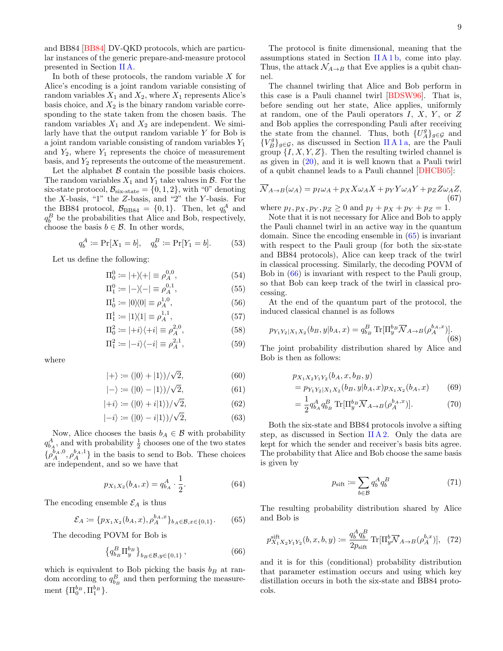and BB84 [\[BB84\]](#page-25-0) DV-QKD protocols, which are particular instances of the generic prepare-and-measure protocol presented in Section [II A.](#page-3-1)

In both of these protocols, the random variable  $X$  for Alice's encoding is a joint random variable consisting of random variables  $X_1$  and  $X_2$ , where  $X_1$  represents Alice's basis choice, and  $X_2$  is the binary random variable corresponding to the state taken from the chosen basis. The random variables  $X_1$  and  $X_2$  are independent. We similarly have that the output random variable  $Y$  for Bob is a joint random variable consisting of random variables  $Y_1$ and  $Y_2$ , where  $Y_1$  represents the choice of measurement basis, and  $Y_2$  represents the outcome of the measurement.

Let the alphabet  $\beta$  contain the possible basis choices. The random variables  $X_1$  and  $Y_1$  take values in  $\mathcal{B}$ . For the six-state protocol,  $\mathcal{B}_{\text{six-state}} = \{0, 1, 2\}$ , with "0" denoting the X-basis, "1" the Z-basis, and "2" the Y-basis. For the BB84 protocol,  $\mathcal{B}_{BB84} = \{0, 1\}$ . Then, let  $q_b^A$  and  $q_b^B$  be the probabilities that Alice and Bob, respectively, choose the basis  $b \in \mathcal{B}$ . In other words,

$$
q_b^A := \Pr[X_1 = b], \quad q_b^B := \Pr[Y_1 = b].
$$
 (53)

Let us define the following:

$$
\Pi_0^0 := |+\rangle\!\langle +| \equiv \rho_A^{0,0},\tag{54}
$$

$$
\Pi_1^0 := |-\rangle\langle -| \equiv \rho_A^{0,1},\tag{55}
$$

$$
\Pi_0^1 := |0\rangle\langle 0| \equiv \rho_A^{1,0},\tag{56}
$$

$$
\Pi_1^1 := |1\rangle\langle 1| \equiv \rho_A^{1,1},\tag{57}
$$

$$
\Pi_0^2 := |+i\rangle\langle+i| \equiv \rho_A^{2,0},\tag{58}
$$

$$
\Pi_1^2 := | -i \rangle \langle -i | \equiv \rho_A^{2,1}, \tag{59}
$$

where

$$
|+\rangle := (|0\rangle + |1\rangle)/\sqrt{2},\tag{60}
$$

$$
|-\rangle := (|0\rangle - |1\rangle)/\sqrt{2}, \tag{61}
$$

$$
|+i\rangle := (|0\rangle + i|1\rangle)/\sqrt{2},\tag{62}
$$

$$
|-i\rangle := (|0\rangle - i|1\rangle)/\sqrt{2},\tag{63}
$$

Now, Alice chooses the basis  $b_A \in \mathcal{B}$  with probability  $q_{b_A}^A$ , and with probability  $\frac{1}{2}$  chooses one of the two states  $\{\rho_A^{b_A,0},\rho_A^{b_A,1}\}$  in the basis to send to Bob. These choices are independent, and so we have that

$$
p_{X_1X_2}(b_A, x) = q_{b_A}^A \cdot \frac{1}{2}.\tag{64}
$$

The encoding ensemble  $\mathcal{E}_A$  is thus

<span id="page-8-0"></span>
$$
\mathcal{E}_A := \{ p_{X_1 X_2}(b_A, x), \rho_A^{b_A, x} \}_{b_A \in \mathcal{B}, x \in \{0, 1\}}.
$$
 (65)

The decoding POVM for Bob is

<span id="page-8-1"></span>
$$
\left\{ q_{b_B}^B \Pi_y^{b_B} \right\}_{b_B \in \mathcal{B}, y \in \{0, 1\}},\tag{66}
$$

which is equivalent to Bob picking the basis  $b_B$  at random according to  $q_{b_B}^B$  and then performing the measurement  ${\{\Pi_0^{b_B}, \Pi_1^{b_B}\}}.$ 

The protocol is finite dimensional, meaning that the assumptions stated in Section II  $A 1 b$ , come into play. Thus, the attack  $\mathcal{N}_{A\rightarrow B}$  that Eve applies is a qubit channel.

The channel twirling that Alice and Bob perform in this case is a Pauli channel twirl [\[BDSW96\]](#page-25-8). That is, before sending out her state, Alice applies, uniformly at random, one of the Pauli operators  $I, X, Y$ , or  $Z$ and Bob applies the corresponding Pauli after receiving the state from the channel. Thus, both  $\{U_A^g\}_{g\in\mathcal{G}}$  and  ${V_B^g}_{g \in G}$ , as discussed in Section [II A 1 a,](#page-4-3) are the Pauli group  $\{I, X, Y, Z\}$ . Then the resulting twirled channel is as given in [\(20\)](#page-4-5), and it is well known that a Pauli twirl of a qubit channel leads to a Pauli channel [\[DHCB05\]](#page-26-19):

<span id="page-8-2"></span>
$$
\overline{\mathcal{N}}_{A \to B}(\omega_A) = p_I \omega_A + p_X X \omega_A X + p_Y Y \omega_A Y + p_Z Z \omega_A Z,\tag{67}
$$

where  $p_1, p_X, p_Y, p_Z \ge 0$  and  $p_1 + p_X + p_Y + p_Z = 1$ .

Note that it is not necessary for Alice and Bob to apply the Pauli channel twirl in an active way in the quantum domain. Since the encoding ensemble in [\(65\)](#page-8-0) is invariant with respect to the Pauli group (for both the six-state and BB84 protocols), Alice can keep track of the twirl in classical processing. Similarly, the decoding POVM of Bob in [\(66\)](#page-8-1) is invariant with respect to the Pauli group, so that Bob can keep track of the twirl in classical processing.

At the end of the quantum part of the protocol, the induced classical channel is as follows

$$
p_{Y_1 Y_2|X_1 X_2}(b_B, y|b_A, x) = q_{b_B}^B \text{Tr}[\Pi_y^{b_B} \overline{\mathcal{N}}_{A \to B}(\rho_A^{b_A, x})].
$$
\n(68)

The joint probability distribution shared by Alice and Bob is then as follows:

$$
p_{X_1 X_2 Y_1 Y_2} (b_A, x, b_B, y)
$$
  
=  $p_{Y_1 Y_2 | X_1 X_2} (b_B, y | b_A, x) p_{X_1 X_2} (b_A, x)$  (69)

$$
= \frac{1}{2} q_{b_A}^A q_{b_B}^B \text{Tr}[\Pi_y^{b_B} \overline{\mathcal{N}}_{A \to B}(\rho_A^{b_A, x})]. \tag{70}
$$

Both the six-state and BB84 protocols involve a sifting step, as discussed in Section [II A 2.](#page-4-0) Only the data are kept for which the sender and receiver's basis bits agree. The probability that Alice and Bob choose the same basis is given by

$$
p_{\text{sift}} \coloneqq \sum_{b \in \mathcal{B}} q_b^A q_b^B \tag{71}
$$

The resulting probability distribution shared by Alice and Bob is

$$
p_{X_1 X_2 Y_1 Y_2}^{\text{sift}}(b, x, b, y) \coloneqq \frac{q_b^A q_b^B}{2p_{\text{sift}}} \operatorname{Tr}[\Pi_y^b \overline{\mathcal{N}}_{A \to B}(\rho_A^{b, x})], \tag{72}
$$

and it is for this (conditional) probability distribution that parameter estimation occurs and using which key distillation occurs in both the six-state and BB84 protocols.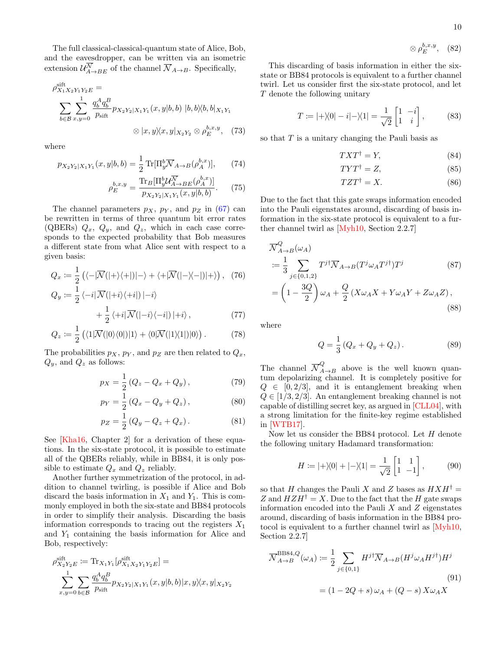$$
\otimes \rho_E^{b,x,y}, \quad (82)
$$

The full classical-classical-quantum state of Alice, Bob, and the eavesdropper, can be written via an isometric extension  $\mathcal{U}_{A\to BE}^{\mathcal{N}}$  of the channel  $\mathcal{N}_{A\to B}$ . Specifically,

$$
\rho_{X_1 X_2 Y_1 Y_2 E}^{\text{sift}} = \sum_{b \in \mathcal{B}} \sum_{x, y=0}^{1} \frac{q_b^A q_b^B}{p_{\text{sift}}} p_{X_2 Y_2 | X_1 Y_1}(x, y | b, b) | b, b \rangle \langle b, b |_{X_1 Y_1}
$$
  

$$
\otimes |x, y \rangle \langle x, y |_{X_2 Y_2} \otimes \rho_E^{b, x, y}, \quad (73)
$$

where

$$
p_{X_2Y_2|X_1Y_1}(x,y|b,b) = \frac{1}{2} \operatorname{Tr}[\Pi_y^b \overline{\mathcal{N}}_{A \to B}(\rho_A^{b,x})],\qquad(74)
$$

$$
\rho_E^{b,x,y} = \frac{\text{Tr}_B[\Pi_y^b \mathcal{U}_{A \to BE}^{\overline{N}}(\rho_A^{b,x})]}{p_{X_2 Y_2 | X_1 Y_1}(x, y | b, b)}.
$$
(75)

The channel parameters  $p_X$ ,  $p_Y$ , and  $p_Z$  in [\(67\)](#page-8-2) can be rewritten in terms of three quantum bit error rates (QBERs)  $Q_x$ ,  $Q_y$ , and  $Q_z$ , which in each case corresponds to the expected probability that Bob measures a different state from what Alice sent with respect to a given basis:

$$
Q_x := \frac{1}{2} \left( \langle -|\overline{\mathcal{N}}(|+\rangle\langle+|)|-\rangle + \langle +|\overline{\mathcal{N}}(|-\rangle\langle-|)|+\rangle \right), (76)
$$

$$
Q_y := \frac{1}{2} \langle -i | \overline{\mathcal{N}}(|+i\rangle\langle +i|) | -i \rangle + \frac{1}{2} \langle +i | \overline{\mathcal{N}}(|-i\rangle\langle -i|) | +i \rangle , \qquad (77)
$$

$$
Q_z := \frac{1}{2} \left( \langle 1 | \overline{\mathcal{N}}(|0\rangle\langle 0|) | 1 \rangle + \langle 0 | \overline{\mathcal{N}}(|1\rangle\langle 1|) | 0 \rangle \right). \tag{78}
$$

The probabilities  $p_X$ ,  $p_Y$ , and  $p_Z$  are then related to  $Q_x$ ,  $Q_y$ , and  $Q_z$  as follows:

$$
p_X = \frac{1}{2} (Q_z - Q_x + Q_y), \qquad (79)
$$

$$
p_Y = \frac{1}{2} (Q_x - Q_y + Q_z), \qquad (80)
$$

$$
p_Z = \frac{1}{2} (Q_y - Q_z + Q_x).
$$
 (81)

See [\[Kha16,](#page-27-16) Chapter 2] for a derivation of these equations. In the six-state protocol, it is possible to estimate all of the QBERs reliably, while in BB84, it is only possible to estimate  $Q_x$  and  $Q_z$  reliably.

Another further symmetrization of the protocol, in addition to channel twirling, is possible if Alice and Bob discard the basis information in  $X_1$  and  $Y_1$ . This is commonly employed in both the six-state and BB84 protocols in order to simplify their analysis. Discarding the basis information corresponds to tracing out the registers  $X_1$ and  $Y_1$  containing the basis information for Alice and Bob, respectively:

$$
\begin{split} \rho_{X_2Y_2E}^{\text{sift}} &:= \text{Tr}_{X_1Y_1}[\rho_{X_1X_2Y_1Y_2E}^{\text{sift}}] = \\ &\sum_{x,y=0}^1 \sum_{b \in \mathcal{B}} \frac{q_b^A q_b^B}{p_{\text{sift}}} p_{X_2Y_2|X_1Y_1}(x,y|b,b)|x,y \rangle\!\langle x,y|_{X_2Y_2} \end{split}
$$

This discarding of basis information in either the sixstate or BB84 protocols is equivalent to a further channel twirl. Let us consider first the six-state protocol, and let T denote the following unitary

$$
T := |+\rangle\langle 0| - i| - \rangle\langle 1| = \frac{1}{\sqrt{2}} \begin{bmatrix} 1 & -i \\ 1 & i \end{bmatrix},
$$
 (83)

so that  $T$  is a unitary changing the Pauli basis as

$$
TXT^{\dagger} = Y,\tag{84}
$$

$$
TYT^{\dagger} = Z,\tag{85}
$$

$$
T Z T^{\dagger} = X. \tag{86}
$$

Due to the fact that this gate swaps information encoded into the Pauli eigenstates around, discarding of basis information in the six-state protocol is equivalent to a further channel twirl as [\[Myh10,](#page-27-17) Section 2.2.7]

$$
\overline{\mathcal{N}}_{A\to B}^{Q}(\omega_{A})
$$
\n
$$
:= \frac{1}{3} \sum_{j \in \{0,1,2\}} T^{j\dagger} \overline{\mathcal{N}}_{A\to B} (T^{j} \omega_{A} T^{j\dagger}) T^{j} \tag{87}
$$
\n
$$
= \left(1 - \frac{3Q}{2}\right) \omega_{A} + \frac{Q}{2} \left(X \omega_{A} X + Y \omega_{A} Y + Z \omega_{A} Z\right), \tag{88}
$$

where

<span id="page-9-0"></span>
$$
Q = \frac{1}{3} (Q_x + Q_y + Q_z).
$$
 (89)

<span id="page-9-1"></span>The channel  $\overline{\mathcal{N}}_{A\to B}^Q$  above is the well known quantum depolarizing channel. It is completely positive for  $Q \in [0, 2/3]$ , and it is entanglement breaking when  $Q \in [1/3, 2/3]$ . An entanglement breaking channel is not capable of distilling secret key, as argued in [\[CLL04\]](#page-25-10), with a strong limitation for the finite-key regime established in [\[WTB17\]](#page-29-5).

<span id="page-9-2"></span>Now let us consider the BB84 protocol. Let  $H$  denote the following unitary Hadamard transformation:

$$
H := |+\rangle\langle 0| + |-\rangle\langle 1| = \frac{1}{\sqrt{2}} \begin{bmatrix} 1 & 1\\ 1 & -1 \end{bmatrix},
$$
 (90)

so that H changes the Pauli X and Z bases as  $H X H^{\dagger} =$ Z and  $HZH^{\dagger} = X$ . Due to the fact that the H gate swaps information encoded into the Pauli  $X$  and  $Z$  eigenstates around, discarding of basis information in the BB84 protocol is equivalent to a further channel twirl as [\[Myh10,](#page-27-17) Section 2.2.7]

$$
\overline{\mathcal{N}}_{A \to B}^{\text{BB84}, Q}(\omega_A) := \frac{1}{2} \sum_{j \in \{0, 1\}} H^{j\dagger} \overline{\mathcal{N}}_{A \to B} (H^j \omega_A H^{j\dagger}) H^j
$$
\n
$$
= (1 - 2Q + s) \omega_A + (Q - s) X \omega_A X
$$
\n(91)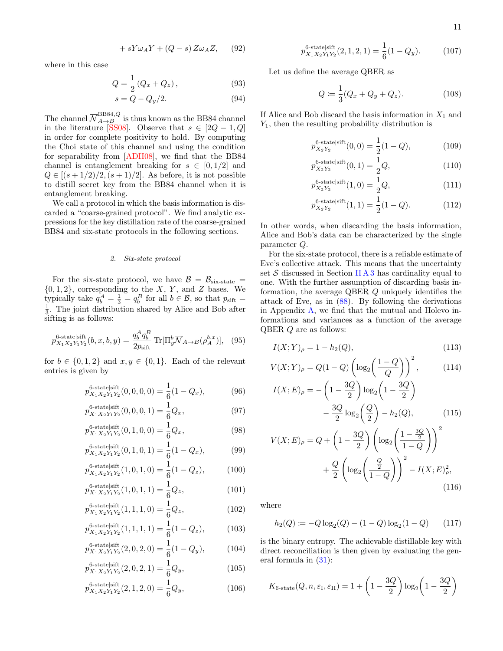<span id="page-10-1"></span>11

$$
+ sY\omega_A Y + (Q - s) Z\omega_A Z, \qquad (92)
$$

where in this case

$$
Q = \frac{1}{2} (Q_x + Q_z), \tag{93}
$$

$$
s = Q - Q_y/2. \tag{94}
$$

The channel  $\overline{N}_{A\to B}^{\text{BB84},Q}$  is thus known as the BB84 channel in the literature [\[SS08\]](#page-28-17). Observe that  $s \in [2Q - 1, Q]$ in order for complete positivity to hold. By computing the Choi state of this channel and using the condition for separability from [\[ADH08\]](#page-24-2), we find that the BB84 channel is entanglement breaking for  $s \in [0, 1/2]$  and  $Q \in [(s+1/2)/2, (s+1)/2]$ . As before, it is not possible to distill secret key from the BB84 channel when it is entanglement breaking.

We call a protocol in which the basis information is discarded a "coarse-grained protocol". We find analytic expressions for the key distillation rate of the coarse-grained BB84 and six-state protocols in the following sections.

### <span id="page-10-0"></span>2. Six-state protocol

For the six-state protocol, we have  $\mathcal{B} = \mathcal{B}_{\text{six-state}} =$  $\{0, 1, 2\}$ , corresponding to the X, Y, and Z bases. We typically take  $q_b^A = \frac{1}{3} = q_b^B$  for all  $b \in \mathcal{B}$ , so that  $p_{\text{sift}} =$  $\frac{1}{3}$ . The joint distribution shared by Alice and Bob after sifting is as follows:

$$
p_{X_1 X_2 Y_1 Y_2}^{\text{6-state}\left|\text{sift}\right.}(b, x, b, y) = \frac{q_b^A q_b^B}{2p_{\text{sift}}} \operatorname{Tr}[\Pi_y^b \overline{\mathcal{N}}_{A \to B}(\rho_A^{b, x})], \quad (95)
$$

for  $b \in \{0, 1, 2\}$  and  $x, y \in \{0, 1\}$ . Each of the relevant entries is given by

$$
p_{X_1 X_2 Y_1 Y_2}^{\text{6-state}|\text{sift}}(0,0,0,0) = \frac{1}{6}(1 - Q_x), \tag{96}
$$

$$
p_{X_1 X_2 Y_1 Y_2}^{\text{6-state|sift}}(0,0,0,1) = \frac{1}{6} Q_x, \tag{97}
$$

$$
p_{X_1 X_2 Y_1 Y_2}^{6\text{-state}|\text{sift}}(0,1,0,0) = \frac{1}{6} Q_x,\tag{98}
$$

$$
p_{X_1 X_2 Y_1 Y_2}^{\text{6-state}|\text{sift}}(0,1,0,1) = \frac{1}{6}(1 - Q_x), \tag{99}
$$

$$
p_{X_1 X_2 Y_1 Y_2}^{\text{6-statelsift}}(1,0,1,0) = \frac{1}{6}(1 - Q_z),\tag{100}
$$

$$
p_{X_1 X_2 Y_1 Y_2}^{\text{6-state}}(1,0,1,1) = \frac{1}{6} Q_z, \tag{101}
$$

$$
p_{X_1 X_2 Y_1 Y_2}^{\text{6-state}|\text{sift}}(1,1,1,0) = \frac{1}{6} Q_z,
$$
\n(102)

$$
p_{X_1 X_2 Y_1 Y_2}^{\text{6-state}|\text{sift}}(1,1,1,1,1) = \frac{1}{6}(1 - Q_z), \tag{103}
$$

$$
p_{X_1 X_2 Y_1 Y_2}^{\text{6-state}|\text{sift}}(2,0,2,0) = \frac{1}{6}(1 - Q_y), \tag{104}
$$

$$
p_{X_1 X_2 Y_1 Y_2}^{\text{6-statelsift}}(2,0,2,1) = \frac{1}{6} Q_y,
$$
\n(105)

$$
p_{X_1 X_2 Y_1 Y_2}^{\text{6-statel}}(2, 1, 2, 0) = \frac{1}{6} Q_y,
$$
\n(106)

$$
p_{X_1 X_2 Y_1 Y_2}^{\text{6-state}\,|\text{sift}}(2,1,2,1) = \frac{1}{6}(1 - Q_y). \tag{107}
$$

Let us define the average QBER as

$$
Q := \frac{1}{3}(Q_x + Q_y + Q_z).
$$
 (108)

If Alice and Bob discard the basis information in  $X_1$  and  $Y_1$ , then the resulting probability distribution is

$$
p_{X_2Y_2}^{\text{6-state}\,|\text{sift}}(0,0) = \frac{1}{2}(1-Q),\tag{109}
$$

$$
p_{X_2Y_2}^{\text{6-state}\,|\text{sift}}(0,1) = \frac{1}{2}Q,\tag{110}
$$

$$
p_{X_2Y_2}^{\text{6-state|sift}}(1,0) = \frac{1}{2}Q,\tag{111}
$$

<span id="page-10-2"></span>
$$
p_{X_2 Y_2}^{6\text{-state/sift}}(1,1) = \frac{1}{2}(1-Q). \tag{112}
$$

In other words, when discarding the basis information, Alice and Bob's data can be characterized by the single parameter Q.

For the six-state protocol, there is a reliable estimate of Eve's collective attack. This means that the uncertainty set  $S$  discussed in Section [II A 3](#page-5-0) has cardinality equal to one. With the further assumption of discarding basis information, the average QBER Q uniquely identifies the attack of Eve, as in [\(88\)](#page-9-0). By following the derivations in Appendix  $\Lambda$ , we find that the mutual and Holevo informations and variances as a function of the average QBER Q are as follows:

$$
I(X;Y)_{\rho} = 1 - h_2(Q), \tag{113}
$$

$$
V(X;Y)_{\rho} = Q(1-Q) \left( \log_2 \left( \frac{1-Q}{Q} \right) \right)^2, \quad (114)
$$

$$
I(X;E)_{\rho} = -\left(1 - \frac{3Q}{2}\right) \log_2\left(1 - \frac{3Q}{2}\right) -\frac{3Q}{2} \log_2\left(\frac{Q}{2}\right) - h_2(Q),\tag{115}
$$

$$
V(X; E)_{\rho} = Q + \left(1 - \frac{3Q}{2}\right) \left(\log_2 \left(\frac{1 - \frac{3Q}{2}}{1 - Q}\right)\right)^2 + \frac{Q}{2} \left(\log_2 \left(\frac{\frac{Q}{2}}{1 - Q}\right)\right)^2 - I(X; E)_{\rho}^2,
$$
\n(116)

where

$$
h_2(Q) := -Q \log_2(Q) - (1 - Q) \log_2(1 - Q) \qquad (117)
$$

is the binary entropy. The achievable distillable key with direct reconciliation is then given by evaluating the general formula in [\(31\)](#page-6-2):

$$
K_{6\text{-state}}(Q, n, \varepsilon_{\text{I}}, \varepsilon_{\text{II}}) = 1 + \left(1 - \frac{3Q}{2}\right) \log_2\left(1 - \frac{3Q}{2}\right)
$$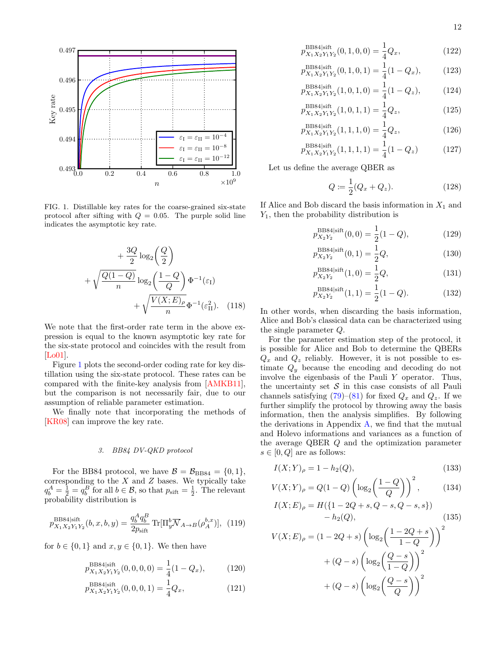

<span id="page-11-1"></span>FIG. 1. Distillable key rates for the coarse-grained six-state protocol after sifting with  $Q = 0.05$ . The purple solid line indicates the asymptotic key rate.

$$
+\frac{3Q}{2}\log_2\left(\frac{Q}{2}\right)
$$

$$
+\sqrt{\frac{Q(1-Q)}{n}}\log_2\left(\frac{1-Q}{Q}\right)\Phi^{-1}(\varepsilon_{\text{I}})
$$

$$
+\sqrt{\frac{V(X;E)_{\rho}}{n}}\Phi^{-1}(\varepsilon_{\text{II}}^2). \quad (118)
$$

We note that the first-order rate term in the above expression is equal to the known asymptotic key rate for the six-state protocol and coincides with the result from [\[Lo01\]](#page-27-18).

Figure [1](#page-11-1) plots the second-order coding rate for key distillation using the six-state protocol. These rates can be compared with the finite-key analysis from [\[AMKB11\]](#page-24-3), but the comparison is not necessarily fair, due to our assumption of reliable parameter estimation.

We finally note that incorporating the methods of [\[KR08\]](#page-27-19) can improve the key rate.

### <span id="page-11-0"></span>3. BB84 DV-QKD protocol

For the BB84 protocol, we have  $\mathcal{B} = \mathcal{B}_{BB84} = \{0, 1\},\$ corresponding to the  $X$  and  $Z$  bases. We typically take  $q_b^A = \frac{1}{2} = q_b^B$  for all  $b \in \mathcal{B}$ , so that  $p_{\text{sift}} = \frac{1}{2}$ . The relevant probability distribution is

$$
p_{X_1 X_2 Y_1 Y_2}^{BB84|\text{sift}}(b, x, b, y) = \frac{q_b^A q_b^B}{2p_{\text{sift}}} \text{Tr}[\Pi_y^b \overline{\mathcal{N}}_{A \to B}(\rho_A^{b, x})], \tag{119}
$$

for  $b \in \{0,1\}$  and  $x, y \in \{0,1\}$ . We then have

$$
p_{X_1 X_2 Y_1 Y_2}^{\text{BB84|sift}}(0,0,0,0) = \frac{1}{4}(1 - Q_x), \quad (120)
$$

$$
p_{X_1 X_2 Y_1 Y_2}^{\text{BB84}\text{|sift}}(0,0,0,1) = \frac{1}{4} Q_x,\tag{121}
$$

$$
p_{X_1 X_2 Y_1 Y_2}^{\text{BB84/sift}}(0, 1, 0, 0) = \frac{1}{4} Q_x,
$$
\n(122)

$$
p_{X_1 X_2 Y_1 Y_2}^{\text{BB84}\mid \text{sift}}(0, 1, 0, 1) = \frac{1}{4}(1 - Q_x), \quad (123)
$$

$$
p_{X_1 X_2 Y_1 Y_2}^{\text{BB84/sift}}(1,0,1,0) = \frac{1}{4}(1 - Q_z), \tag{124}
$$

$$
p_{X_1 X_2 Y_1 Y_2}^{\text{BB84/sift}}(1,0,1,1) = \frac{1}{4} Q_z,
$$
\n(125)

$$
p_{X_1 X_2 Y_1 Y_2}^{\text{BB84}\text{[sift}}(1,1,1,0) = \frac{1}{4} Q_z,\tag{126}
$$

$$
p_{X_1 X_2 Y_1 Y_2}^{\text{BB84}| \text{sift}}(1,1,1,1,1) = \frac{1}{4}(1 - Q_z)
$$
 (127)

Let us define the average QBER as

<span id="page-11-2"></span>
$$
Q := \frac{1}{2}(Q_x + Q_z).
$$
 (128)

If Alice and Bob discard the basis information in  $X_1$  and  $Y_1$ , then the probability distribution is

$$
p_{X_2Y_2}^{\text{BB84}\mid\text{sift}}(0,0) = \frac{1}{2}(1-Q),\tag{129}
$$

$$
p_{X_2Y_2}^{\text{BB84}| \text{sift}}(0,1) = \frac{1}{2}Q,\tag{130}
$$

$$
p_{X_2Y_2}^{\text{BB84}| \text{sift}}(1,0) = \frac{1}{2}Q,\tag{131}
$$

<span id="page-11-3"></span>
$$
p_{X_2Y_2}^{\text{BB84}| \text{sift}}(1,1) = \frac{1}{2}(1-Q). \tag{132}
$$

In other words, when discarding the basis information, Alice and Bob's classical data can be characterized using the single parameter Q.

For the parameter estimation step of the protocol, it is possible for Alice and Bob to determine the QBERs  $Q_x$  and  $Q_z$  reliably. However, it is not possible to estimate  $Q_y$  because the encoding and decoding do not involve the eigenbasis of the Pauli Y operator. Thus, the uncertainty set  $\mathcal S$  in this case consists of all Pauli channels satisfying  $(79)-(81)$  $(79)-(81)$  $(79)-(81)$  for fixed  $Q_x$  and  $Q_z$ . If we further simplify the protocol by throwing away the basis information, then the analysis simplifies. By following the derivations in Appendix  $A$ , we find that the mutual and Holevo informations and variances as a function of the average QBER Q and the optimization parameter  $s \in [0, Q]$  are as follows:

$$
I(X;Y)_{\rho} = 1 - h_2(Q), \qquad (133)
$$

$$
V(X;Y)_{\rho} = Q(1 - Q) \left( \log_2 \left( \frac{1 - Q}{Q} \right) \right)^2, \quad (134)
$$

$$
I(X;E)_{\rho} = H({1 - 2Q + s, Q - s, Q - s, s}) - h_2(Q),
$$
\n(135)

$$
V(X;E)_{\rho} = (1 - 2Q + s) \left( \log_2 \left( \frac{1 - 2Q + s}{1 - Q} \right) \right)^2
$$

$$
+ (Q - s) \left( \log_2 \left( \frac{Q - s}{1 - Q} \right) \right)^2
$$

$$
+ (Q - s) \left( \log_2 \left( \frac{Q - s}{Q} \right) \right)^2
$$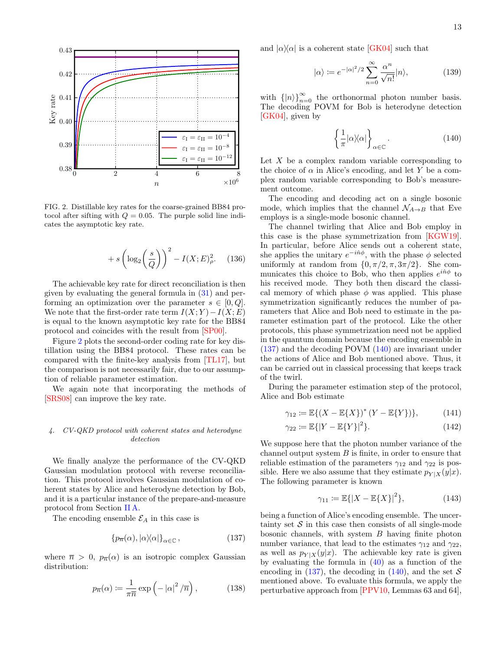

<span id="page-12-1"></span>FIG. 2. Distillable key rates for the coarse-grained BB84 protocol after sifting with  $Q = 0.05$ . The purple solid line indicates the asymptotic key rate.

$$
+ s \left(\log_2\left(\frac{s}{Q}\right)\right)^2 - I(X; E)^2_{\rho}.\tag{136}
$$

The achievable key rate for direct reconciliation is then given by evaluating the general formula in [\(31\)](#page-6-2) and performing an optimization over the parameter  $s \in [0, Q]$ . We note that the first-order rate term  $I(X; Y) - I(X; E)$ is equal to the known asymptotic key rate for the BB84 protocol and coincides with the result from [\[SP00\]](#page-28-1).

Figure [2](#page-12-1) plots the second-order coding rate for key distillation using the BB84 protocol. These rates can be compared with the finite-key analysis from [\[TL17\]](#page-28-5), but the comparison is not necessarily fair, due to our assumption of reliable parameter estimation.

We again note that incorporating the methods of [\[SRS08\]](#page-28-18) can improve the key rate.

## <span id="page-12-0"></span>4. CV-QKD protocol with coherent states and heterodyne detection

We finally analyze the performance of the CV-QKD Gaussian modulation protocol with reverse reconciliation. This protocol involves Gaussian modulation of coherent states by Alice and heterodyne detection by Bob, and it is a particular instance of the prepare-and-measure protocol from Section [II A.](#page-3-1)

The encoding ensemble  $\mathcal{E}_A$  in this case is

<span id="page-12-2"></span>
$$
\{p_{\overline{n}}(\alpha), |\alpha\rangle\langle\alpha|\}_{\alpha \in \mathbb{C}},\tag{137}
$$

where  $\bar{n} > 0$ ,  $p_{\bar{n}}(\alpha)$  is an isotropic complex Gaussian distribution:

<span id="page-12-6"></span>
$$
p_{\overline{n}}(\alpha) \coloneqq \frac{1}{\pi \overline{n}} \exp\left(-\left|\alpha\right|^2 / \overline{n}\right),\tag{138}
$$

and  $|\alpha\rangle\langle\alpha|$  is a coherent state [\[GK04\]](#page-26-20) such that

$$
|\alpha\rangle := e^{-|\alpha|^2/2} \sum_{n=0}^{\infty} \frac{\alpha^n}{\sqrt{n!}} |n\rangle,
$$
 (139)

with  $\{|n\rangle\}_{n=0}^{\infty}$  the orthonormal photon number basis. The decoding POVM for Bob is heterodyne detection [\[GK04\]](#page-26-20), given by

<span id="page-12-3"></span>
$$
\left\{\frac{1}{\pi}|\alpha\rangle\langle\alpha|\right\}_{\alpha\in\mathbb{C}}.\tag{140}
$$

Let  $X$  be a complex random variable corresponding to the choice of  $\alpha$  in Alice's encoding, and let Y be a complex random variable corresponding to Bob's measurement outcome.

The encoding and decoding act on a single bosonic mode, which implies that the channel  $\mathcal{N}_{A\rightarrow B}$  that Eve employs is a single-mode bosonic channel.

The channel twirling that Alice and Bob employ in this case is the phase symmetrization from [\[KGW19\]](#page-27-7). In particular, before Alice sends out a coherent state, she applies the unitary  $e^{-i\hat{n}\phi}$ , with the phase  $\phi$  selected uniformly at random from  $\{0, \pi/2, \pi, 3\pi/2\}$ . She communicates this choice to Bob, who then applies  $e^{i\hat{n}\phi}$  to his received mode. They both then discard the classical memory of which phase  $\phi$  was applied. This phase symmetrization significantly reduces the number of parameters that Alice and Bob need to estimate in the parameter estimation part of the protocol. Like the other protocols, this phase symmetrization need not be applied in the quantum domain because the encoding ensemble in [\(137\)](#page-12-2) and the decoding POVM [\(140\)](#page-12-3) are invariant under the actions of Alice and Bob mentioned above. Thus, it can be carried out in classical processing that keeps track of the twirl.

During the parameter estimation step of the protocol, Alice and Bob estimate

$$
\gamma_{12} := \mathbb{E}\{(X - \mathbb{E}\{X\})^* (Y - \mathbb{E}\{Y\})\},\tag{141}
$$

$$
\gamma_{22} := \mathbb{E}\{|Y - \mathbb{E}\{Y\}|^2\}.
$$
 (142)

We suppose here that the photon number variance of the channel output system  $B$  is finite, in order to ensure that reliable estimation of the parameters  $\gamma_{12}$  and  $\gamma_{22}$  is possible. Here we also assume that they estimate  $p_{Y|X}(y|x)$ . The following parameter is known

<span id="page-12-5"></span><span id="page-12-4"></span>
$$
\gamma_{11} := \mathbb{E}\{|X - \mathbb{E}\{X\}|^2\},\tag{143}
$$

being a function of Alice's encoding ensemble. The uncertainty set  $S$  in this case then consists of all single-mode bosonic channels, with system  $B$  having finite photon number variance, that lead to the estimates  $\gamma_{12}$  and  $\gamma_{22}$ , as well as  $p_{Y|X}(y|x)$ . The achievable key rate is given by evaluating the formula in  $(40)$  as a function of the encoding in [\(137\)](#page-12-2), the decoding in [\(140\)](#page-12-3), and the set  $S$ mentioned above. To evaluate this formula, we apply the perturbative approach from [\[PPV10,](#page-28-8) Lemmas 63 and 64],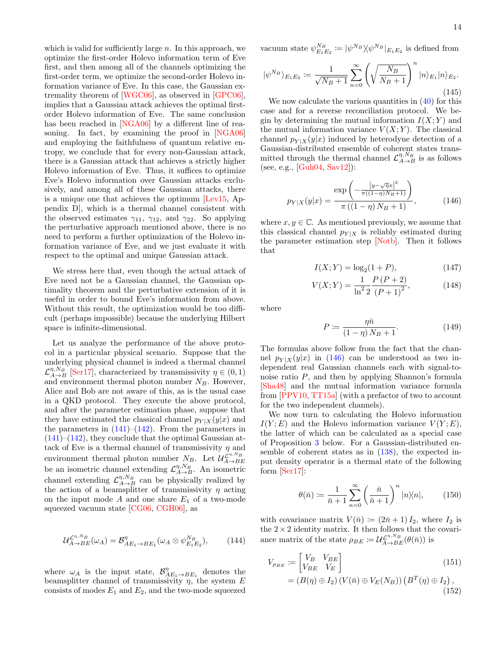which is valid for sufficiently large  $n$ . In this approach, we optimize the first-order Holevo information term of Eve first, and then among all of the channels optimizing the first-order term, we optimize the second-order Holevo information variance of Eve. In this case, the Gaussian extremality theorem of [\[WGC06\]](#page-29-10), as observed in [\[GPC06\]](#page-26-5), implies that a Gaussian attack achieves the optimal firstorder Holevo information of Eve. The same conclusion has been reached in [\[NGA06\]](#page-27-5) by a different line of reasoning. In fact, by examining the proof in [\[NGA06\]](#page-27-5) and employing the faithfulness of quantum relative entropy, we conclude that for every non-Gaussian attack, there is a Gaussian attack that achieves a strictly higher Holevo information of Eve. Thus, it suffices to optimize Eve's Holevo information over Gaussian attacks exclusively, and among all of these Gaussian attacks, there is a unique one that achieves the optimum [\[Lev15,](#page-27-15) Appendix D], which is a thermal channel consistent with the observed estimates  $\gamma_{11}$ ,  $\gamma_{12}$ , and  $\gamma_{22}$ . So applying the perturbative approach mentioned above, there is no need to perform a further optimization of the Holevo information variance of Eve, and we just evaluate it with respect to the optimal and unique Gaussian attack.

We stress here that, even though the actual attack of Eve need not be a Gaussian channel, the Gaussian optimality theorem and the perturbative extension of it is useful in order to bound Eve's information from above. Without this result, the optimization would be too difficult (perhaps impossible) because the underlying Hilbert space is infinite-dimensional.

Let us analyze the performance of the above protocol in a particular physical scenario. Suppose that the underlying physical channel is indeed a thermal channel  $\mathcal{L}_{A\rightarrow B}^{\eta,N_B}$  [\[Ser17\]](#page-28-19), characterized by transmissivity  $\eta \in (0,1)$ and environment thermal photon number  $N_B$ . However, Alice and Bob are not aware of this, as is the usual case in a QKD protocol. They execute the above protocol, and after the parameter estimation phase, suppose that they have estimated the classical channel  $p_{Y|X}(y|x)$  and the parameters in  $(141)$ – $(142)$ . From the parameters in  $(141)$ – $(142)$ , they conclude that the optimal Gaussian attack of Eve is a thermal channel of transmissivity  $\eta$  and environment thermal photon number  $N_B$ . Let  $\mathcal{U}_{A\to BE}^{\mathcal{L}^{\eta,N_B}}$ be an isometric channel extending  $\mathcal{L}_{A\to B}^{\eta,N_B}$ . An isometric channel extending  $\mathcal{L}_{A\to B}^{\eta,N_B}$  can be physically realized by the action of a beamsplitter of transmissivity  $\eta$  acting on the input mode  $A$  and one share  $E_1$  of a two-mode squeezed vacuum state [\[CG06,](#page-25-11) [CGH06\]](#page-25-12), as

$$
\mathcal{U}_{A\to BE}^{\mathcal{L}^{\eta,N_B}}(\omega_A) = \mathcal{B}_{AE_1\to BE_1}^{\eta}(\omega_A \otimes \psi_{E_1E_2}^{N_B}), \tag{144}
$$

where  $\omega_A$  is the input state,  $\mathcal{B}_{AE_1\to BE_1}^{\eta}$  denotes the beamsplitter channel of transmissivity  $\eta$ , the system E consists of modes  $E_1$  and  $E_2$ , and the two-mode squeezed vacuum state  $\psi_{E_1E_2}^{N_B} := |\psi^{N_B} \rangle \! \langle \psi^{N_B} |_{E_1E_2}$  is defined from

$$
|\psi^{N_B}\rangle_{E_1E_2} := \frac{1}{\sqrt{N_B+1}} \sum_{n=0}^{\infty} \left(\sqrt{\frac{N_B}{N_B+1}}\right)^n |n\rangle_{E_1}|n\rangle_{E_2}.
$$
\n(145)

We now calculate the various quantities in  $(40)$  for this case and for a reverse reconciliation protocol. We begin by determining the mutual information  $I(X; Y)$  and the mutual information variance  $V(X;Y)$ . The classical channel  $p_{Y|X}(y|x)$  induced by heterodyne detection of a Gaussian-distributed ensemble of coherent states transmitted through the thermal channel  $\mathcal{L}_{A\to B}^{\eta,N_B}$  is as follows (see, e.g., [\[Guh04,](#page-26-21) [Sav12\]](#page-28-20)):

<span id="page-13-0"></span>
$$
p_{Y|X}(y|x) = \frac{\exp\left(-\frac{|y-\sqrt{\eta}x|^2}{\pi((1-\eta)N_B+1)}\right)}{\pi((1-\eta)N_B+1)},
$$
\n(146)

where  $x, y \in \mathbb{C}$ . As mentioned previously, we assume that this classical channel  $p_{Y|X}$  is reliably estimated during the parameter estimation step [\[Notb\]](#page-27-20). Then it follows that

$$
I(X;Y) = \log_2(1+P),\tag{147}
$$

$$
V(X;Y) = \frac{1}{\ln^2 2} \frac{P(P+2)}{(P+1)^2},
$$
\n(148)

where

$$
P := \frac{\eta \bar{n}}{(1 - \eta) N_B + 1}.
$$
\n(149)

The formulas above follow from the fact that the channel  $p_{Y|X}(y|x)$  in [\(146\)](#page-13-0) can be understood as two independent real Gaussian channels each with signal-tonoise ratio P, and then by applying Shannon's formula [\[Sha48\]](#page-28-21) and the mutual information variance formula from [\[PPV10,](#page-28-8) [TT15a\]](#page-28-22) (with a prefactor of two to account for the two independent channels).

We now turn to calculating the Holevo information  $I(Y; E)$  and the Holevo information variance  $V(Y; E)$ , the latter of which can be calculated as a special case of Proposition [3](#page-14-0) below. For a Gaussian-distributed ensemble of coherent states as in [\(138\)](#page-12-6), the expected input density operator is a thermal state of the following form [\[Ser17\]](#page-28-19):

$$
\theta(\bar{n}) \coloneqq \frac{1}{\bar{n}+1} \sum_{n=0}^{\infty} \left(\frac{\bar{n}}{\bar{n}+1}\right)^n |n\rangle\langle n|, \qquad (150)
$$

with covariance matrix  $V(\bar{n}) \coloneqq (2\bar{n} + 1) I_2$ , where  $I_2$  is the  $2 \times 2$  identity matrix. It then follows that the covariance matrix of the state  $\rho_{BE} := \mathcal{U}_{A\rightarrow BE}^{\mathcal{I}_{\eta},N_{B}}(\theta(\bar{n}))$  is

$$
V_{\rho_{BE}} := \begin{bmatrix} V_B & V_{BE} \\ V_{BE} & V_E \end{bmatrix}
$$
  
=  $(B(\eta) \oplus I_2) (V(\bar{n}) \oplus V_E(N_B)) (B^T(\eta) \oplus I_2),$   
(152)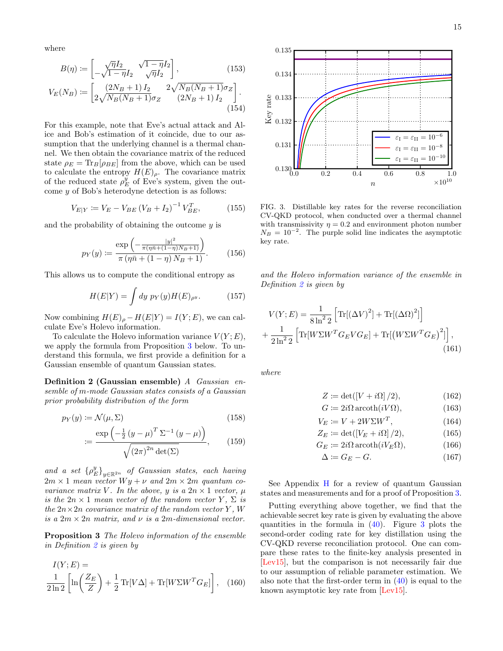where

$$
B(\eta) \coloneqq \begin{bmatrix} \sqrt{\eta}I_2 & \sqrt{1-\eta}I_2 \\ -\sqrt{1-\eta}I_2 & \sqrt{\eta}I_2 \end{bmatrix},\tag{153}
$$

$$
V_E(N_B) := \left[ \frac{(2N_B + 1)I_2}{2\sqrt{N_B(N_B + 1)}\sigma_Z} \frac{2\sqrt{N_B(N_B + 1)}\sigma_Z}{(2N_B + 1)I_2} \right].
$$
\n(154)

For this example, note that Eve's actual attack and Alice and Bob's estimation of it coincide, due to our assumption that the underlying channel is a thermal channel. We then obtain the covariance matrix of the reduced state  $\rho_E = \text{Tr}_B[\rho_{BE}]$  from the above, which can be used to calculate the entropy  $H(E)_{\rho}$ . The covariance matrix of the reduced state  $\rho_E^y$  of Eve's system, given the outcome y of Bob's heterodyne detection is as follows:

$$
V_{E|Y} \coloneqq V_E - V_{BE} \left( V_B + I_2 \right)^{-1} V_{BE}^T,\tag{155}
$$

and the probability of obtaining the outcome  $y$  is

$$
p_Y(y) := \frac{\exp\left(-\frac{|y|^2}{\pi(\eta \bar{n} + (1-\eta)N_B + 1)}\right)}{\pi(\eta \bar{n} + (1-\eta)N_B + 1)}.
$$
 (156)

This allows us to compute the conditional entropy as

$$
H(E|Y) = \int dy \ p_Y(y) H(E)_{\rho^y}.
$$
 (157)

Now combining  $H(E)_{\rho} - H(E|Y) = I(Y; E)$ , we can calculate Eve's Holevo information.

To calculate the Holevo information variance  $V(Y; E)$ , we apply the formula from Proposition [3](#page-14-0) below. To understand this formula, we first provide a definition for a Gaussian ensemble of quantum Gaussian states.

<span id="page-14-1"></span>Definition 2 (Gaussian ensemble) A Gaussian ensemble of m-mode Gaussian states consists of a Gaussian prior probability distribution of the form

$$
p_Y(y) := \mathcal{N}(\mu, \Sigma) \tag{158}
$$

$$
:= \frac{\exp\left(-\frac{1}{2}\left(y-\mu\right)^T \Sigma^{-1} \left(y-\mu\right)\right)}{\sqrt{\left(2\pi\right)^{2n} \det(\Sigma)}},\qquad(159)
$$

and a set  $\{\rho_E^y\}_{y\in\mathbb{R}^{2n}}$  of Gaussian states, each having  $2m \times 1$  mean vector  $Wy + \nu$  and  $2m \times 2m$  quantum covariance matrix V. In the above, y is a  $2n \times 1$  vector,  $\mu$ is the  $2n \times 1$  mean vector of the random vector Y,  $\Sigma$  is the  $2n \times 2n$  covariance matrix of the random vector Y, W is a  $2m \times 2n$  matrix, and  $\nu$  is a  $2m$ -dimensional vector.

<span id="page-14-0"></span>Proposition 3 The Holevo information of the ensemble in Definition [2](#page-14-1) is given by

$$
I(Y; E) =
$$
  
\n
$$
\frac{1}{2 \ln 2} \left[ \ln \left( \frac{Z_E}{Z} \right) + \frac{1}{2} \text{Tr}[V \Delta] + \text{Tr}[W \Sigma W^T G_E] \right], \quad (160)
$$





<span id="page-14-2"></span>FIG. 3. Distillable key rates for the reverse reconciliation CV-QKD protocol, when conducted over a thermal channel with transmissivity  $\eta = 0.2$  and environment photon number  $N_B = 10^{-2}$ . The purple solid line indicates the asymptotic key rate.

and the Holevo information variance of the ensemble in Definition [2](#page-14-1) is given by

$$
V(Y; E) = \frac{1}{8 \ln^2 2} \left[ \text{Tr}[(\Delta V)^2] + \text{Tr}[(\Delta \Omega)^2] \right] + \frac{1}{2 \ln^2 2} \left[ \text{Tr}[W\Sigma W^T G_E V G_E] + \text{Tr}[(W\Sigma W^T G_E)^2] \right],
$$
\n(161)

where

$$
Z \coloneqq \det([V + i\Omega] / 2),\tag{162}
$$

$$
G \coloneqq 2i\Omega \operatorname{arcoth}(iV\Omega),\tag{163}
$$

$$
V_E := V + 2W\Sigma W^T, \qquad (164)
$$

$$
Z_E := \det([V_E + i\Omega]/2),\tag{165}
$$

$$
G_E \coloneqq 2i\Omega \operatorname{arcoth}(iV_E \Omega),\tag{166}
$$

$$
\Delta \coloneqq G_E - G. \tag{167}
$$

See Appendix [H](#page-39-0) for a review of quantum Gaussian states and measurements and for a proof of Proposition [3.](#page-14-0)

Putting everything above together, we find that the achievable secret key rate is given by evaluating the above quantities in the formula in  $(40)$ . Figure [3](#page-14-2) plots the second-order coding rate for key distillation using the CV-QKD reverse reconciliation protocol. One can compare these rates to the finite-key analysis presented in [\[Lev15\]](#page-27-15), but the comparison is not necessarily fair due to our assumption of reliable parameter estimation. We also note that the first-order term in [\(40\)](#page-6-3) is equal to the known asymptotic key rate from [\[Lev15\]](#page-27-15).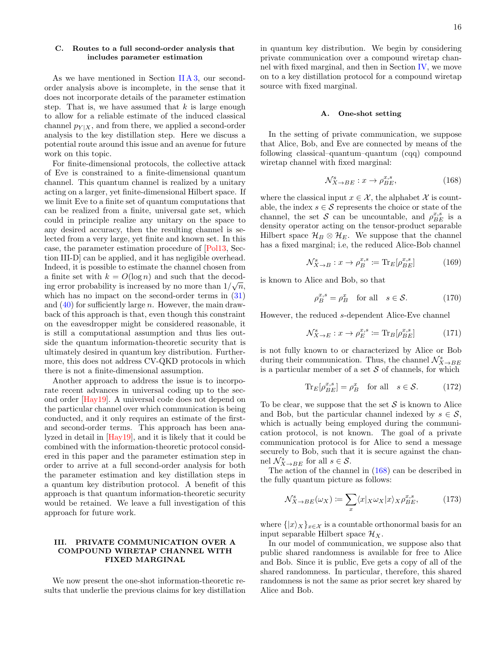<span id="page-15-0"></span>As we have mentioned in Section [II A 3,](#page-5-0) our secondorder analysis above is incomplete, in the sense that it does not incorporate details of the parameter estimation step. That is, we have assumed that  $k$  is large enough to allow for a reliable estimate of the induced classical channel  $p_{Y|X}$ , and from there, we applied a second-order analysis to the key distillation step. Here we discuss a potential route around this issue and an avenue for future work on this topic.

For finite-dimensional protocols, the collective attack of Eve is constrained to a finite-dimensional quantum channel. This quantum channel is realized by a unitary acting on a larger, yet finite-dimensional Hilbert space. If we limit Eve to a finite set of quantum computations that can be realized from a finite, universal gate set, which could in principle realize any unitary on the space to any desired accuracy, then the resulting channel is selected from a very large, yet finite and known set. In this case, the parameter estimation procedure of [\[Pol13,](#page-28-23) Section III-D] can be applied, and it has negligible overhead. Indeed, it is possible to estimate the channel chosen from a finite set with  $k = O(\log n)$  and such that the decoding error probability is increased by no more than  $1/\sqrt{n}$ , which has no impact on the second-order terms in  $(31)$ and  $(40)$  for sufficiently large n. However, the main drawback of this approach is that, even though this constraint on the eavesdropper might be considered reasonable, it is still a computational assumption and thus lies outside the quantum information-theoretic security that is ultimately desired in quantum key distribution. Furthermore, this does not address CV-QKD protocols in which there is not a finite-dimensional assumption.

Another approach to address the issue is to incorporate recent advances in universal coding up to the second order [\[Hay19\]](#page-26-22). A universal code does not depend on the particular channel over which communication is being conducted, and it only requires an estimate of the firstand second-order terms. This approach has been analyzed in detail in [\[Hay19\]](#page-26-22), and it is likely that it could be combined with the information-theoretic protocol considered in this paper and the parameter estimation step in order to arrive at a full second-order analysis for both the parameter estimation and key distillation steps in a quantum key distribution protocol. A benefit of this approach is that quantum information-theoretic security would be retained. We leave a full investigation of this approach for future work.

# <span id="page-15-1"></span>III. PRIVATE COMMUNICATION OVER A COMPOUND WIRETAP CHANNEL WITH FIXED MARGINAL

We now present the one-shot information-theoretic results that underlie the previous claims for key distillation in quantum key distribution. We begin by considering private communication over a compound wiretap channel with fixed marginal, and then in Section [IV,](#page-18-0) we move on to a key distillation protocol for a compound wiretap source with fixed marginal.

### <span id="page-15-2"></span>A. One-shot setting

In the setting of private communication, we suppose that Alice, Bob, and Eve are connected by means of the following classical–quantum–quantum (cqq) compound wiretap channel with fixed marginal:

<span id="page-15-3"></span>
$$
\mathcal{N}_{X \to BE}^s : x \to \rho_{BE}^{x,s},\tag{168}
$$

where the classical input  $x \in \mathcal{X}$ , the alphabet  $\mathcal X$  is countable, the index  $s \in \mathcal{S}$  represents the choice or state of the channel, the set S can be uncountable, and  $\rho_{BE}^{x,s}$  is a density operator acting on the tensor-product separable Hilbert space  $\mathcal{H}_B \otimes \mathcal{H}_E$ . We suppose that the channel has a fixed marginal; i.e, the reduced Alice-Bob channel

$$
\mathcal{N}_{X \to B}^s : x \to \rho_B^{x,s} := \text{Tr}_E[\rho_{BE}^{x,s}] \tag{169}
$$

is known to Alice and Bob, so that

$$
\rho_B^{x,s} = \rho_B^x \quad \text{for all} \quad s \in \mathcal{S}.\tag{170}
$$

However, the reduced s-dependent Alice-Eve channel

$$
\mathcal{N}_{X \to E}^s : x \to \rho_E^{x,s} := \text{Tr}_B[\rho_{BE}^{x,s}] \tag{171}
$$

is not fully known to or characterized by Alice or Bob during their communication. Thus, the channel  $\mathcal{N}_{X\to BE}^s$  is a particular member of a set S of channels, for which

<span id="page-15-4"></span>
$$
\text{Tr}_E[\rho_{BE}^{x,s}] = \rho_B^x \quad \text{for all} \quad s \in \mathcal{S}.\tag{172}
$$

To be clear, we suppose that the set  $S$  is known to Alice and Bob, but the particular channel indexed by  $s \in \mathcal{S}$ , which is actually being employed during the communication protocol, is not known. The goal of a private communication protocol is for Alice to send a message securely to Bob, such that it is secure against the channel  $\mathcal{N}_{X\to BE}^s$  for all  $s \in \mathcal{S}$ .

The action of the channel in [\(168\)](#page-15-3) can be described in the fully quantum picture as follows:

<span id="page-15-5"></span>
$$
\mathcal{N}_{X \to BE}^s(\omega_X) \coloneqq \sum_x \langle x |_{X} \omega_X | x \rangle_X \rho_{BE}^{x,s},\tag{173}
$$

where  $\{|x\rangle_X\}_{x\in\mathcal{X}}$  is a countable orthonormal basis for an input separable Hilbert space  $\mathcal{H}_X$ .

In our model of communication, we suppose also that public shared randomness is available for free to Alice and Bob. Since it is public, Eve gets a copy of all of the shared randomness. In particular, therefore, this shared randomness is not the same as prior secret key shared by Alice and Bob.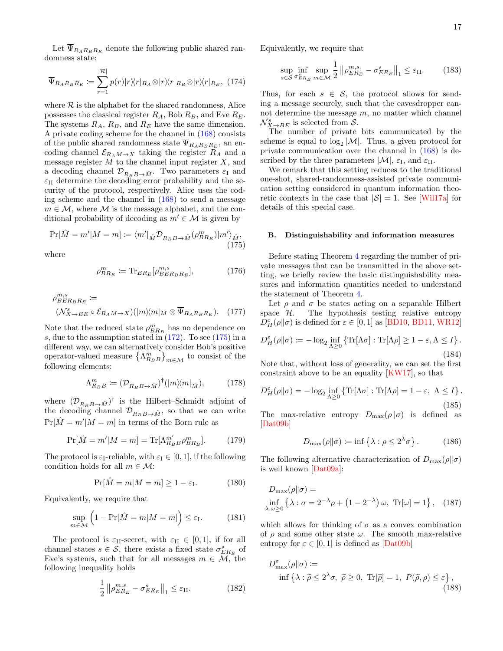Let  $\Psi_{R_{A}R_{B}R_{E}}$  denote the following public shared randomness state:

$$
\overline{\Psi}_{R_{A}R_{B}R_{E}} \coloneqq \sum_{r=1}^{|\mathcal{R}|} p(r)|r\rangle\langle r|_{R_{A}} \otimes |r\rangle\langle r|_{R_{B}} \otimes |r\rangle\langle r|_{R_{E}}, \quad (174)
$$

where  $R$  is the alphabet for the shared randomness, Alice possesses the classical register  $R_A$ , Bob  $R_B$ , and Eve  $R_E$ . The systems  $R_A$ ,  $R_B$ , and  $R_E$  have the same dimension. A private coding scheme for the channel in [\(168\)](#page-15-3) consists of the public shared randomness state  $\overline{\Psi}_{R_{A}R_{B}R_{E}}$ , an encoding channel  $\mathcal{E}_{R_A M \to X}$  taking the register  $R_A$  and a message register  $M$  to the channel input register  $X$ , and a decoding channel  $\mathcal{D}_{R_B B \to \hat{M}}$ . Two parameters  $\varepsilon_I$  and  $\varepsilon_{II}$  determine the decoding error probability and the security of the protocol, respectively. Alice uses the coding scheme and the channel in [\(168\)](#page-15-3) to send a message  $m \in \mathcal{M}$ , where  $\mathcal M$  is the message alphabet, and the conditional probability of decoding as  $m' \in \mathcal{M}$  is given by

<span id="page-16-1"></span>
$$
\Pr[\hat{M} = m'|M = m] \coloneqq \langle m'|_{\hat{M}} \mathcal{D}_{R_B B \to \hat{M}}(\rho_{BR_B}^m)|m'\rangle_{\hat{M}},\tag{175}
$$

where

$$
\rho_{BR_B}^m := \text{Tr}_{ER_E}[\rho_{BER_B R_E}^{m,s}],\tag{176}
$$

$$
\rho_{BER_B R_E}^{m,s} :=
$$
  

$$
(\mathcal{N}_{X \to BE}^s \circ \mathcal{E}_{R_A M \to X})(|m\rangle\langle m|_M \otimes \overline{\Psi}_{R_A R_B R_E}).
$$
 (177)

Note that the reduced state  $\rho_{BR_B}^{m}$  has no dependence on s, due to the assumption stated in  $(172)$ . To see  $(175)$  in a different way, we can alternatively consider Bob's positive operator-valued measure  $\left\{\Lambda_{R_B}^m\right\}_{m\in\mathcal{M}}$  to consist of the following elements:

$$
\Lambda_{R_B B}^m := (\mathcal{D}_{R_B B \to \hat{M}})^\dagger (|m \rangle \langle m|_{\hat{M}}), \tag{178}
$$

where  $(\mathcal{D}_{R_B B \to \hat{M}})^\dagger$  is the Hilbert–Schmidt adjoint of the decoding channel  $\mathcal{D}_{R_B B \to \hat{M}}$ , so that we can write  $Pr[\hat{M} = m'|M = m]$  in terms of the Born rule as

$$
\Pr[\hat{M} = m'|M = m] = \text{Tr}[\Lambda_{R_B}^{m'} \rho_{BR_B}^{m}]. \tag{179}
$$

The protocol is  $\varepsilon_{\text{I}}$ -reliable, with  $\varepsilon_{\text{I}} \in [0, 1]$ , if the following condition holds for all  $m \in \mathcal{M}$ :

$$
\Pr[\hat{M} = m | M = m] \ge 1 - \varepsilon_{\text{I}}.
$$
 (180)

Equivalently, we require that

$$
\sup_{m \in \mathcal{M}} \left( 1 - \Pr[\hat{M} = m | M = m] \right) \le \varepsilon_{\text{I}}.\tag{181}
$$

The protocol is  $\varepsilon_{\text{II}}$ -secret, with  $\varepsilon_{\text{II}} \in [0,1]$ , if for all channel states  $s \in \mathcal{S}$ , there exists a fixed state  $\sigma_{ER_E}^s$  of Eve's systems, such that for all messages  $m \in \mathcal{M}$ , the following inequality holds

$$
\frac{1}{2} \left\| \rho_{ER_E}^{m,s} - \sigma_{ER_E}^s \right\|_1 \le \varepsilon_{\text{II}}.\tag{182}
$$

Equivalently, we require that

$$
\sup_{s \in \mathcal{S}} \inf_{\sigma_{ER_E}^s} \sup_{m \in \mathcal{M}} \frac{1}{2} \| \rho_{ER_E}^{m,s} - \sigma_{ER_E}^s \|_1 \le \varepsilon_{\text{II}}.\tag{183}
$$

Thus, for each  $s \in \mathcal{S}$ , the protocol allows for sending a message securely, such that the eavesdropper cannot determine the message  $m$ , no matter which channel  $\mathcal{N}_{X\to BE}^s$  is selected from  $\mathcal{S}$ .

The number of private bits communicated by the scheme is equal to  $\log_2|M|$ . Thus, a given protocol for private communication over the channel in [\(168\)](#page-15-3) is described by the three parameters  $|\mathcal{M}|$ ,  $\varepsilon_I$ , and  $\varepsilon_{II}$ .

We remark that this setting reduces to the traditional one-shot, shared-randomness-assisted private communication setting considered in quantum information theoretic contexts in the case that  $|S| = 1$ . See [\[Wil17a\]](#page-29-6) for details of this special case.

### <span id="page-16-0"></span>B. Distinguishability and information measures

Before stating Theorem [4](#page-17-1) regarding the number of private messages that can be transmitted in the above setting, we briefly review the basic distinguishability measures and information quantities needed to understand the statement of Theorem [4.](#page-17-1)

Let  $\rho$  and  $\sigma$  be states acting on a separable Hilbert space  $H$ . The hypothesis testing relative entropy  $\bar{D}_H^{\varepsilon}(\rho\|\sigma)$  is defined for  $\varepsilon \in [0,1]$  as [\[BD10,](#page-25-13) [BD11,](#page-25-14) [WR12\]](#page-29-11)

$$
D_H^{\varepsilon}(\rho \| \sigma) := -\log_2 \inf_{\Lambda \ge 0} \left\{ \text{Tr}[\Lambda \sigma] : \text{Tr}[\Lambda \rho] \ge 1 - \varepsilon, \Lambda \le I \right\}. \tag{184}
$$

Note that, without loss of generality, we can set the first constraint above to be an equality [\[KW17\]](#page-27-11), so that

$$
D_H^{\varepsilon}(\rho \| \sigma) = -\log_2 \inf_{\Lambda \ge 0} \left\{ \text{Tr}[\Lambda \sigma] : \text{Tr}[\Lambda \rho] = 1 - \varepsilon, \ \Lambda \le I \right\}.
$$
\n(185)

The max-relative entropy  $D_{\text{max}}(\rho||\sigma)$  is defined as [\[Dat09b\]](#page-25-15)

<span id="page-16-2"></span>
$$
D_{\max}(\rho||\sigma) := \inf \left\{ \lambda : \rho \le 2^{\lambda} \sigma \right\}. \tag{186}
$$

The following alternative characterization of  $D_{\text{max}}(\rho||\sigma)$ is well known [\[Dat09a\]](#page-25-16):

$$
D_{\max}(\rho||\sigma) =
$$
  
\n
$$
\inf_{\lambda,\omega \ge 0} \left\{ \lambda : \sigma = 2^{-\lambda}\rho + \left(1 - 2^{-\lambda}\right)\omega, \text{ Tr}[\omega] = 1 \right\}, \quad (187)
$$

which allows for thinking of  $\sigma$  as a convex combination of  $\rho$  and some other state  $\omega$ . The smooth max-relative entropy for  $\varepsilon \in [0, 1]$  is defined as  $\overline{[{\rm Dat}09b]}$ 

$$
D_{\max}^{\varepsilon}(\rho \| \sigma) :=
$$
  
inf  $\{\lambda : \tilde{\rho} \le 2^{\lambda}\sigma, \ \tilde{\rho} \ge 0, \ \text{Tr}[\tilde{\rho}] = 1, \ P(\tilde{\rho}, \rho) \le \varepsilon \},$  (188)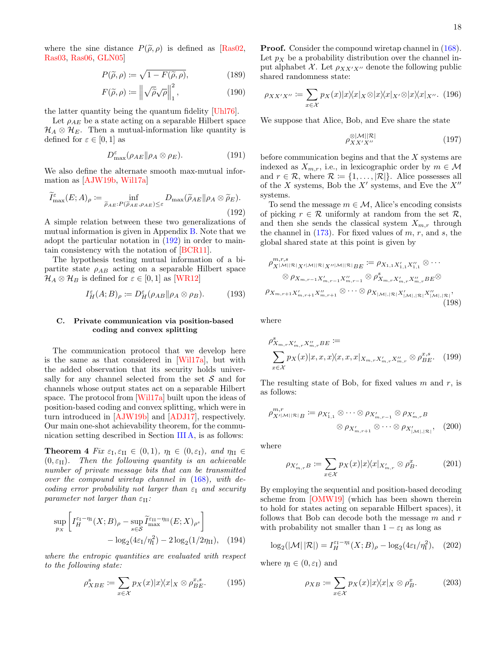where the sine distance  $P(\tilde{\rho}, \rho)$  is defined as [\[Ras02,](#page-28-24) [Ras03,](#page-28-25) [Ras06,](#page-28-26) [GLN05\]](#page-26-23)

$$
P(\tilde{\rho}, \rho) := \sqrt{1 - F(\tilde{\rho}, \rho)},\tag{189}
$$

$$
F(\tilde{\rho}, \rho) \coloneqq \left\| \sqrt{\tilde{\rho}} \sqrt{\rho} \right\|_{1}^{2},\tag{190}
$$

the latter quantity being the quantum fidelity [\[Uhl76\]](#page-29-12).

Let  $\rho_{AE}$  be a state acting on a separable Hilbert space  $\mathcal{H}_A \otimes \mathcal{H}_E$ . Then a mutual-information like quantity is defined for  $\varepsilon \in [0,1]$  as

<span id="page-17-4"></span>
$$
D_{\max}^{\varepsilon}(\rho_{AE} \| \rho_A \otimes \rho_E). \tag{191}
$$

We also define the alternate smooth max-mutual information as [\[AJW19b,](#page-24-4) [Wil17a\]](#page-29-6)

<span id="page-17-2"></span>
$$
\widetilde{I}^{\varepsilon}_{\max}(E;A)_{\rho} := \inf_{\widetilde{\rho}_{AE}:P(\widetilde{\rho}_{AE},\rho_{AE}) \leq \varepsilon} D_{\max}(\widetilde{\rho}_{AE} \| \rho_A \otimes \widetilde{\rho}_E).
$$
\n(192)

A simple relation between these two generalizations of mutual information is given in Appendix [B.](#page-32-0) Note that we adopt the particular notation in [\(192\)](#page-17-2) in order to maintain consistency with the notation of [\[BCR11\]](#page-25-17).

The hypothesis testing mutual information of a bipartite state  $\rho_{AB}$  acting on a separable Hilbert space  $\mathcal{H}_A \otimes \mathcal{H}_B$  is defined for  $\varepsilon \in [0,1]$  as [\[WR12\]](#page-29-11)

$$
I_H^{\varepsilon}(A;B)_{\rho} := D_H^{\varepsilon}(\rho_{AB} || \rho_A \otimes \rho_B). \tag{193}
$$

# <span id="page-17-0"></span>C. Private communication via position-based coding and convex splitting

The communication protocol that we develop here is the same as that considered in [\[Wil17a\]](#page-29-6), but with the added observation that its security holds universally for any channel selected from the set  $S$  and for channels whose output states act on a separable Hilbert space. The protocol from [\[Wil17a\]](#page-29-6) built upon the ideas of position-based coding and convex splitting, which were in turn introduced in [\[AJW19b\]](#page-24-4) and [\[ADJ17\]](#page-24-5), respectively. Our main one-shot achievability theorem, for the communication setting described in Section [III A,](#page-15-2) is as follows:

<span id="page-17-1"></span>**Theorem 4** Fix  $\varepsilon_I, \varepsilon_{II} \in (0, 1), \eta_I \in (0, \varepsilon_I), \text{ and } \eta_{II} \in$  $(0, \varepsilon_{\text{II}})$ . Then the following quantity is an achievable number of private message bits that can be transmitted over the compound wiretap channel in [\(168\)](#page-15-3), with decoding error probability not larger than  $\varepsilon_1$  and security parameter not larger than  $\varepsilon_{\text{II}}$ :

$$
\sup_{p_X} \left[ I_H^{\varepsilon_1 - \eta_1}(X; B)_{\rho} - \sup_{s \in \mathcal{S}} \widetilde{I}_{\max}^{\varepsilon_{\text{II}} - \eta_{\text{II}}}(E; X)_{\rho^s} \right] - \log_2(4\varepsilon_1/\eta_1^2) - 2\log_2(1/2\eta_{\text{II}}), \quad (194)
$$

where the entropic quantities are evaluated with respect to the following state:

$$
\rho_{XBE}^s := \sum_{x \in \mathcal{X}} p_X(x) |x\rangle\langle x|_X \otimes \rho_{BE}^{x,s}.
$$
 (195)

**Proof.** Consider the compound wiretap channel in  $(168)$ . Let  $p_X$  be a probability distribution over the channel input alphabet X. Let  $\rho_{XX'X''}$  denote the following public shared randomness state:

$$
\rho_{XX'X''} := \sum_{x \in \mathcal{X}} p_X(x) |x\rangle\langle x|_X \otimes |x\rangle\langle x|_{X'} \otimes |x\rangle\langle x|_{X''}.
$$
 (196)

We suppose that Alice, Bob, and Eve share the state

$$
\rho_{XX'X''}^{\otimes|\mathcal{M}||\mathcal{R}|} \tag{197}
$$

before communication begins and that the X systems are indexed as  $X_{m,r}$ , i.e., in lexicographic order by  $m \in \mathcal{M}$ and  $r \in \mathcal{R}$ , where  $\mathcal{R} \coloneqq \{1, \ldots, |\mathcal{R}|\}$ . Alice possesses all of the X systems, Bob the  $X'$  systems, and Eve the  $X''$ systems.

To send the message  $m \in \mathcal{M}$ , Alice's encoding consists of picking  $r \in \mathcal{R}$  uniformly at random from the set  $\mathcal{R}$ , and then she sends the classical system  $X_{m,r}$  through the channel in  $(173)$ . For fixed values of m, r, and s, the global shared state at this point is given by

$$
\rho_{X^{|\mathcal{M}||\mathcal{R}|}X^{|\mathcal{M}||\mathcal{R}|}X^{|\mathcal{M}||\mathcal{R}|}X^{|\mathcal{M}||\mathcal{R}|}B^{E}} := \rho_{X_{1,1}X'_{1,1}X''_{1,1}} \otimes \cdots
$$
  

$$
\otimes \rho_{X_{m,r-1}X'_{m,r-1}X''_{m,r-1}} \otimes \rho_{X_{m,r}X'_{m,r}X''_{m,r}B^{E}}^{\vee} \otimes
$$
  

$$
\rho_{X_{m,r+1}X'_{m,r+1}X''_{m,r+1}} \otimes \cdots \otimes \rho_{X_{|\mathcal{M}|,|\mathcal{R}|}X'_{|\mathcal{M}|,|\mathcal{R}|}X''_{|\mathcal{M}|,|\mathcal{R}|}},
$$
(198)

where

$$
\rho_{X_{m,r}X'_{m,r}X''_{m,r}BE}^{s} := \sum_{x \in \mathcal{X}} p_X(x)|x, x, x \rangle \langle x, x, x|_{X_{m,r}X'_{m,r}X''_{m,r}} \otimes \rho_{BE}^{x,s}.
$$
 (199)

The resulting state of Bob, for fixed values  $m$  and  $r$ , is as follows:

$$
\rho_{X'|M||\mathcal{R}|B}^{m,r} \coloneqq \rho_{X'_{1,1}} \otimes \cdots \otimes \rho_{X'_{m,r-1}} \otimes \rho_{X'_{m,r}B}
$$

$$
\otimes \rho_{X'_{m,r+1}} \otimes \cdots \otimes \rho_{X'_{|M|,|\mathcal{R}|}}, \quad (200)
$$

where

<span id="page-17-3"></span>
$$
\rho_{X'_{m,r}B} \coloneqq \sum_{x \in \mathcal{X}} p_X(x) |x \rangle \langle x |_{X'_{m,r}} \otimes \rho_B^x. \tag{201}
$$

By employing the sequential and position-based decoding scheme from [\[OMW19\]](#page-27-10) (which has been shown therein to hold for states acting on separable Hilbert spaces), it follows that Bob can decode both the message  $m$  and  $r$ with probability not smaller than  $1 - \varepsilon_I$  as long as

$$
\log_2(|\mathcal{M}| |\mathcal{R}|) = I_H^{\varepsilon_1 - \eta_1}(X; B)_{\rho} - \log_2(4\varepsilon_1/\eta_1^2), \quad (202)
$$

where  $\eta_{\text{I}} \in (0, \varepsilon_{\text{I}})$  and

$$
\rho_{XB} := \sum_{x \in \mathcal{X}} p_X(x) |x\rangle\langle x|_X \otimes \rho_B^x. \tag{203}
$$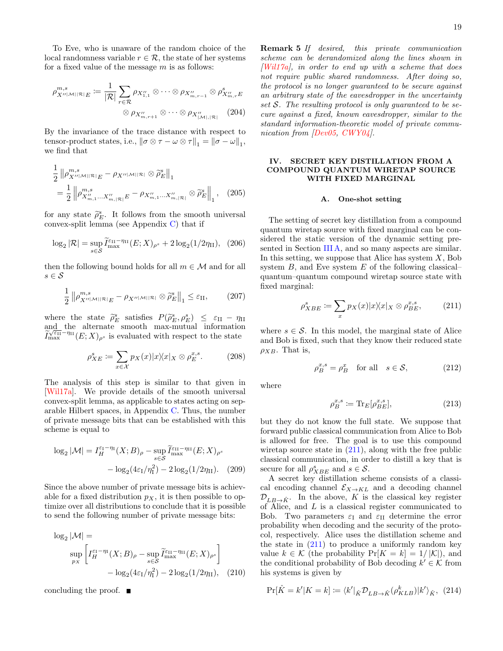To Eve, who is unaware of the random choice of the local randomness variable  $r \in \mathcal{R}$ , the state of her systems for a fixed value of the message  $m$  is as follows:

$$
\rho_{X''|M||R|E}^{m,s} := \frac{1}{|\mathcal{R}|} \sum_{r \in \mathcal{R}} \rho_{X''_{1,1}} \otimes \cdots \otimes \rho_{X''_{m,r-1}} \otimes \rho_{X''_{m,r}E}^s
$$

$$
\otimes \rho_{X''_{m,r+1}} \otimes \cdots \otimes \rho_{X''_{|M|,|\mathcal{R}|}} \qquad (204)
$$

By the invariance of the trace distance with respect to tensor-product states, i.e.,  $\|\sigma \otimes \tau - \omega \otimes \tau\|_1 = \|\sigma - \omega\|_1$ , we find that

$$
\frac{1}{2} \left\| \rho_{X''|\mathcal{M}||\mathcal{R}|E}^{m,s} - \rho_{X''|\mathcal{M}||\mathcal{R}|} \otimes \tilde{\rho}_E^s \right\|_1
$$
\n
$$
= \frac{1}{2} \left\| \rho_{X''_{m,1}...X''_{m,|\mathcal{R}|}E}^{m,s} - \rho_{X''_{m,1}...X''_{m,|\mathcal{R}|}} \otimes \tilde{\rho}_E^s \right\|_1, \quad (205)
$$

for any state  $\tilde{\rho}_E^s$ . It follows from the smooth universal<br>convex-split lemma (see Appendix C) that if convex-split lemma (see Appendix [C\)](#page-33-0) that if

$$
\log_2 |\mathcal{R}| = \sup_{s \in \mathcal{S}} \widetilde{I}_{\max}^{\varepsilon_{\text{II}} - \eta_{\text{II}}}(E; X)_{\rho^s} + 2 \log_2(1/2\eta_{\text{II}}), \tag{206}
$$

then the following bound holds for all  $m \in \mathcal{M}$  and for all  $s \in \mathcal{S}$ 

$$
\frac{1}{2} \left\| \rho_{X''|\mathcal{M}||\mathcal{R}|E}^{m,s} - \rho_{X''|\mathcal{M}||\mathcal{R}|} \otimes \widetilde{\rho}_E^s \right\|_1 \le \varepsilon_{\text{II}},\tag{207}
$$

where the state  $\tilde{\rho}_{E}^{s}$  satisfies  $P(\tilde{\rho}_{E}^{s}, \rho_{E}^{s}) \leq \varepsilon_{\text{II}} - \eta_{\text{II}}$ and the alternate smooth max-mutual information  $\widetilde{I}_{\max}^{\sqrt{\varepsilon_{\text{II}}}-\eta_{\text{II}}}(E;X)_{\rho^s}$  is evaluated with respect to the state

$$
\rho_{XE}^s := \sum_{x \in \mathcal{X}} p_X(x) |x \rangle \langle x |_X \otimes \rho_E^{x,s}.
$$
 (208)

The analysis of this step is similar to that given in [\[Wil17a\]](#page-29-6). We provide details of the smooth universal convex-split lemma, as applicable to states acting on separable Hilbert spaces, in Appendix [C.](#page-33-0) Thus, the number of private message bits that can be established with this scheme is equal to

$$
\log_2|\mathcal{M}| = I_H^{\varepsilon_1 - \eta_1}(X; B)_{\rho} - \sup_{s \in \mathcal{S}} \widetilde{I}_{\max}^{\varepsilon_{\text{II}} - \eta_{\text{II}}}(E; X)_{\rho^s}
$$

$$
- \log_2(4\varepsilon_1/\eta_1^2) - 2\log_2(1/2\eta_{\text{II}}). \quad (209)
$$

Since the above number of private message bits is achievable for a fixed distribution  $p<sub>X</sub>$ , it is then possible to optimize over all distributions to conclude that it is possible to send the following number of private message bits:

$$
\log_2 |\mathcal{M}| = \sup_{p_X} \left[ I_H^{\varepsilon_1 - \eta_1}(X; B)_{\rho} - \sup_{s \in \mathcal{S}} \widetilde{I}_{\max}^{\varepsilon_{\text{II}} - \eta_{\text{II}}}(E; X)_{\rho^s} \right] - \log_2(4\varepsilon_1/\eta_1^2) - 2\log_2(1/2\eta_{\text{II}}), \quad (210)
$$

concluding the proof.

<span id="page-18-3"></span>Remark 5 If desired, this private communication scheme can be derandomized along the lines shown in  $[Will7a],$  in order to end up with a scheme that does not require public shared randomness. After doing so, the protocol is no longer guaranteed to be secure against an arbitrary state of the eavesdropper in the uncertainty set  $S$ . The resulting protocol is only guaranteed to be secure against a fixed, known eavesdropper, similar to the standard information-theoretic model of private communication from [\[Dev05,](#page-26-24) [CWY04\]](#page-25-18).

# <span id="page-18-0"></span>IV. SECRET KEY DISTILLATION FROM A COMPOUND QUANTUM WIRETAP SOURCE WITH FIXED MARGINAL

### <span id="page-18-1"></span>A. One-shot setting

The setting of secret key distillation from a compound quantum wiretap source with fixed marginal can be considered the static version of the dynamic setting pre-sented in Section [III A,](#page-15-2) and so many aspects are similar. In this setting, we suppose that Alice has system  $X$ , Bob system  $B$ , and Eve system  $E$  of the following classical– quantum–quantum compound wiretap source state with fixed marginal:

<span id="page-18-2"></span>
$$
\rho_{XBE}^s \coloneqq \sum_x p_X(x) |x\rangle\langle x|_X \otimes \rho_{BE}^{x,s},\tag{211}
$$

where  $s \in \mathcal{S}$ . In this model, the marginal state of Alice and Bob is fixed, such that they know their reduced state  $\rho_{XB}$ . That is,

$$
\rho_B^{x,s} = \rho_B^x \quad \text{for all} \quad s \in \mathcal{S},\tag{212}
$$

where

$$
\rho_B^{x,s} \coloneqq \text{Tr}_E[\rho_{BE}^{x,s}],\tag{213}
$$

but they do not know the full state. We suppose that forward public classical communication from Alice to Bob is allowed for free. The goal is to use this compound wiretap source state in [\(211\)](#page-18-2), along with the free public classical communication, in order to distill a key that is secure for all  $\rho_{XBE}^s$  and  $s \in \mathcal{S}$ .

A secret key distillation scheme consists of a classical encoding channel  $\mathcal{E}_{X\to KL}$  and a decoding channel  $\mathcal{D}_{LB\rightarrow \hat{K}}$ . In the above, K is the classical key register of Alice, and L is a classical register communicated to Bob. Two parameters  $\varepsilon_{\text{I}}$  and  $\varepsilon_{\text{II}}$  determine the error probability when decoding and the security of the protocol, respectively. Alice uses the distillation scheme and the state in  $(211)$  to produce a uniformly random key value  $k \in \mathcal{K}$  (the probability  $Pr[K = k] = 1/|\mathcal{K}|$ ), and the conditional probability of Bob decoding  $k' \in \mathcal{K}$  from his systems is given by

$$
\Pr[\hat{K} = k' | K = k] := \langle k' |_{\hat{K}} \mathcal{D}_{LB \to \hat{K}}(\rho_{KLB}^k) | k' \rangle_{\hat{K}}, \tag{214}
$$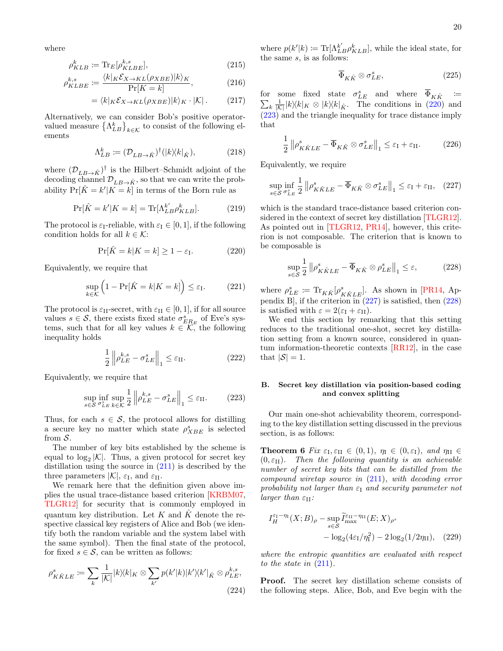where

$$
\rho_{KLB}^k := \text{Tr}_E[\rho_{KLBE}^{k,s}],\tag{215}
$$

$$
\rho_{KLBE}^{k,s} \coloneqq \frac{\langle k|_K \mathcal{E}_{X \to KL}(\rho_{XBE})|k\rangle_K}{\Pr[K=k]},\tag{216}
$$

$$
= \langle k|_K \mathcal{E}_{X \to KL}(\rho_{XBE})|k\rangle_K \cdot |\mathcal{K}|. \tag{217}
$$

Alternatively, we can consider Bob's positive operatorvalued measure  $\{\Lambda_{LB}^k\}_{k\in\mathcal{K}}$  to consist of the following elements. ements

$$
\Lambda_{LB}^k := (\mathcal{D}_{LB \to \hat{K}})^\dagger (|k\rangle\langle k|_{\hat{K}}), \tag{218}
$$

where  $(\mathcal{D}_{LB\to \hat{K}})^\dagger$  is the Hilbert–Schmidt adjoint of the decoding channel  $\mathcal{D}_{LB\to \hat{K}}$ , so that we can write the probability  $Pr[\hat{K} = k' | K = k]$  in terms of the Born rule as

$$
\Pr[\hat{K} = k'|K = k] = \text{Tr}[\Lambda_{LB}^{k'} \rho_{KLB}^{k}]. \tag{219}
$$

The protocol is  $\varepsilon_{\text{I}}$ -reliable, with  $\varepsilon_{\text{I}} \in [0, 1]$ , if the following condition holds for all  $k \in \mathcal{K}$ :

<span id="page-19-2"></span>
$$
\Pr[\hat{K} = k | K = k] \ge 1 - \varepsilon_{\text{I}}.
$$
\n(220)

Equivalently, we require that

$$
\sup_{k \in \mathcal{K}} \left( 1 - \Pr[\hat{K} = k | K = k] \right) \le \varepsilon_{\mathrm{I}}.\tag{221}
$$

The protocol is  $\varepsilon_{\text{II}}$ -secret, with  $\varepsilon_{\text{II}} \in [0,1]$ , if for all source values  $s \in \mathcal{S}$ , there exists fixed state  $\sigma_{ER_E}^s$  of Eve's systems, such that for all key values  $k \in \mathcal{K}$ , the following inequality holds

$$
\frac{1}{2} \left\| \rho_{LE}^{k,s} - \sigma_{LE}^s \right\|_1 \le \varepsilon_{\text{II}}.\tag{222}
$$

Equivalently, we require that

<span id="page-19-3"></span>
$$
\sup_{s \in \mathcal{S}} \inf_{\sigma_{LE}^s} \sup_{k \in \mathcal{K}} \frac{1}{2} \left\| \rho_{LE}^{k,s} - \sigma_{LE}^s \right\|_1 \le \varepsilon_{\text{II}}.\tag{223}
$$

Thus, for each  $s \in \mathcal{S}$ , the protocol allows for distilling a secure key no matter which state  $\rho_{XBE}^{s}$  is selected from S.

The number of key bits established by the scheme is equal to  $\log_2 |\mathcal{K}|$ . Thus, a given protocol for secret key distillation using the source in [\(211\)](#page-18-2) is described by the three parameters  $|\mathcal{K}|$ ,  $\varepsilon_{\text{I}}$ , and  $\varepsilon_{\text{II}}$ .

We remark here that the definition given above implies the usual trace-distance based criterion [\[KRBM07,](#page-27-21) [TLGR12\]](#page-28-4) for security that is commonly employed in quantum key distribution. Let K and  $\hat{K}$  denote the respective classical key registers of Alice and Bob (we identify both the random variable and the system label with the same symbol). Then the final state of the protocol, for fixed  $s \in \mathcal{S}$ , can be written as follows:

$$
\rho_{K\hat{K}LE}^s := \sum_{k} \frac{1}{|\mathcal{K}|} |k\rangle\langle k|_K \otimes \sum_{k'} p(k'|k) |k'\rangle\langle k'|_{\hat{K}} \otimes \rho_{LE}^{k,s},
$$
\n(224)

where  $p(k'|k) := \text{Tr}[\Lambda_{LB}^{k'} \rho_{KLB}^k]$ , while the ideal state, for the same  $s$ , is as follows:

$$
\overline{\Phi}_{K\hat{K}} \otimes \sigma_{LE}^s,\tag{225}
$$

for some fixed state  $\sigma_I^s$  $\sum$  ${}_{LE}^s$  and where  $\overline{\Phi}_{K\hat{K}}$  :=  $\frac{1}{|k|} |k\rangle\langle k|_K \otimes |k\rangle\langle k|_{\hat{K}}$ . The conditions in [\(220\)](#page-19-2) and [\(223\)](#page-19-3) and the triangle inequality for trace distance imply that

$$
\frac{1}{2} \left\| \rho_{K\hat{K}LE}^s - \overline{\Phi}_{K\hat{K}} \otimes \sigma_{LE}^s \right\|_1 \le \varepsilon_{\mathrm{I}} + \varepsilon_{\mathrm{II}}.\tag{226}
$$

Equivalently, we require

<span id="page-19-4"></span>
$$
\sup_{s \in \mathcal{S}} \inf_{\sigma_{LE}^s} \frac{1}{2} \| \rho_{K\hat{K}LE}^s - \overline{\Phi}_{K\hat{K}} \otimes \sigma_{LE}^s \|_1 \le \varepsilon_{\mathrm{I}} + \varepsilon_{\mathrm{II}}, \quad (227)
$$

which is the standard trace-distance based criterion considered in the context of secret key distillation [\[TLGR12\]](#page-28-4). As pointed out in [\[TLGR12,](#page-28-4) [PR14\]](#page-28-27), however, this criterion is not composable. The criterion that is known to be composable is

<span id="page-19-5"></span>
$$
\sup_{s \in \mathcal{S}} \frac{1}{2} \| \rho_{K\hat{K}LE}^s - \overline{\Phi}_{K\hat{K}} \otimes \rho_{LE}^s \|_1 \le \varepsilon, \tag{228}
$$

where  $\rho_{LE}^s \coloneqq \text{Tr}_{K\hat{K}}[\rho_{K\hat{K}LE}^s]$ . As shown in [\[PR14,](#page-28-27) Appendix B, if the criterion in  $(227)$  is satisfied, then  $(228)$ is satisfied with  $\varepsilon = 2(\varepsilon_{\text{I}} + \varepsilon_{\text{II}})$ .

We end this section by remarking that this setting reduces to the traditional one-shot, secret key distillation setting from a known source, considered in quantum information-theoretic contexts [\[RR12\]](#page-28-28), in the case that  $|\mathcal{S}| = 1$ .

# <span id="page-19-0"></span>B. Secret key distillation via position-based coding and convex splitting

Our main one-shot achievability theorem, corresponding to the key distillation setting discussed in the previous section, is as follows:

<span id="page-19-1"></span>**Theorem 6** Fix  $\varepsilon_{\text{I}}, \varepsilon_{\text{II}} \in (0, 1)$ ,  $\eta_{\text{I}} \in (0, \varepsilon_{\text{I}})$ , and  $\eta_{\text{II}} \in$  $(0, \varepsilon_{\text{II}})$ . Then the following quantity is an achievable number of secret key bits that can be distilled from the compound wiretap source in [\(211\)](#page-18-2), with decoding error probability not larger than  $\varepsilon_1$  and security parameter not larger than  $\varepsilon_{\text{II}}$ :

$$
I_H^{\varepsilon_1-\eta_1}(X;B)_{\rho} - \sup_{s \in \mathcal{S}} \widetilde{I}_{\max}^{\varepsilon_{\text{II}}-\eta_{\text{II}}}(E;X)_{\rho^s}
$$

$$
- \log_2(4\varepsilon_1/\eta_1^2) - 2\log_2(1/2\eta_{\text{II}}), \quad (229)
$$

where the entropic quantities are evaluated with respect to the state in  $(211)$ .

Proof. The secret key distillation scheme consists of the following steps. Alice, Bob, and Eve begin with the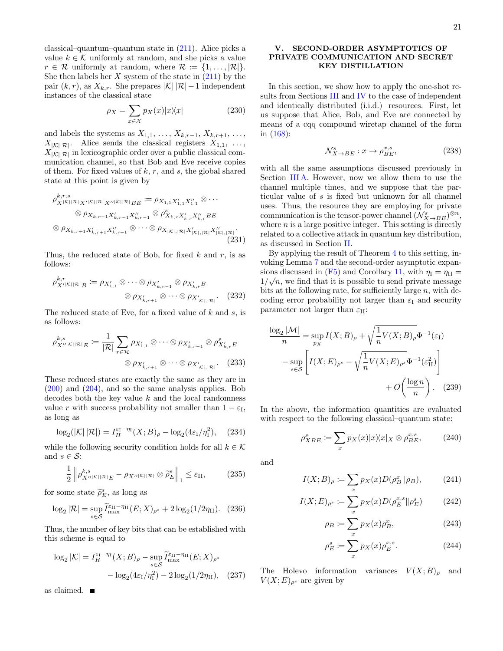classical–quantum–quantum state in [\(211\)](#page-18-2). Alice picks a value  $k \in \mathcal{K}$  uniformly at random, and she picks a value  $r \in \mathcal{R}$  uniformly at random, where  $\mathcal{R} \coloneqq \{1, \ldots, |\mathcal{R}|\}.$ She then labels her  $X$  system of the state in  $(211)$  by the pair  $(k, r)$ , as  $X_{k,r}$ . She prepares  $|\mathcal{K}| |\mathcal{R}|-1$  independent instances of the classical state

$$
\rho_X = \sum_{x \in \mathcal{X}} p_X(x) |x \rangle \langle x| \tag{230}
$$

and labels the systems as  $X_{1,1}, \ldots, X_{k,r-1}, X_{k,r+1}, \ldots$ ,  $X_{|\mathcal{K}| |\mathcal{R}|}$ . Alice sends the classical registers  $X_{1,1}, \ldots$ ,  $X_{|\mathcal{K}||\mathcal{R}|}$  in lexicographic order over a public classical communication channel, so that Bob and Eve receive copies of them. For fixed values of  $k, r$ , and  $s$ , the global shared state at this point is given by

$$
\rho_{X|\mathcal{K}||\mathcal{R}|X'|\mathcal{K}||\mathcal{R}|X''|\mathcal{K}||\mathcal{R}|BE}^{k,r,s} := \rho_{X_{1,1}X'_{1,1}X''_{1,1}} \otimes \cdots
$$
  

$$
\otimes \rho_{X_{k,r-1}X'_{k,r-1}X''_{k,r-1}} \otimes \rho_{X_{k,r}X'_{k,r}X''_{k,r}BE}^{s} \\
\otimes \rho_{X_{k,r+1}X'_{k,r+1}X''_{k,r+1}} \otimes \cdots \otimes \rho_{X_{|\mathcal{K}|,|\mathcal{R}|}X'_{|\mathcal{K}|,|\mathcal{R}|}X''_{|\mathcal{K}|,|\mathcal{R}|}}.
$$
\n(231)

Thus, the reduced state of Bob, for fixed  $k$  and  $r$ , is as follows:

$$
\rho_{X'|K||\mathcal{R}|B}^{k,r} := \rho_{X'_{1,1}} \otimes \cdots \otimes \rho_{X'_{k,r-1}} \otimes \rho_{X'_{k,r}B}
$$

$$
\otimes \rho_{X'_{k,r+1}} \otimes \cdots \otimes \rho_{X'_{|K|,|\mathcal{R}|}}.
$$
(232)

The reduced state of Eve, for a fixed value of  $k$  and  $s$ , is as follows:

$$
\rho_{X''|K||R|E}^{k,s} := \frac{1}{|\mathcal{R}|} \sum_{r \in \mathcal{R}} \rho_{X'_{1,1}} \otimes \cdots \otimes \rho_{X'_{k,r-1}} \otimes \rho_{X'_{k,r}E}^{s}
$$

$$
\otimes \rho_{X'_{k,r+1}} \otimes \cdots \otimes \rho_{X'_{|K|,|\mathcal{R}|}}.
$$
(233)

These reduced states are exactly the same as they are in [\(200\)](#page-17-3) and [\(204\)](#page-18-3), and so the same analysis applies. Bob decodes both the key value  $k$  and the local randomness value r with success probability not smaller than  $1 - \varepsilon_I$ , as long as

$$
\log_2(|\mathcal{K}| |\mathcal{R}|) = I_H^{\varepsilon_1 - \eta_1}(X; B)_{\rho} - \log_2(4\varepsilon_1/\eta_1^2), \quad (234)
$$

while the following security condition holds for all  $k \in \mathcal{K}$ and  $s \in \mathcal{S}$ :

$$
\frac{1}{2} \left\| \rho_{X''|{\mathcal K}||{\mathcal R}|E}^{k,s} - \rho_{X''|{\mathcal K}||{\mathcal R}|} \otimes \widetilde{\rho}_E^s \right\|_1 \le \varepsilon_{\text{II}},\tag{235}
$$

for some state  $\widetilde{\rho}_E^s$ , as long as

$$
\log_2 |\mathcal{R}| = \sup_{s \in \mathcal{S}} \widetilde{I}_{\max}^{\varepsilon_{\text{II}} - \eta_{\text{II}}}(E; X)_{\rho^s} + 2 \log_2(1/2\eta_{\text{II}}). \tag{236}
$$

Thus, the number of key bits that can be established with this scheme is equal to

$$
\log_2 |\mathcal{K}| = I_H^{\varepsilon_1 - \eta_1}(X; B)_{\rho} - \sup_{s \in \mathcal{S}} \widetilde{I}_{\max}^{\varepsilon_{\text{II}} - \eta_{\text{II}}}(E; X)_{\rho^s}
$$

$$
- \log_2(4\varepsilon_1/\eta_1^2) - 2\log_2(1/2\eta_{\text{II}}), \quad (237)
$$

as claimed.

# <span id="page-20-0"></span>V. SECOND-ORDER ASYMPTOTICS OF PRIVATE COMMUNICATION AND SECRET KEY DISTILLATION

In this section, we show how to apply the one-shot results from Sections [III](#page-15-1) and [IV](#page-18-0) to the case of independent and identically distributed (i.i.d.) resources. First, let us suppose that Alice, Bob, and Eve are connected by means of a cqq compound wiretap channel of the form in [\(168\)](#page-15-3):

$$
\mathcal{N}_{X \to BE}^s : x \to \rho_{BE}^{x,s},\tag{238}
$$

with all the same assumptions discussed previously in Section [III A.](#page-15-2) However, now we allow them to use the channel multiple times, and we suppose that the particular value of s is fixed but unknown for all channel uses. Thus, the resource they are employing for private communication is the tensor-power channel  $(\mathcal{N}_{X\to BE}^s)^{\otimes n}$ , where  $n$  is a large positive integer. This setting is directly related to a collective attack in quantum key distribution, as discussed in Section [II.](#page-3-0)

By applying the result of Theorem [4](#page-17-1) to this setting, invoking Lemma [7](#page-32-1) and the second-order asymptotic expan-sions discussed in [\(F5\)](#page-37-1) and Corollary [11,](#page-38-1) with  $\eta_I = \eta_{II} =$  $1/\sqrt{n}$ , we find that it is possible to send private message bits at the following rate, for sufficiently large  $n$ , with decoding error probability not larger than  $\varepsilon_I$  and security parameter not larger than  $\varepsilon_{\text{II}}$ :

$$
\frac{\log_2 |\mathcal{M}|}{n} = \sup_{p_X} I(X; B)_{\rho} + \sqrt{\frac{1}{n} V(X; B)_{\rho}} \Phi^{-1}(\varepsilon_{\text{I}})
$$

$$
-\sup_{s \in \mathcal{S}} \left[ I(X; E)_{\rho^s} - \sqrt{\frac{1}{n} V(X; E)_{\rho^s}} \Phi^{-1}(\varepsilon_{\text{II}}^2) \right]
$$

$$
+ O\left(\frac{\log n}{n}\right). \quad (239)
$$

In the above, the information quantities are evaluated with respect to the following classical–quantum state:

<span id="page-20-1"></span>
$$
\rho_{XBE}^s := \sum_x p_X(x) |x\rangle\langle x|_X \otimes \rho_{BE}^{x,s},\tag{240}
$$

and

$$
I(X;B)_{\rho} := \sum_{x} p_X(x) D(\rho_B^x \| \rho_B), \qquad (241)
$$

$$
I(X;E)_{\rho^s} := \sum_{x} p_X(x) D(\rho_E^{x,s} \| \rho_E^s)
$$
 (242)

$$
\rho_B \coloneqq \sum_x p_X(x) \rho_B^x,\tag{243}
$$

$$
\rho_E^s := \sum_x p_X(x) \rho_E^{x,s}.
$$
\n(244)

The Holevo information variances  $V(X;B)_{\rho}$  and  $V(X; E)_{\rho^s}$  are given by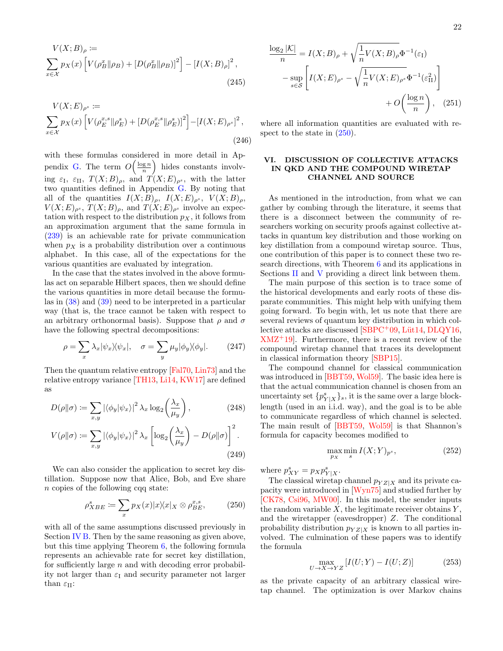$$
V(X;B)_{\rho} := \sum_{x \in \mathcal{X}} p_X(x) \left[ V(\rho_B^x \| \rho_B) + [D(\rho_B^x \| \rho_B)]^2 \right] - [I(X;B)_{\rho}]^2,
$$
\n(245)

$$
V(X;E)_{\rho^s} := \sum_{x \in \mathcal{X}} p_X(x) \left[ V(\rho_E^{x,s} \| \rho_E^s) + \left[ D(\rho_E^{x,s} \| \rho_E^s) \right]^2 \right] - \left[ I(X;E)_{\rho^s} \right]^2,
$$
\n(246)

with these formulas considered in more detail in Ap-pendix [G.](#page-38-0) The term  $O\left(\frac{\log n}{n}\right)$  hides constants involving  $\varepsilon_{\text{I}}$ ,  $\varepsilon_{\text{II}}$ ,  $T(X;B)_{\rho}$ , and  $T(X;E)_{\rho}$ , with the latter two quantities defined in Appendix [G.](#page-38-0) By noting that all of the quantities  $I(X;B)_{\rho}$ ,  $I(X;E)_{\rho^s}$ ,  $V(X;B)_{\rho}$ ,  $V(X;E)_{\rho^s}$ ,  $T(X;B)_{\rho}$ , and  $T(X;E)_{\rho^s}$  involve an expectation with respect to the distribution  $p<sub>X</sub>$ , it follows from an approximation argument that the same formula in [\(239\)](#page-20-1) is an achievable rate for private communication when  $p<sub>X</sub>$  is a probability distribution over a continuous alphabet. In this case, all of the expectations for the various quantities are evaluated by integration.

In the case that the states involved in the above formulas act on separable Hilbert spaces, then we should define the various quantities in more detail because the formulas in [\(38\)](#page-6-4) and [\(39\)](#page-6-5) need to be interpreted in a particular way (that is, the trace cannot be taken with respect to an arbitrary orthonormal basis). Suppose that  $\rho$  and  $\sigma$ have the following spectral decompositions:

<span id="page-21-6"></span>
$$
\rho = \sum_{x} \lambda_x |\psi_x \rangle \langle \psi_x |, \quad \sigma = \sum_{y} \mu_y |\phi_y \rangle \langle \phi_y |. \tag{247}
$$

Then the quantum relative entropy [\[Fal70,](#page-26-25) [Lin73\]](#page-27-22) and the relative entropy variance [\[TH13,](#page-28-7) [Li14,](#page-27-9) [KW17\]](#page-27-11) are defined as

$$
D(\rho || \sigma) \coloneqq \sum_{x,y} \left| \langle \phi_y | \psi_x \rangle \right|^2 \lambda_x \log_2 \left( \frac{\lambda_x}{\mu_y} \right), \tag{248}
$$

$$
V(\rho||\sigma) := \sum_{x,y} |\langle \phi_y | \psi_x \rangle|^2 \lambda_x \left[ \log_2 \left( \frac{\lambda_x}{\mu_y} \right) - D(\rho||\sigma) \right]^2.
$$
\n(249)

We can also consider the application to secret key distillation. Suppose now that Alice, Bob, and Eve share n copies of the following cqq state:

<span id="page-21-4"></span>
$$
\rho_{XBE}^s := \sum_x p_X(x) |x\rangle\langle x|_X \otimes \rho_{BE}^{x,s},\tag{250}
$$

with all of the same assumptions discussed previously in Section [IV B.](#page-19-0) Then by the same reasoning as given above, but this time applying Theorem [6,](#page-19-1) the following formula represents an achievable rate for secret key distillation, for sufficiently large  $n$  and with decoding error probability not larger than  $\varepsilon_I$  and security parameter not larger than  $\varepsilon_{II}$ :

<span id="page-21-1"></span>
$$
\frac{\log_2 |\mathcal{K}|}{n} = I(X; B)_{\rho} + \sqrt{\frac{1}{n} V(X; B)_{\rho}} \Phi^{-1}(\varepsilon_{\text{I}})
$$

$$
-\sup_{s \in \mathcal{S}} \left[ I(X; E)_{\rho^s} - \sqrt{\frac{1}{n} V(X; E)_{\rho^s}} \Phi^{-1}(\varepsilon_{\text{II}}^2) \right]
$$

$$
+ O\left(\frac{\log n}{n}\right), \quad (251)
$$

where all information quantities are evaluated with respect to the state in  $(250)$ .

# <span id="page-21-0"></span>VI. DISCUSSION OF COLLECTIVE ATTACKS IN QKD AND THE COMPOUND WIRETAP CHANNEL AND SOURCE

As mentioned in the introduction, from what we can gather by combing through the literature, it seems that there is a disconnect between the community of researchers working on security proofs against collective attacks in quantum key distribution and those working on key distillation from a compound wiretap source. Thus, one contribution of this paper is to connect these two research directions, with Theorem [6](#page-19-1) and its applications in Sections [II](#page-3-0) and [V](#page-20-0) providing a direct link between them.

The main purpose of this section is to trace some of the historical developments and early roots of these disparate communities. This might help with unifying them going forward. To begin with, let us note that there are several reviews of quantum key distribution in which collective attacks are discussed  $[SBPC<sup>+</sup>09, Lüt14, DLQY16,$  $[SBPC<sup>+</sup>09, Lüt14, DLQY16,$  $[SBPC<sup>+</sup>09, Lüt14, DLQY16,$  $XML+19$ . Furthermore, there is a recent review of the compound wiretap channel that traces its development in classical information theory [\[SBP15\]](#page-28-13).

<span id="page-21-2"></span>The compound channel for classical communication was introduced in [\[BBT59,](#page-25-19) [Wol59\]](#page-29-13). The basic idea here is that the actual communication channel is chosen from an uncertainty set  $\{p^s_{Y|X}\}_s$ , it is the same over a large blocklength (used in an i.i.d. way), and the goal is to be able to communicate regardless of which channel is selected. The main result of [\[BBT59,](#page-25-19) [Wol59\]](#page-29-13) is that Shannon's formula for capacity becomes modified to

$$
\max_{p_X} \min_s I(X;Y)_{p^s},\tag{252}
$$

<span id="page-21-3"></span>where  $p_{XY}^s = p_X p_{Y|X}^s$ .

The classical wiretap channel  $p_{YZ|X}$  and its private capacity were introduced in [\[Wyn75\]](#page-29-14) and studied further by [\[CK78,](#page-25-20) [Csi96,](#page-25-21) [MW00\]](#page-27-23). In this model, the sender inputs the random variable  $X$ , the legitimate receiver obtains  $Y$ , and the wiretapper (eavesdropper) Z. The conditional probability distribution  $p_{YZ|X}$  is known to all parties involved. The culmination of these papers was to identify the formula

<span id="page-21-5"></span>
$$
\max_{U \to X \to YZ} \left[ I(U;Y) - I(U;Z) \right] \tag{253}
$$

as the private capacity of an arbitrary classical wiretap channel. The optimization is over Markov chains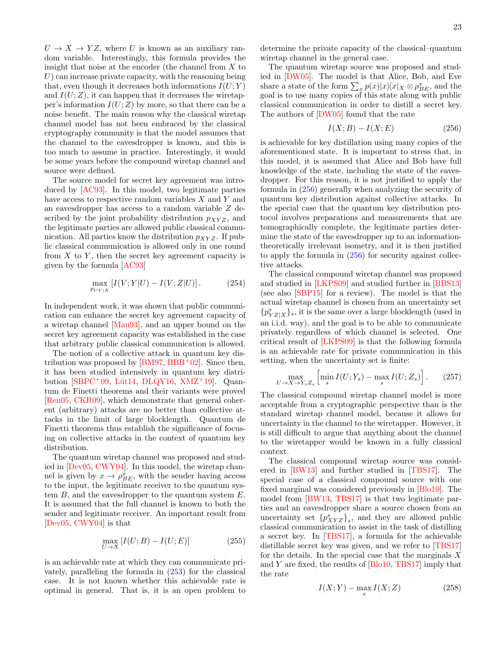$U \rightarrow X \rightarrow YZ$ , where U is known as an auxiliary random variable. Interestingly, this formula provides the insight that noise at the encoder (the channel from X to  $U$ ) can increase private capacity, with the reasoning being that, even though it decreases both informations  $I(U;Y)$ and  $I(U;Z)$ , it can happen that it decreases the wiretapper's information  $I(U;Z)$  by more, so that there can be a noise benefit. The main reason why the classical wiretap channel model has not been embraced by the classical cryptography community is that the model assumes that the channel to the eavesdropper is known, and this is too much to assume in practice. Interestingly, it would be some years before the compound wiretap channel and source were defined.

The source model for secret key agreement was introduced by [\[AC93\]](#page-24-6). In this model, two legitimate parties have access to respective random variables X and Y and an eavesdropper has access to a random variable Z described by the joint probability distribution  $p_{XYZ}$ , and the legitimate parties are allowed public classical communication. All parties know the distribution  $p_{XYZ}$ . If public classical communication is allowed only in one round from  $X$  to  $Y$ , then the secret key agreement capacity is given by the formula [\[AC93\]](#page-24-6)

$$
\max_{p_{UV|X}} [I(V;Y|U) - I(V;Z|U)].
$$
 (254)

In independent work, it was shown that public communication can enhance the secret key agreement capacity of a wiretap channel [\[Mau93\]](#page-27-24), and an upper bound on the secret key agreement capacity was established in the case that arbitrary public classical communication is allowed.

The notion of a collective attack in quantum key distribution was proposed by  $[BM97, BBB<sup>+</sup>02]$  $[BM97, BBB<sup>+</sup>02]$  $[BM97, BBB<sup>+</sup>02]$  $[BM97, BBB<sup>+</sup>02]$ . Since then, it has been studied intensively in quantum key distribution  $|SBPC^+09$ , Lüt14, [DLQY16,](#page-26-1) [XMZ](#page-29-1)<sup>+</sup>19. Quantum de Finetti theorems and their variants were proved [\[Ren05,](#page-28-3) [CKR09\]](#page-25-24), which demonstrate that general coherent (arbitrary) attacks are no better than collective attacks in the limit of large blocklength. Quantum de Finetti theorems thus establish the significance of focusing on collective attacks in the context of quantum key distribution.

The quantum wiretap channel was proposed and studied in [\[Dev05,](#page-26-24) [CWY04\]](#page-25-18). In this model, the wiretap channel is given by  $x \to \rho_{BE}^x$ , with the sender having access to the input, the legitimate receiver to the quantum system  $B$ , and the eavesdropper to the quantum system  $E$ . It is assumed that the full channel is known to both the sender and legitimate receiver. An important result from [\[Dev05,](#page-26-24) [CWY04\]](#page-25-18) is that

$$
\max_{U \to X} \left[ I(U;B) - I(U;E) \right] \tag{255}
$$

is an achievable rate at which they can communicate privately, paralleling the formula in [\(253\)](#page-21-5) for the classical case. It is not known whether this achievable rate is optimal in general. That is, it is an open problem to determine the private capacity of the classical–quantum wiretap channel in the general case.

The quantum wiretap source was proposed and studied in [\[DW05\]](#page-26-16). The model is that Alice, Bob, and Eve share a state of the form  $\sum_{x} p(x)|x\rangle\langle x|_X \otimes \rho_{BE}^x$ , and the goal is to use many copies of this state along with public classical communication in order to distill a secret key. The authors of [\[DW05\]](#page-26-16) found that the rate

<span id="page-22-0"></span>
$$
I(X;B) - I(X;E) \tag{256}
$$

is achievable for key distillation using many copies of the aforementioned state. It is important to stress that, in this model, it is assumed that Alice and Bob have full knowledge of the state, including the state of the eavesdropper. For this reason, it is not justified to apply the formula in [\(256\)](#page-22-0) generally when analyzing the security of quantum key distribution against collective attacks. In the special case that the quantum key distribution protocol involves preparations and measurements that are tomographically complete, the legitimate parties determine the state of the eavesdropper up to an informationtheoretically irrelevant isometry, and it is then justified to apply the formula in [\(256\)](#page-22-0) for security against collective attacks.

The classical compound wiretap channel was proposed and studied in [\[LKPS09\]](#page-27-25) and studied further in [\[BBS13\]](#page-25-25) (see also [\[SBP15\]](#page-28-13) for a review). The model is that the actual wiretap channel is chosen from an uncertainty set  $\{p^{s}_{YZ|X}\}_{s},$  it is the same over a large blocklength (used in an i.i.d. way), and the goal is to be able to communicate privately regardless of which channel is selected. One critical result of [\[LKPS09\]](#page-27-25) is that the following formula is an achievable rate for private communication in this setting, when the uncertainty set is finite:

$$
\max_{U \to X \to Y_s Z_s} \left[ \min_s I(U;Y_s) - \max_s I(U;Z_s) \right]. \tag{257}
$$

The classical compound wiretap channel model is more acceptable from a cryptographic perspective than is the standard wiretap channel model, because it allows for uncertainty in the channel to the wiretapper. However, it is still difficult to argue that anything about the channel to the wiretapper would be known in a fully classical context.

The classical compound wiretap source was considered in [\[BW13\]](#page-25-26) and further studied in [\[TBS17\]](#page-28-29). The special case of a classical compound source with one fixed marginal was considered previously in [\[Blo10\]](#page-25-27). The model from [\[BW13,](#page-25-26) [TBS17\]](#page-28-29) is that two legitimate parties and an eavesdropper share a source chosen from an uncertainty set  $\{p_{XYZ}^s\}_s$ , and they are allowed public classical communication to assist in the task of distilling a secret key. In [\[TBS17\]](#page-28-29), a formula for the achievable distillable secret key was given, and we refer to [\[TBS17\]](#page-28-29) for the details. In the special case that the marginals  $X$ and Y are fixed, the results of [\[Blo10,](#page-25-27) [TBS17\]](#page-28-29) imply that the rate

$$
I(X;Y) - \max_{s} I(X;Z)
$$
 (258)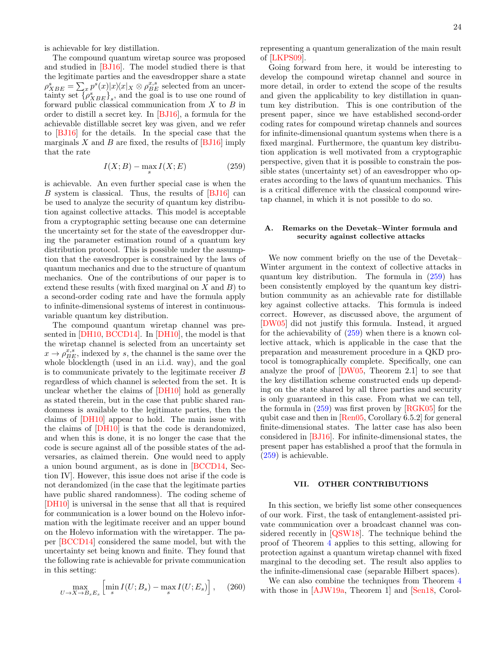is achievable for key distillation.

The compound quantum wiretap source was proposed and studied in [\[BJ16\]](#page-25-7). The model studied there is that the legitimate parties and the eavesdropper share a state  $\rho_{XBE}^s = \sum_x p^s(x)|x\rangle\langle x|_X \otimes \rho_{BE}^{x,s}$  selected from an uncertainty set  $\{\rho_{XBE}^s\}_s$ , and the goal is to use one round of forward public classical communication from  $X$  to  $B$  in order to distill a secret key. In [\[BJ16\]](#page-25-7), a formula for the achievable distillable secret key was given, and we refer to [\[BJ16\]](#page-25-7) for the details. In the special case that the marginals  $X$  and  $B$  are fixed, the results of [\[BJ16\]](#page-25-7) imply that the rate

<span id="page-23-2"></span>
$$
I(X;B) - \max_{s} I(X;E)
$$
 (259)

is achievable. An even further special case is when the B system is classical. Thus, the results of [\[BJ16\]](#page-25-7) can be used to analyze the security of quantum key distribution against collective attacks. This model is acceptable from a cryptographic setting because one can determine the uncertainty set for the state of the eavesdropper during the parameter estimation round of a quantum key distribution protocol. This is possible under the assumption that the eavesdropper is constrained by the laws of quantum mechanics and due to the structure of quantum mechanics. One of the contributions of our paper is to extend these results (with fixed marginal on  $X$  and  $B$ ) to a second-order coding rate and have the formula apply to infinite-dimensional systems of interest in continuousvariable quantum key distribution.

The compound quantum wiretap channel was presented in [\[DH10,](#page-26-15) [BCCD14\]](#page-25-6). In [\[DH10\]](#page-26-15), the model is that the wiretap channel is selected from an uncertainty set  $x \to \rho_{BE}^{x,s}$ , indexed by s, the channel is the same over the whole blocklength (used in an i.i.d. way), and the goal is to communicate privately to the legitimate receiver B regardless of which channel is selected from the set. It is unclear whether the claims of [\[DH10\]](#page-26-15) hold as generally as stated therein, but in the case that public shared randomness is available to the legitimate parties, then the claims of [\[DH10\]](#page-26-15) appear to hold. The main issue with the claims of [\[DH10\]](#page-26-15) is that the code is derandomized, and when this is done, it is no longer the case that the code is secure against all of the possible states of the adversaries, as claimed therein. One would need to apply a union bound argument, as is done in [\[BCCD14,](#page-25-6) Section IV]. However, this issue does not arise if the code is not derandomized (in the case that the legitimate parties have public shared randomness). The coding scheme of [\[DH10\]](#page-26-15) is universal in the sense that all that is required for communication is a lower bound on the Holevo information with the legitimate receiver and an upper bound on the Holevo information with the wiretapper. The paper [\[BCCD14\]](#page-25-6) considered the same model, but with the uncertainty set being known and finite. They found that the following rate is achievable for private communication in this setting:

$$
\max_{U \to X \to B_s E_s} \left[ \min_s I(U; B_s) - \max_s I(U; E_s) \right], \quad (260)
$$

representing a quantum generalization of the main result of [\[LKPS09\]](#page-27-25).

Going forward from here, it would be interesting to develop the compound wiretap channel and source in more detail, in order to extend the scope of the results and given the applicability to key distillation in quantum key distribution. This is one contribution of the present paper, since we have established second-order coding rates for compound wiretap channels and sources for infinite-dimensional quantum systems when there is a fixed marginal. Furthermore, the quantum key distribution application is well motivated from a cryptographic perspective, given that it is possible to constrain the possible states (uncertainty set) of an eavesdropper who operates according to the laws of quantum mechanics. This is a critical difference with the classical compound wiretap channel, in which it is not possible to do so.

# <span id="page-23-0"></span>A. Remarks on the Devetak–Winter formula and security against collective attacks

We now comment briefly on the use of the Devetak– Winter argument in the context of collective attacks in quantum key distribution. The formula in [\(259\)](#page-23-2) has been consistently employed by the quantum key distribution community as an achievable rate for distillable key against collective attacks. This formula is indeed correct. However, as discussed above, the argument of [\[DW05\]](#page-26-16) did not justify this formula. Instead, it argued for the achievability of [\(259\)](#page-23-2) when there is a known collective attack, which is applicable in the case that the preparation and measurement procedure in a QKD protocol is tomographically complete. Specifically, one can analyze the proof of [\[DW05,](#page-26-16) Theorem 2.1] to see that the key distillation scheme constructed ends up depending on the state shared by all three parties and security is only guaranteed in this case. From what we can tell, the formula in [\(259\)](#page-23-2) was first proven by [\[RGK05\]](#page-28-2) for the qubit case and then in [\[Ren05,](#page-28-3) Corollary 6.5.2] for general finite-dimensional states. The latter case has also been considered in [\[BJ16\]](#page-25-7). For infinite-dimensional states, the present paper has established a proof that the formula in [\(259\)](#page-23-2) is achievable.

### <span id="page-23-1"></span>VII. OTHER CONTRIBUTIONS

In this section, we briefly list some other consequences of our work. First, the task of entanglement-assisted private communication over a broadcast channel was considered recently in [\[QSW18\]](#page-28-30). The technique behind the proof of Theorem [4](#page-17-1) applies to this setting, allowing for protection against a quantum wiretap channel with fixed marginal to the decoding set. The result also applies to the infinite-dimensional case (separable Hilbert spaces).

We can also combine the techniques from Theorem [4](#page-17-1) with those in [\[AJW19a,](#page-24-7) Theorem 1] and [\[Sen18,](#page-28-31) Corol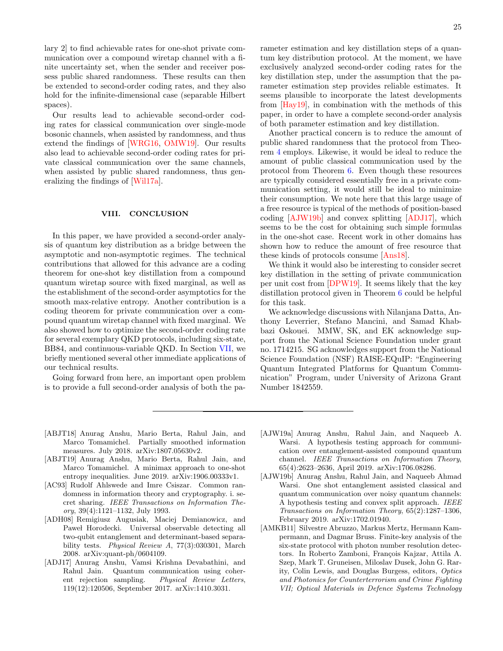lary 2] to find achievable rates for one-shot private communication over a compound wiretap channel with a finite uncertainty set, when the sender and receiver possess public shared randomness. These results can then be extended to second-order coding rates, and they also hold for the infinite-dimensional case (separable Hilbert spaces).

Our results lead to achievable second-order coding rates for classical communication over single-mode bosonic channels, when assisted by randomness, and thus extend the findings of [\[WRG16,](#page-29-4) [OMW19\]](#page-27-10). Our results also lead to achievable second-order coding rates for private classical communication over the same channels, when assisted by public shared randomness, thus generalizing the findings of [\[Wil17a\]](#page-29-6).

### <span id="page-24-0"></span>VIII. CONCLUSION

In this paper, we have provided a second-order analysis of quantum key distribution as a bridge between the asymptotic and non-asymptotic regimes. The technical contributions that allowed for this advance are a coding theorem for one-shot key distillation from a compound quantum wiretap source with fixed marginal, as well as the establishment of the second-order asymptotics for the smooth max-relative entropy. Another contribution is a coding theorem for private communication over a compound quantum wiretap channel with fixed marginal. We also showed how to optimize the second-order coding rate for several exemplary QKD protocols, including six-state, BB84, and continuous-variable QKD. In Section [VII,](#page-23-1) we briefly mentioned several other immediate applications of our technical results.

<span id="page-24-1"></span>Going forward from here, an important open problem is to provide a full second-order analysis of both the parameter estimation and key distillation steps of a quantum key distribution protocol. At the moment, we have exclusively analyzed second-order coding rates for the key distillation step, under the assumption that the parameter estimation step provides reliable estimates. It seems plausible to incorporate the latest developments from [\[Hay19\]](#page-26-22), in combination with the methods of this paper, in order to have a complete second-order analysis of both parameter estimation and key distillation.

Another practical concern is to reduce the amount of public shared randomness that the protocol from Theorem [4](#page-17-1) employs. Likewise, it would be ideal to reduce the amount of public classical communication used by the protocol from Theorem [6.](#page-19-1) Even though these resources are typically considered essentially free in a private communication setting, it would still be ideal to minimize their consumption. We note here that this large usage of a free resource is typical of the methods of position-based coding [\[AJW19b\]](#page-24-4) and convex splitting [\[ADJ17\]](#page-24-5), which seems to be the cost for obtaining such simple formulas in the one-shot case. Recent work in other domains has shown how to reduce the amount of free resource that these kinds of protocols consume [\[Ans18\]](#page-25-28).

We think it would also be interesting to consider secret key distillation in the setting of private communication per unit cost from [\[DPW19\]](#page-26-26). It seems likely that the key distillation protocol given in Theorem [6](#page-19-1) could be helpful for this task.

We acknowledge discussions with Nilanjana Datta, Anthony Leverrier, Stefano Mancini, and Samad Khabbazi Oskouei. MMW, SK, and EK acknowledge support from the National Science Foundation under grant no. 1714215. SG acknowledges support from the National Science Foundation (NSF) RAISE-EQuIP: "Engineering Quantum Integrated Platforms for Quantum Communication" Program, under University of Arizona Grant Number 1842559.

- <span id="page-24-8"></span>[ABJT18] Anurag Anshu, Mario Berta, Rahul Jain, and Marco Tomamichel. Partially smoothed information measures. July 2018. arXiv:1807.05630v2.
- <span id="page-24-9"></span>[ABJT19] Anurag Anshu, Mario Berta, Rahul Jain, and Marco Tomamichel. A minimax approach to one-shot entropy inequalities. June 2019. arXiv:1906.00333v1.
- <span id="page-24-6"></span>[AC93] Rudolf Ahlswede and Imre Csiszar. Common randomness in information theory and cryptography. i. secret sharing. IEEE Transactions on Information Theory, 39(4):1121–1132, July 1993.
- <span id="page-24-2"></span>[ADH08] Remigiusz Augusiak, Maciej Demianowicz, and Paweł Horodecki. Universal observable detecting all two-qubit entanglement and determinant-based separability tests. Physical Review A, 77(3):030301, March 2008. arXiv:quant-ph/0604109.
- <span id="page-24-5"></span>[ADJ17] Anurag Anshu, Vamsi Krishna Devabathini, and Rahul Jain. Quantum communication using coherent rejection sampling. Physical Review Letters, 119(12):120506, September 2017. arXiv:1410.3031.
- <span id="page-24-7"></span>[AJW19a] Anurag Anshu, Rahul Jain, and Naqueeb A. Warsi. A hypothesis testing approach for communication over entanglement-assisted compound quantum channel. IEEE Transactions on Information Theory, 65(4):2623–2636, April 2019. arXiv:1706.08286.
- <span id="page-24-4"></span>[AJW19b] Anurag Anshu, Rahul Jain, and Naqueeb Ahmad Warsi. One shot entanglement assisted classical and quantum communication over noisy quantum channels: A hypothesis testing and convex split approach. IEEE Transactions on Information Theory, 65(2):1287–1306, February 2019. arXiv:1702.01940.
- <span id="page-24-3"></span>[AMKB11] Silvestre Abruzzo, Markus Mertz, Hermann Kampermann, and Dagmar Bruss. Finite-key analysis of the six-state protocol with photon number resolution detectors. In Roberto Zamboni, François Kajzar, Attila A. Szep, Mark T. Gruneisen, Miloslav Dusek, John G. Rarity, Colin Lewis, and Douglas Burgess, editors, Optics and Photonics for Counterterrorism and Crime Fighting VII; Optical Materials in Defence Systems Technology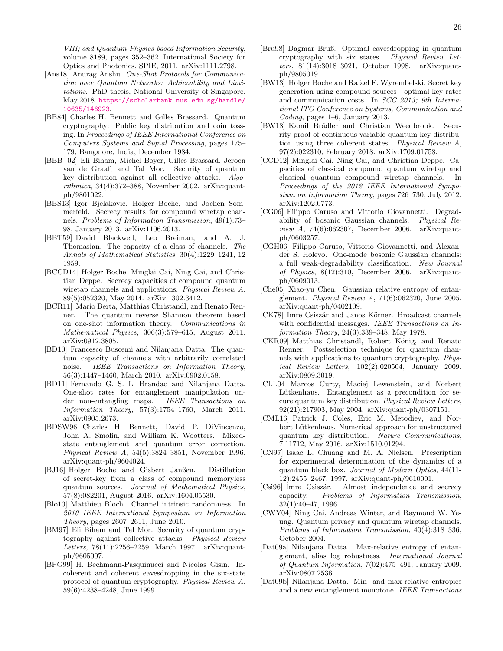VIII; and Quantum-Physics-based Information Security, volume 8189, pages 352–362. International Society for Optics and Photonics, SPIE, 2011. arXiv:1111.2798.

- <span id="page-25-28"></span>[Ans18] Anurag Anshu. One-Shot Protocols for Communication over Quantum Networks: Achievability and Limitations. PhD thesis, National University of Singapore, May 2018. [https://scholarbank.nus.edu.sg/handle/](https://scholarbank.nus.edu.sg/handle/10635/146923) [10635/146923](https://scholarbank.nus.edu.sg/handle/10635/146923).
- <span id="page-25-0"></span>[BB84] Charles H. Bennett and Gilles Brassard. Quantum cryptography: Public key distribution and coin tossing. In Proceedings of IEEE International Conference on Computers Systems and Signal Processing, pages 175– 179, Bangalore, India, December 1984.
- <span id="page-25-23"></span>[BBB<sup>+</sup>02] Eli Biham, Michel Boyer, Gilles Brassard, Jeroen van de Graaf, and Tal Mor. Security of quantum key distribution against all collective attacks. Algo $rithmica, 34(4):372-388$ , November 2002. arXiv:quantph/9801022.
- <span id="page-25-25"></span>[BBS13] Igor Bjelaković, Holger Boche, and Jochen Sommerfeld. Secrecy results for compound wiretap channels. Problems of Information Transmission, 49(1):73– 98, January 2013. arXiv:1106.2013.
- <span id="page-25-19"></span>[BBT59] David Blackwell, Leo Breiman, and A. J. Thomasian. The capacity of a class of channels. The Annals of Mathematical Statistics, 30(4):1229–1241, 12 1959.
- <span id="page-25-6"></span>[BCCD14] Holger Boche, Minglai Cai, Ning Cai, and Christian Deppe. Secrecy capacities of compound quantum wiretap channels and applications. Physical Review A, 89(5):052320, May 2014. arXiv:1302.3412.
- <span id="page-25-17"></span>[BCR11] Mario Berta, Matthias Christandl, and Renato Renner. The quantum reverse Shannon theorem based on one-shot information theory. Communications in Mathematical Physics, 306(3):579–615, August 2011. arXiv:0912.3805.
- <span id="page-25-13"></span>[BD10] Francesco Buscemi and Nilanjana Datta. The quantum capacity of channels with arbitrarily correlated noise. IEEE Transactions on Information Theory, 56(3):1447–1460, March 2010. arXiv:0902.0158.
- <span id="page-25-14"></span>[BD11] Fernando G. S. L. Brandao and Nilanjana Datta. One-shot rates for entanglement manipulation under non-entangling maps. IEEE Transactions on Information Theory, 57(3):1754–1760, March 2011. arXiv:0905.2673.
- <span id="page-25-8"></span>[BDSW96] Charles H. Bennett, David P. DiVincenzo, John A. Smolin, and William K. Wootters. Mixedstate entanglement and quantum error correction. Physical Review A, 54(5):3824–3851, November 1996. arXiv:quant-ph/9604024.
- <span id="page-25-7"></span>[BJ16] Holger Boche and Gisbert Janßen. Distillation of secret-key from a class of compound memoryless quantum sources. Journal of Mathematical Physics, 57(8):082201, August 2016. arXiv:1604.05530.
- <span id="page-25-27"></span>[Blo10] Matthieu Bloch. Channel intrinsic randomness. In 2010 IEEE International Symposium on Information Theory, pages 2607–2611, June 2010.
- <span id="page-25-22"></span>[BM97] Eli Biham and Tal Mor. Security of quantum cryptography against collective attacks. Physical Review Letters, 78(11):2256–2259, March 1997. arXiv:quantph/9605007.
- <span id="page-25-4"></span>[BPG99] H. Bechmann-Pasquinucci and Nicolas Gisin. Incoherent and coherent eavesdropping in the six-state protocol of quantum cryptography. Physical Review A, 59(6):4238–4248, June 1999.
- <span id="page-25-3"></span>[Bru98] Dagmar Bruß. Optimal eavesdropping in quantum cryptography with six states. Physical Review Letters, 81(14):3018–3021, October 1998. arXiv:quantph/9805019.
- <span id="page-25-26"></span>[BW13] Holger Boche and Rafael F. Wyrembelski. Secret key generation using compound sources - optimal key-rates and communication costs. In SCC 2013; 9th International ITG Conference on Systems, Communication and Coding, pages 1–6, January 2013.
- <span id="page-25-2"></span>[BW18] Kamil Brádler and Christian Weedbrook. Security proof of continuous-variable quantum key distribution using three coherent states. Physical Review A, 97(2):022310, February 2018. arXiv:1709.01758.
- <span id="page-25-5"></span>[CCD12] Minglai Cai, Ning Cai, and Christian Deppe. Capacities of classical compound quantum wiretap and classical quantum compound wiretap channels. In Proceedings of the 2012 IEEE International Symposium on Information Theory, pages 726–730, July 2012. arXiv:1202.0773.
- <span id="page-25-11"></span>[CG06] Filippo Caruso and Vittorio Giovannetti. Degradability of bosonic Gaussian channels. Physical Review A, 74(6):062307, December 2006. arXiv:quantph/0603257.
- <span id="page-25-12"></span>[CGH06] Filippo Caruso, Vittorio Giovannetti, and Alexander S. Holevo. One-mode bosonic Gaussian channels: a full weak-degradability classification. New Journal of Physics, 8(12):310, December 2006. arXiv:quantph/0609013.
- <span id="page-25-29"></span>[Che05] Xiao-yu Chen. Gaussian relative entropy of entanglement. Physical Review A, 71(6):062320, June 2005. arXiv:quant-ph/0402109.
- <span id="page-25-20"></span>[CK78] Imre Csiszár and Janos Körner. Broadcast channels with confidential messages. IEEE Transactions on Information Theory, 24(3):339–348, May 1978.
- <span id="page-25-24"></span>[CKR09] Matthias Christandl, Robert König, and Renato Renner. Postselection technique for quantum channels with applications to quantum cryptography. Physical Review Letters, 102(2):020504, January 2009. arXiv:0809.3019.
- <span id="page-25-10"></span>[CLL04] Marcos Curty, Maciej Lewenstein, and Norbert Lütkenhaus. Entanglement as a precondition for secure quantum key distribution. Physical Review Letters, 92(21):217903, May 2004. arXiv:quant-ph/0307151.
- <span id="page-25-1"></span>[CML16] Patrick J. Coles, Eric M. Metodiev, and Norbert Lütkenhaus. Numerical approach for unstructured quantum key distribution. Nature Communications, 7:11712, May 2016. arXiv:1510.01294.
- <span id="page-25-9"></span>[CN97] Isaac L. Chuang and M. A. Nielsen. Prescription for experimental determination of the dynamics of a quantum black box. Journal of Modern Optics, 44(11- 12):2455–2467, 1997. arXiv:quant-ph/9610001.
- <span id="page-25-21"></span>[Csi96] Imre Csiszár. Almost independence and secrecy capacity. Problems of Information Transmission, 32(1):40–47, 1996.
- <span id="page-25-18"></span>[CWY04] Ning Cai, Andreas Winter, and Raymond W. Yeung. Quantum privacy and quantum wiretap channels. Problems of Information Transmission, 40(4):318–336, October 2004.
- <span id="page-25-16"></span>[Dat09a] Nilanjana Datta. Max-relative entropy of entanglement, alias log robustness. International Journal of Quantum Information, 7(02):475–491, January 2009. arXiv:0807.2536.
- <span id="page-25-15"></span>[Dat09b] Nilanjana Datta. Min- and max-relative entropies and a new entanglement monotone. IEEE Transactions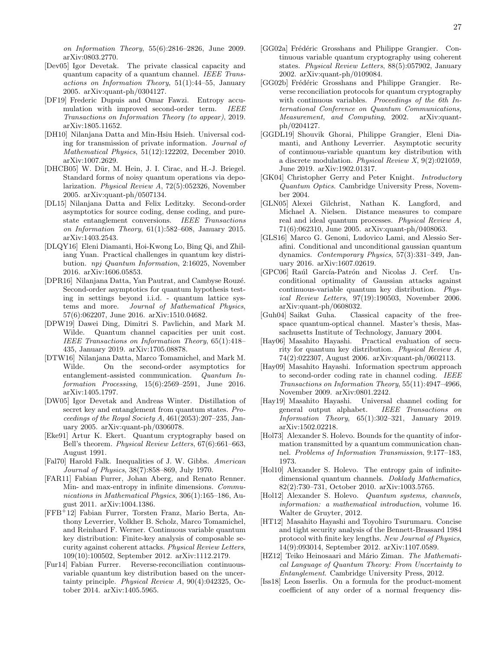- <span id="page-26-24"></span>[Dev05] Igor Devetak. The private classical capacity and quantum capacity of a quantum channel. IEEE Transactions on Information Theory, 51(1):44–55, January 2005. arXiv:quant-ph/0304127.
- <span id="page-26-12"></span>[DF19] Frederic Dupuis and Omar Fawzi. Entropy accumulation with improved second-order term. IEEE Transactions on Information Theory (to appear), 2019. arXiv:1805.11652.
- <span id="page-26-15"></span>[DH10] Nilanjana Datta and Min-Hsiu Hsieh. Universal coding for transmission of private information. Journal of Mathematical Physics, 51(12):122202, December 2010. arXiv:1007.2629.
- <span id="page-26-19"></span>[DHCB05] W. Dür, M. Hein, J. I. Cirac, and H.-J. Briegel. Standard forms of noisy quantum operations via depolarization. Physical Review A, 72(5):052326, November 2005. arXiv:quant-ph/0507134.
- <span id="page-26-10"></span>[DL15] Nilanjana Datta and Felix Leditzky. Second-order asymptotics for source coding, dense coding, and purestate entanglement conversions. IEEE Transactions on Information Theory, 61(1):582–608, January 2015. arXiv:1403.2543.
- <span id="page-26-1"></span>[DLQY16] Eleni Diamanti, Hoi-Kwong Lo, Bing Qi, and Zhiliang Yuan. Practical challenges in quantum key distribution. npj Quantum Information, 2:16025, November 2016. arXiv:1606.05853.
- <span id="page-26-17"></span>[DPR16] Nilanjana Datta, Yan Pautrat, and Cambyse Rouzé. Second-order asymptotics for quantum hypothesis testing in settings beyond i.i.d. - quantum lattice systems and more. Journal of Mathematical Physics, 57(6):062207, June 2016. arXiv:1510.04682.
- <span id="page-26-26"></span>[DPW19] Dawei Ding, Dimitri S. Pavlichin, and Mark M. Wilde. Quantum channel capacities per unit cost. IEEE Transactions on Information Theory, 65(1):418– 435, January 2019. arXiv:1705.08878.
- <span id="page-26-11"></span>[DTW16] Nilanjana Datta, Marco Tomamichel, and Mark M. Wilde. On the second-order asymptotics for entanglement-assisted communication. Quantum Information Processing, 15(6):2569–2591, June 2016. arXiv:1405.1797.
- <span id="page-26-16"></span>[DW05] Igor Devetak and Andreas Winter. Distillation of secret key and entanglement from quantum states. Proceedings of the Royal Society A, 461(2053):207–235, January 2005. arXiv:quant-ph/0306078.
- <span id="page-26-0"></span>[Eke91] Artur K. Ekert. Quantum cryptography based on Bell's theorem. Physical Review Letters, 67(6):661–663, August 1991.
- <span id="page-26-25"></span>[Fal70] Harold Falk. Inequalities of J. W. Gibbs. American Journal of Physics, 38(7):858–869, July 1970.
- <span id="page-26-27"></span>[FAR11] Fabian Furrer, Johan Aberg, and Renato Renner. Min- and max-entropy in infinite dimensions. Communications in Mathematical Physics, 306(1):165–186, August 2011. arXiv:1004.1386.
- <span id="page-26-6"></span>[FFB<sup>+</sup>12] Fabian Furrer, Torsten Franz, Mario Berta, Anthony Leverrier, Volkher B. Scholz, Marco Tomamichel, and Reinhard F. Werner. Continuous variable quantum key distribution: Finite-key analysis of composable security against coherent attacks. Physical Review Letters, 109(10):100502, September 2012. arXiv:1112.2179.
- <span id="page-26-7"></span>[Fur14] Fabian Furrer. Reverse-reconciliation continuousvariable quantum key distribution based on the uncertainty principle. Physical Review A, 90(4):042325, October 2014. arXiv:1405.5965.
- <span id="page-26-3"></span>[GG02a] Frédéric Grosshans and Philippe Grangier. Continuous variable quantum cryptography using coherent states. Physical Review Letters, 88(5):057902, January 2002. arXiv:quant-ph/0109084.
- <span id="page-26-4"></span>[GG02b] Frédéric Grosshans and Philippe Grangier. Reverse reconciliation protocols for quantum cryptography with continuous variables. Proceedings of the 6th International Conference on Quantum Communications, Measurement, and Computing, 2002. arXiv:quantph/0204127.
- <span id="page-26-8"></span>[GGDL19] Shouvik Ghorai, Philippe Grangier, Eleni Diamanti, and Anthony Leverrier. Asymptotic security of continuous-variable quantum key distribution with a discrete modulation. Physical Review X, 9(2):021059, June 2019. arXiv:1902.01317.
- <span id="page-26-20"></span>[GK04] Christopher Gerry and Peter Knight. Introductory Quantum Optics. Cambridge University Press, November 2004.
- <span id="page-26-23"></span>[GLN05] Alexei Gilchrist, Nathan K. Langford, and Michael A. Nielsen. Distance measures to compare real and ideal quantum processes. Physical Review A, 71(6):062310, June 2005. arXiv:quant-ph/0408063.
- <span id="page-26-31"></span>[GLS16] Marco G. Genoni, Ludovico Lami, and Alessio Serafini. Conditional and unconditional gaussian quantum dynamics. Contemporary Physics, 57(3):331–349, January 2016. arXiv:1607.02619.
- <span id="page-26-5"></span>[GPC06] Raúl García-Patrón and Nicolas J. Cerf. Unconditional optimality of Gaussian attacks against continuous-variable quantum key distribution. Physical Review Letters, 97(19):190503, November 2006. arXiv:quant-ph/0608032.
- <span id="page-26-21"></span>[Guh04] Saikat Guha. Classical capacity of the freespace quantum-optical channel. Master's thesis, Massachusetts Institute of Technology, January 2004.
- <span id="page-26-13"></span>[Hay06] Masahito Hayashi. Practical evaluation of security for quantum key distribution. Physical Review A, 74(2):022307, August 2006. arXiv:quant-ph/0602113.
- <span id="page-26-9"></span>[Hay09] Masahito Hayashi. Information spectrum approach to second-order coding rate in channel coding. IEEE Transactions on Information Theory, 55(11):4947–4966, November 2009. arXiv:0801.2242.
- <span id="page-26-22"></span>[Hay19] Masahito Hayashi. Universal channel coding for general output alphabet. IEEE Transactions on Information Theory, 65(1):302–321, January 2019. arXiv:1502.02218.
- <span id="page-26-18"></span>[Hol73] Alexander S. Holevo. Bounds for the quantity of information transmitted by a quantum communication channel. Problems of Information Transmission, 9:177–183, 1973.
- <span id="page-26-28"></span>[Hol10] Alexander S. Holevo. The entropy gain of infinitedimensional quantum channels. Doklady Mathematics, 82(2):730–731, October 2010. arXiv:1003.5765.
- <span id="page-26-29"></span>[Hol12] Alexander S. Holevo. Quantum systems, channels, information: a mathematical introduction, volume 16. Walter de Gruyter, 2012.
- <span id="page-26-2"></span>[HT12] Masahito Hayashi and Toyohiro Tsurumaru. Concise and tight security analysis of the Bennett-Brassard 1984 protocol with finite key lengths. New Journal of Physics, 14(9):093014, September 2012. arXiv:1107.0589.
- <span id="page-26-14"></span>[HZ12] Teiko Heinosaari and Mário Ziman. The Mathematical Language of Quantum Theory: From Uncertainty to Entanglement. Cambridge University Press, 2012.
- <span id="page-26-30"></span>[Iss18] Leon Isserlis. On a formula for the product-moment coefficient of any order of a normal frequency dis-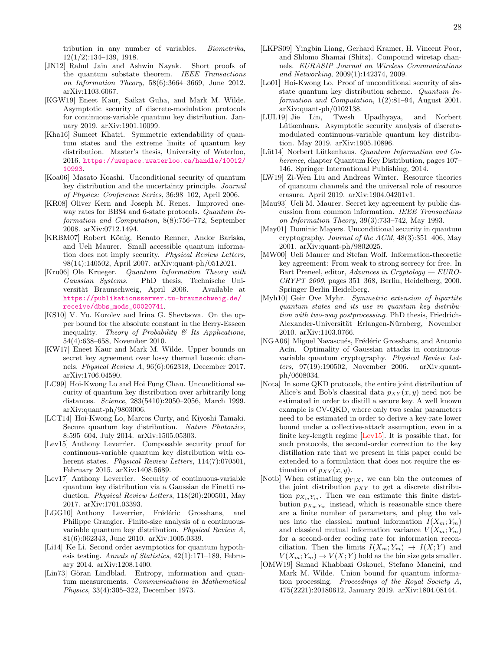tribution in any number of variables. Biometrika, 12(1/2):134–139, 1918.

- <span id="page-27-27"></span>[JN12] Rahul Jain and Ashwin Nayak. Short proofs of the quantum substate theorem. IEEE Transactions on Information Theory, 58(6):3664–3669, June 2012. arXiv:1103.6067.
- <span id="page-27-7"></span>[KGW19] Eneet Kaur, Saikat Guha, and Mark M. Wilde. Asymptotic security of discrete-modulation protocols for continuous-variable quantum key distribution. January 2019. arXiv:1901.10099.
- <span id="page-27-16"></span>[Kha16] Sumeet Khatri. Symmetric extendability of quantum states and the extreme limits of quantum key distribution. Master's thesis, University of Waterloo, 2016. [https://uwspace.uwaterloo.ca/handle/10012/](https://uwspace.uwaterloo.ca/handle/10012/10993) [10993](https://uwspace.uwaterloo.ca/handle/10012/10993).
- <span id="page-27-4"></span>[Koa06] Masato Koashi. Unconditional security of quantum key distribution and the uncertainty principle. Journal of Physics: Conference Series, 36:98–102, April 2006.
- <span id="page-27-19"></span>[KR08] Oliver Kern and Joseph M. Renes. Improved oneway rates for BB84 and 6-state protocols. Quantum Information and Computation, 8(8):756–772, September 2008. arXiv:0712.1494.
- <span id="page-27-21"></span>[KRBM07] Robert König, Renato Renner, Andor Bariska, and Ueli Maurer. Small accessible quantum information does not imply security. Physical Review Letters, 98(14):140502, April 2007. arXiv:quant-ph/0512021.
- <span id="page-27-28"></span>[Kru06] Ole Krueger. Quantum Information Theory with Gaussian Systems. PhD thesis, Technische Universität Braunschweig, April 2006. Available at [https://publikationsserver.tu-braunschweig.de/](https://publikationsserver.tu-braunschweig.de/receive/dbbs_mods_00020741) [receive/dbbs\\_mods\\_00020741](https://publikationsserver.tu-braunschweig.de/receive/dbbs_mods_00020741).
- <span id="page-27-13"></span>[KS10] V. Yu. Korolev and Irina G. Shevtsova. On the upper bound for the absolute constant in the Berry-Esseen inequality. Theory of Probability  $\mathcal B$  Its Applications, 54(4):638–658, November 2010.
- <span id="page-27-11"></span>[KW17] Eneet Kaur and Mark M. Wilde. Upper bounds on secret key agreement over lossy thermal bosonic channels. Physical Review A, 96(6):062318, December 2017. arXiv:1706.04590.
- <span id="page-27-2"></span>[LC99] Hoi-Kwong Lo and Hoi Fung Chau. Unconditional security of quantum key distribution over arbitrarily long distances. Science, 283(5410):2050–2056, March 1999. arXiv:quant-ph/9803006.
- <span id="page-27-1"></span>[LCT14] Hoi-Kwong Lo, Marcos Curty, and Kiyoshi Tamaki. Secure quantum key distribution. Nature Photonics, 8:595–604, July 2014. arXiv:1505.05303.
- <span id="page-27-15"></span>[Lev15] Anthony Leverrier. Composable security proof for continuous-variable quantum key distribution with coherent states. Physical Review Letters, 114(7):070501, February 2015. arXiv:1408.5689.
- <span id="page-27-6"></span>[Lev17] Anthony Leverrier. Security of continuous-variable quantum key distribution via a Gaussian de Finetti reduction. Physical Review Letters, 118(20):200501, May 2017. arXiv:1701.03393.
- <span id="page-27-14"></span>[LGG10] Anthony Leverrier, Frédéric Grosshans, and Philippe Grangier. Finite-size analysis of a continuousvariable quantum key distribution. Physical Review A, 81(6):062343, June 2010. arXiv:1005.0339.
- <span id="page-27-9"></span>[Li14] Ke Li. Second order asymptotics for quantum hypothesis testing. Annals of Statistics, 42(1):171–189, February 2014. arXiv:1208.1400.
- <span id="page-27-22"></span>[Lin73] Göran Lindblad. Entropy, information and quantum measurements. Communications in Mathematical Physics, 33(4):305–322, December 1973.
- <span id="page-27-25"></span>[LKPS09] Yingbin Liang, Gerhard Kramer, H. Vincent Poor, and Shlomo Shamai (Shitz). Compound wiretap channels. EURASIP Journal on Wireless Communications and Networking, 2009(1):142374, 2009.
- <span id="page-27-18"></span>[Lo01] Hoi-Kwong Lo. Proof of unconditional security of sixstate quantum key distribution scheme. Quantum Information and Computation, 1(2):81–94, August 2001. arXiv:quant-ph/0102138.
- <span id="page-27-8"></span>[LUL19] Jie Lin, Twesh Upadhyaya, and Norbert Lütkenhaus. Asymptotic security analysis of discretemodulated continuous-variable quantum key distribution. May 2019. arXiv:1905.10896.
- <span id="page-27-0"></span>[Lüt14] Norbert Lütkenhaus. Quantum Information and Coherence, chapter Quantum Key Distribution, pages 107– 146. Springer International Publishing, 2014.
- <span id="page-27-26"></span>[LW19] Zi-Wen Liu and Andreas Winter. Resource theories of quantum channels and the universal role of resource erasure. April 2019. arXiv:1904.04201v1.
- <span id="page-27-24"></span>[Mau93] Ueli M. Maurer. Secret key agreement by public discussion from common information. IEEE Transactions on Information Theory, 39(3):733–742, May 1993.
- <span id="page-27-3"></span>[May01] Dominic Mayers. Unconditional security in quantum cryptography. Journal of the ACM, 48(3):351–406, May 2001. arXiv:quant-ph/9802025.
- <span id="page-27-23"></span>[MW00] Ueli Maurer and Stefan Wolf. Information-theoretic key agreement: From weak to strong secrecy for free. In Bart Preneel, editor, Advances in Cryptology  $-EURO-$ CRYPT 2000, pages 351–368, Berlin, Heidelberg, 2000. Springer Berlin Heidelberg.
- <span id="page-27-17"></span>[Myh10] Geir Ove Myhr. Symmetric extension of bipartite quantum states and its use in quantum key distribution with two-way postprocessing. PhD thesis, Friedrich-Alexander-Universität Erlangen-Nürnberg, November 2010. arXiv:1103.0766.
- <span id="page-27-5"></span>[NGA06] Miguel Navascués, Frédéric Grosshans, and Antonio Acín. Optimality of Gaussian attacks in continuousvariable quantum cryptography. Physical Review Letters, 97(19):190502, November 2006. arXiv:quantph/0608034.
- <span id="page-27-12"></span>[Nota] In some QKD protocols, the entire joint distribution of Alice's and Bob's classical data  $p_{XY}(x, y)$  need not be estimated in order to distill a secure key. A well known example is CV-QKD, where only two scalar parameters need to be estimated in order to derive a key-rate lower bound under a collective-attack assumption, even in a finite key-length regime [\[Lev15\]](#page-27-15). It is possible that, for such protocols, the second-order correction to the key distillation rate that we present in this paper could be extended to a formulation that does not require the estimation of  $p_{XY}(x, y)$ .
- <span id="page-27-20"></span>[Notb] When estimating  $p_{Y|X}$ , we can bin the outcomes of the joint distribution  $p_{XY}$  to get a discrete distribution  $p_{X_mY_m}$ . Then we can estimate this finite distribution  $p_{X_mY_m}$  instead, which is reasonable since there are a finite number of parameters, and plug the values into the classical mutual information  $I(X_m; Y_m)$ and classical mutual information variance  $V(X_m; Y_m)$ for a second-order coding rate for information reconciliation. Then the limits  $I(X_m; Y_m) \to I(X; Y)$  and  $V(X_m; Y_m) \to V(X; Y)$  hold as the bin size gets smaller.
- <span id="page-27-10"></span>[OMW19] Samad Khabbazi Oskouei, Stefano Mancini, and Mark M. Wilde. Union bound for quantum information processing. Proceedings of the Royal Society A, 475(2221):20180612, January 2019. arXiv:1804.08144.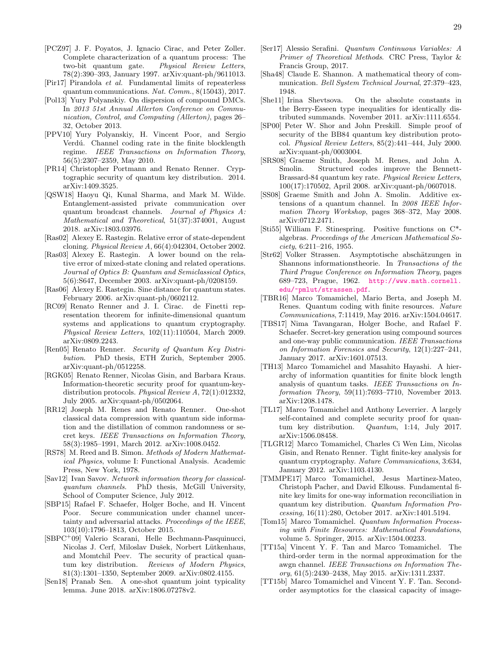- <span id="page-28-15"></span>[PCZ97] J. F. Poyatos, J. Ignacio Cirac, and Peter Zoller. Complete characterization of a quantum process: The two-bit quantum gate. Physical Review Letters, 78(2):390–393, January 1997. arXiv:quant-ph/9611013.
- <span id="page-28-34"></span>[Pir17] Pirandola et al. Fundamental limits of repeaterless quantum communications. Nat. Comm., 8(15043), 2017.
- <span id="page-28-23"></span>[Pol13] Yury Polyanskiy. On dispersion of compound DMCs. In 2013 51st Annual Allerton Conference on Communication, Control, and Computing (Allerton), pages 26– 32, October 2013.
- <span id="page-28-8"></span>[PPV10] Yury Polyanskiy, H. Vincent Poor, and Sergio Verdú. Channel coding rate in the finite blocklength regime. IEEE Transactions on Information Theory, 56(5):2307–2359, May 2010.
- <span id="page-28-27"></span>[PR14] Christopher Portmann and Renato Renner. Cryptographic security of quantum key distribution. 2014. arXiv:1409.3525.
- <span id="page-28-30"></span>[QSW18] Haoyu Qi, Kunal Sharma, and Mark M. Wilde. Entanglement-assisted private communication over quantum broadcast channels. Journal of Physics A: Mathematical and Theoretical, 51(37):374001, August 2018. arXiv:1803.03976.
- <span id="page-28-24"></span>[Ras02] Alexey E. Rastegin. Relative error of state-dependent cloning. Physical Review A, 66(4):042304, October 2002.
- <span id="page-28-25"></span>[Ras03] Alexey E. Rastegin. A lower bound on the relative error of mixed-state cloning and related operations. Journal of Optics B: Quantum and Semiclassical Optics, 5(6):S647, December 2003. arXiv:quant-ph/0208159.
- <span id="page-28-26"></span>[Ras06] Alexey E. Rastegin. Sine distance for quantum states. February 2006. arXiv:quant-ph/0602112.
- <span id="page-28-6"></span>[RC09] Renato Renner and J. I. Cirac. de Finetti representation theorem for infinite-dimensional quantum systems and applications to quantum cryptography. Physical Review Letters, 102(11):110504, March 2009. arXiv:0809.2243.
- <span id="page-28-3"></span>[Ren05] Renato Renner. Security of Quantum Key Distribution. PhD thesis, ETH Zurich, September 2005. arXiv:quant-ph/0512258.
- <span id="page-28-2"></span>[RGK05] Renato Renner, Nicolas Gisin, and Barbara Kraus. Information-theoretic security proof for quantum-keydistribution protocols. Physical Review A, 72(1):012332, July 2005. arXiv:quant-ph/0502064.
- <span id="page-28-28"></span>[RR12] Joseph M. Renes and Renato Renner. One-shot classical data compression with quantum side information and the distillation of common randomness or secret keys. IEEE Transactions on Information Theory, 58(3):1985–1991, March 2012. arXiv:1008.0452.
- <span id="page-28-32"></span>[RS78] M. Reed and B. Simon. Methods of Modern Mathematical Physics, volume I: Functional Analysis. Academic Press, New York, 1978.
- <span id="page-28-20"></span>[Sav12] Ivan Savov. Network information theory for classicalquantum channels. PhD thesis, McGill University, School of Computer Science, July 2012.
- <span id="page-28-13"></span>[SBP15] Rafael F. Schaefer, Holger Boche, and H. Vincent Poor. Secure communication under channel uncertainty and adversarial attacks. Proceedings of the IEEE, 103(10):1796–1813, October 2015.
- <span id="page-28-0"></span>[SBPC<sup>+</sup>09] Valerio Scarani, Helle Bechmann-Pasquinucci, Nicolas J. Cerf, Miloslav Dušek, Norbert Lütkenhaus, and Momtchil Peev. The security of practical quantum key distribution. Reviews of Modern Physics, 81(3):1301–1350, September 2009. arXiv:0802.4155.
- <span id="page-28-31"></span>[Sen18] Pranab Sen. A one-shot quantum joint typicality lemma. June 2018. arXiv:1806.07278v2.
- <span id="page-28-19"></span>[Ser17] Alessio Serafini. Quantum Continuous Variables: A Primer of Theoretical Methods. CRC Press, Taylor & Francis Group, 2017.
- <span id="page-28-21"></span>[Sha48] Claude E. Shannon. A mathematical theory of communication. Bell System Technical Journal, 27:379–423, 1948.
- <span id="page-28-12"></span>[She11] Irina Shevtsova. On the absolute constants in the Berry-Esseen type inequalities for identically distributed summands. November 2011. arXiv:1111.6554.
- <span id="page-28-1"></span>[SP00] Peter W. Shor and John Preskill. Simple proof of security of the BB84 quantum key distribution protocol. Physical Review Letters, 85(2):441–444, July 2000. arXiv:quant-ph/0003004.
- <span id="page-28-18"></span>[SRS08] Graeme Smith, Joseph M. Renes, and John A. Smolin. Structured codes improve the Bennett-Brassard-84 quantum key rate. Physical Review Letters, 100(17):170502, April 2008. arXiv:quant-ph/0607018.
- <span id="page-28-17"></span>[SS08] Graeme Smith and John A. Smolin. Additive extensions of a quantum channel. In 2008 IEEE Information Theory Workshop, pages 368–372, May 2008. arXiv:0712.2471.
- <span id="page-28-14"></span>[Sti55] William F. Stinespring. Positive functions on C\* algebras. Proceedings of the American Mathematical So $ciety, 6:211-216, 1955.$
- <span id="page-28-16"></span>[Str62] Volker Strassen. Asymptotische abschätzungen in Shannons informationstheorie. In Transactions of the Third Prague Conference on Information Theory, pages 689–723, Prague, 1962. [http://www.math.cornell.](http://www.math.cornell.edu/~pmlut/strassen.pdf) [edu/~pmlut/strassen.pdf](http://www.math.cornell.edu/~pmlut/strassen.pdf).
- <span id="page-28-10"></span>[TBR16] Marco Tomamichel, Mario Berta, and Joseph M. Renes. Quantum coding with finite resources. Nature Communications, 7:11419, May 2016. arXiv:1504.04617.
- <span id="page-28-29"></span>[TBS17] Nima Tavangaran, Holger Boche, and Rafael F. Schaefer. Secret-key generation using compound sources and one-way public communication. IEEE Transactions on Information Forensics and Security, 12(1):227–241, January 2017. arXiv:1601.07513.
- <span id="page-28-7"></span>[TH13] Marco Tomamichel and Masahito Hayashi. A hierarchy of information quantities for finite block length analysis of quantum tasks. IEEE Transactions on Information Theory, 59(11):7693–7710, November 2013. arXiv:1208.1478.
- <span id="page-28-5"></span>[TL17] Marco Tomamichel and Anthony Leverrier. A largely self-contained and complete security proof for quantum key distribution. Quantum, 1:14, July 2017. arXiv:1506.08458.
- <span id="page-28-4"></span>[TLGR12] Marco Tomamichel, Charles Ci Wen Lim, Nicolas Gisin, and Renato Renner. Tight finite-key analysis for quantum cryptography. Nature Communications, 3:634, January 2012. arXiv:1103.4130.
- <span id="page-28-11"></span>[TMMPE17] Marco Tomamichel, Jesus Martinez-Mateo, Christoph Pacher, and David Elkouss. Fundamental finite key limits for one-way information reconciliation in quantum key distribution. Quantum Information Processing, 16(11):280, October 2017. arXiv:1401.5194.
- <span id="page-28-33"></span>[Tom15] Marco Tomamichel. Quantum Information Processing with Finite Resources: Mathematical Foundations, volume 5. Springer, 2015. arXiv:1504.00233.
- <span id="page-28-22"></span>[TT15a] Vincent Y. F. Tan and Marco Tomamichel. The third-order term in the normal approximation for the awgn channel. IEEE Transactions on Information Theory, 61(5):2430–2438, May 2015. arXiv:1311.2337.
- <span id="page-28-9"></span>[TT15b] Marco Tomamichel and Vincent Y. F. Tan. Secondorder asymptotics for the classical capacity of image-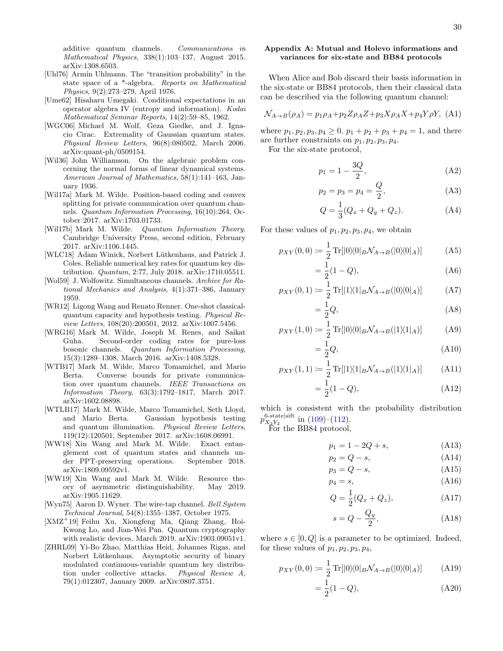additive quantum channels. Communications in Mathematical Physics, 338(1):103–137, August 2015. arXiv:1308.6503.

- <span id="page-29-12"></span>[Uhl76] Armin Uhlmann. The "transition probability" in the state space of a \*-algebra. Reports on Mathematical Physics, 9(2):273–279, April 1976.
- <span id="page-29-9"></span>[Ume62] Hisaharu Umegaki. Conditional expectations in an operator algebra IV (entropy and information). Kodai Mathematical Seminar Reports, 14(2):59–85, 1962.
- <span id="page-29-10"></span>[WGC06] Michael M. Wolf, Geza Giedke, and J. Ignacio Cirac. Extremality of Gaussian quantum states. Physical Review Letters, 96(8):080502, March 2006. arXiv:quant-ph/0509154.
- <span id="page-29-21"></span>[Wil36] John Williamson. On the algebraic problem concerning the normal forms of linear dynamical systems. American Journal of Mathematics, 58(1):141–163, January 1936.
- <span id="page-29-6"></span>[Wil17a] Mark M. Wilde. Position-based coding and convex splitting for private communication over quantum channels. Quantum Information Processing, 16(10):264, October 2017. arXiv:1703.01733.
- <span id="page-29-8"></span>[Wil17b] Mark M. Wilde. Quantum Information Theory. Cambridge University Press, second edition, February 2017. arXiv:1106.1445.
- <span id="page-29-2"></span>[WLC18] Adam Winick, Norbert Lütkenhaus, and Patrick J. Coles. Reliable numerical key rates for quantum key distribution. Quantum, 2:77, July 2018. arXiv:1710.05511.
- <span id="page-29-13"></span>[Wol59] J. Wolfowitz. Simultaneous channels. Archive for Rational Mechanics and Analysis, 4(1):371–386, January 1959.
- <span id="page-29-11"></span>[WR12] Ligong Wang and Renato Renner. One-shot classicalquantum capacity and hypothesis testing. Physical Review Letters, 108(20):200501, 2012. arXiv:1007.5456.
- <span id="page-29-4"></span>[WRG16] Mark M. Wilde, Joseph M. Renes, and Saikat Guha. Second-order coding rates for pure-loss bosonic channels. Quantum Information Processing, 15(3):1289–1308, March 2016. arXiv:1408.5328.
- <span id="page-29-5"></span>[WTB17] Mark M. Wilde, Marco Tomamichel, and Mario Berta. Converse bounds for private communication over quantum channels. IEEE Transactions on Information Theory, 63(3):1792–1817, March 2017. arXiv:1602.08898.
- <span id="page-29-22"></span>[WTLB17] Mark M. Wilde, Marco Tomamichel, Seth Lloyd, and Mario Berta. Gaussian hypothesis testing and quantum illumination. Physical Review Letters, 119(12):120501, September 2017. arXiv:1608.06991.
- <span id="page-29-20"></span>[WW18] Xin Wang and Mark M. Wilde. Exact entanglement cost of quantum states and channels under PPT-preserving operations. September 2018. arXiv:1809.09592v1.
- <span id="page-29-7"></span>[WW19] Xin Wang and Mark M. Wilde. Resource theory of asymmetric distinguishability. May 2019. arXiv:1905.11629.
- <span id="page-29-14"></span>[Wyn75] Aaron D. Wyner. The wire-tap channel. Bell System Technical Journal, 54(8):1355–1387, October 1975.
- <span id="page-29-1"></span>[XMZ<sup>+</sup>19] Feihu Xu, Xiongfeng Ma, Qiang Zhang, Hoi-Kwong Lo, and Jian-Wei Pan. Quantum cryptography with realistic devices. March 2019. arXiv:1903.09051v1.
- <span id="page-29-3"></span>[ZHRL09] Yi-Bo Zhao, Matthias Heid, Johannes Rigas, and Norbert Lütkenhaus. Asymptotic security of binary modulated continuous-variable quantum key distribution under collective attacks. Physical Review A, 79(1):012307, January 2009. arXiv:0807.3751.

# <span id="page-29-0"></span>Appendix A: Mutual and Holevo informations and variances for six-state and BB84 protocols

When Alice and Bob discard their basis information in the six-state or BB84 protocols, then their classical data can be described via the following quantum channel:

<span id="page-29-15"></span>
$$
\mathcal{N}_{A \to B}(\rho_A) = p_1 \rho_A + p_2 Z \rho_A Z + p_3 X \rho_A X + p_4 Y \rho Y, \text{(A1)}
$$

where  $p_1, p_2, p_3, p_4 \geq 0$ ,  $p_1 + p_2 + p_3 + p_4 = 1$ , and there are further constraints on  $p_1, p_2, p_3, p_4$ .

For the six-state protocol,

<span id="page-29-16"></span>
$$
p_1 = 1 - \frac{3Q}{2},
$$
 (A2)

$$
p_2 = p_3 = p_4 = \frac{Q}{2},\tag{A3}
$$

<span id="page-29-17"></span>
$$
Q = \frac{1}{3}(Q_x + Q_y + Q_z).
$$
 (A4)

For these values of  $p_1, p_2, p_3, p_4$ , we obtain

$$
p_{XY}(0,0) := \frac{1}{2} \operatorname{Tr}[|0\rangle\langle 0|_B \mathcal{N}_{A \to B}(|0\rangle\langle 0|_A)] \tag{A5}
$$

$$
=\frac{1}{2}(1-Q),
$$
 (A6)

$$
p_{XY}(0,1) := \frac{1}{2} \operatorname{Tr}[|1\rangle\langle 1|_B \mathcal{N}_{A \to B}(|0\rangle\langle 0|_A)] \tag{A7}
$$

$$
=\frac{1}{2}Q,\tag{A8}
$$

$$
p_{XY}(1,0) := \frac{1}{2} \operatorname{Tr} [|0\rangle\langle 0|_B \mathcal{N}_{A \to B}(|1\rangle\langle 1|_A)] \tag{A9}
$$

$$
=\frac{1}{2}Q,\tag{A10}
$$

$$
p_{XY}(1,1) := \frac{1}{2} \operatorname{Tr}[|1\rangle\langle 1|_B \mathcal{N}_{A \to B}(|1\rangle\langle 1|_A)] \tag{A11}
$$

$$
=\frac{1}{2}(1-Q),
$$
 (A12)

which is consistent with the probability distribution  $p_{X_2Y_2}^{6\text{-state}}$  in [\(109\)](#page-10-1)–[\(112\)](#page-10-2).

For the BB84 protocol,

$$
p_1 = 1 - 2Q + s,\tag{A13}
$$

<span id="page-29-18"></span>
$$
p_2 = Q - s,\tag{A14}
$$

$$
p_3 = Q - s,\tag{A15}
$$

$$
p_4 = s,\tag{A16}
$$

$$
Q = \frac{1}{2}(Q_x + Q_z),
$$
 (A17)

<span id="page-29-19"></span>
$$
s = Q - \frac{Q_y}{2},\tag{A18}
$$

where  $s \in [0, Q]$  is a parameter to be optimized. Indeed, for these values of  $p_1, p_2, p_3, p_4$ ,

$$
p_{XY}(0,0) := \frac{1}{2} \operatorname{Tr}[|0\rangle\langle 0|_B \mathcal{N}_{A \to B}(|0\rangle\langle 0|_A)] \tag{A19}
$$

$$
=\frac{1}{2}(1-Q),
$$
 (A20)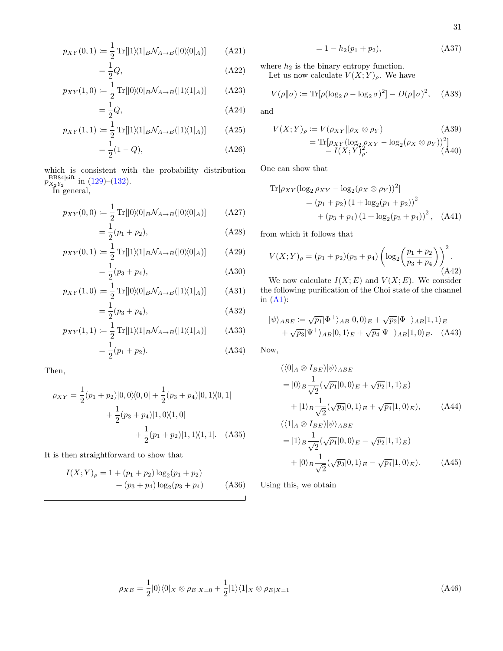$$
p_{XY}(0,1) := \frac{1}{2} \text{Tr}[|1\rangle\langle 1|_B \mathcal{N}_{A \to B}(|0\rangle\langle 0|_A)] \tag{A21}
$$

$$
=\frac{1}{2}Q,\tag{A22}
$$

$$
p_{XY}(1,0) := \frac{1}{2} \operatorname{Tr} [|0\rangle\langle 0| B \mathcal{N}_{A \to B}(|1\rangle\langle 1|_A)] \tag{A23}
$$

$$
=\frac{1}{2}Q,\tag{A24}
$$

$$
p_{XY}(1,1) := \frac{1}{2} \text{Tr}[|1\rangle\langle 1|_B \mathcal{N}_{A \to B}(|1\rangle\langle 1|_A)] \tag{A25}
$$

$$
=\frac{1}{2}(1-Q),
$$
 (A26)

which is consistent with the probability distribution  $p_{X_2Y_2}^{\text{BB84/sift}}$  in [\(129\)](#page-11-2)–[\(132\)](#page-11-3).

In general,

$$
p_{XY}(0,0) := \frac{1}{2} \operatorname{Tr}[|0\rangle\langle 0|_B \mathcal{N}_{A \to B}(|0\rangle\langle 0|_A)] \tag{A27}
$$

$$
=\frac{1}{2}(p_1+p_2),
$$
\n(A28)

$$
p_{XY}(0,1) := \frac{1}{2} \text{Tr}[|1\rangle\langle 1|_B \mathcal{N}_{A \to B}(|0\rangle\langle 0|_A)] \tag{A29}
$$

$$
=\frac{1}{2}(p_3+p_4),
$$
\n(A30)

$$
p_{XY}(1,0) := \frac{1}{2} \operatorname{Tr}[|0\rangle\langle 0|_B \mathcal{N}_{A \to B}(|1\rangle\langle 1|_A)] \tag{A31}
$$

$$
=\frac{1}{2}(p_3+p_4),
$$
\n(A32)

$$
p_{XY}(1,1) := \frac{1}{2} \text{Tr}[|1\rangle\langle 1|_B \mathcal{N}_{A \to B}(|1\rangle\langle 1|_A)] \tag{A33}
$$

$$
=\frac{1}{2}(p_1+p_2). \t\t(A34)
$$

Then,

$$
\rho_{XY} = \frac{1}{2}(p_1 + p_2)|0,0\rangle\langle0,0| + \frac{1}{2}(p_3 + p_4)|0,1\rangle\langle0,1|
$$
  
+ 
$$
\frac{1}{2}(p_3 + p_4)|1,0\rangle\langle1,0|
$$
  
+ 
$$
\frac{1}{2}(p_1 + p_2)|1,1\rangle\langle1,1|.
$$
 (A35)

It is then straightforward to show that

$$
I(X;Y)_{\rho} = 1 + (p_1 + p_2) \log_2(p_1 + p_2)
$$
  
+  $(p_3 + p_4) \log_2(p_3 + p_4)$  (A36)

$$
= 1 - h_2(p_1 + p_2), \tag{A37}
$$

where  $h_2$  is the binary entropy function. Let us now calculate  $V(X;Y)_{\rho}$ . We have

$$
V(\rho||\sigma) := \text{Tr}[\rho(\log_2 \rho - \log_2 \sigma)^2] - D(\rho||\sigma)^2, \quad \text{(A38)}
$$

and

$$
V(X;Y)_{\rho} := V(\rho_{XY}||\rho_X \otimes \rho_Y)
$$
(A39)  
= Tr $[\rho_{XY}(\log_2 \rho_{XY} - \log_2(\rho_X \otimes \rho_Y))^2]$   
-  $I(X;Y)_{\rho}^2$ . (A40)

One can show that

$$
\begin{aligned} \text{Tr}[\rho_{XY}(\log_2 \rho_{XY} - \log_2(\rho_X \otimes \rho_Y))^2] \\ &= (p_1 + p_2) \left(1 + \log_2(p_1 + p_2)\right)^2 \\ &+ (p_3 + p_4) \left(1 + \log_2(p_3 + p_4)\right)^2, \quad \text{(A41)} \end{aligned}
$$

from which it follows that

$$
V(X;Y)_{\rho} = (p_1 + p_2)(p_3 + p_4) \left( \log_2 \left( \frac{p_1 + p_2}{p_3 + p_4} \right) \right)^2.
$$
\n(A42)

We now calculate  $I(X; E)$  and  $V(X; E)$ . We consider the following purification of the Choi state of the channel in  $(A1)$ :

$$
|\psi\rangle_{ABE} := \sqrt{p_1} |\Phi^+\rangle_{AB} |0,0\rangle_E + \sqrt{p_2} |\Phi^-\rangle_{AB} |1,1\rangle_E
$$
  
+  $\sqrt{p_3} |\Psi^+\rangle_{AB} |0,1\rangle_E + \sqrt{p_4} |\Psi^-\rangle_{AB} |1,0\rangle_E.$  (A43)

Now,

$$
\begin{aligned}\n &\langle \langle 0 | A \otimes I_{BE} | \psi \rangle_{ABE} \\
 &= | 0 \rangle_B \frac{1}{\sqrt{2}} (\sqrt{p_1} | 0, 0 \rangle_E + \sqrt{p_2} | 1, 1 \rangle_E) \\
 &\quad + | 1 \rangle_B \frac{1}{\sqrt{2}} (\sqrt{p_3} | 0, 1 \rangle_E + \sqrt{p_4} | 1, 0 \rangle_E), \\
 &\quad \langle \langle 1 | \psi \rangle_{AB} = \langle \psi \rangle_{AB} = \langle \psi \rangle_{AB} \\
 &\quad \langle \langle 1 | \psi \rangle_{AB} = \langle \psi \rangle_{AB} = \langle \psi \rangle_{AB} = \langle \psi \rangle_{AB} \\
 &\quad \langle \langle 1 | \psi \rangle_{AB} = \langle \psi \rangle_{AB} = \langle \psi \rangle_{AB} = \langle \psi \rangle_{AB} \\
 &\quad \langle \langle 1 | \psi \rangle_{AB} = \langle \psi \rangle_{AB} = \langle \psi \rangle_{AB} = \langle \psi \rangle_{AB} \\
 &\quad \langle \langle 1 | \psi \rangle_{AB} = \langle \psi \rangle_{AB} = \langle \psi \rangle_{AB} = \langle \psi \rangle_{AB} \\
 &\quad \langle \langle 1 | \psi \rangle_{AB} = \langle \psi \rangle_{AB} = \langle \psi \rangle_{AB} = \langle \psi \rangle_{AB} \\
 &\quad \langle \langle 1 | \psi \rangle_{AB} = \langle \psi \rangle_{AB} = \langle \psi \rangle_{AB} = \langle \psi \rangle_{AB} \\
 &\quad \langle \langle 1 | \psi \rangle_{AB} = \langle \psi \rangle_{AB} = \langle \psi \rangle_{AB} = \langle \psi \rangle_{AB} \\
 &\quad \langle \langle 1 | \psi \rangle_{AB} = \langle \psi \rangle_{AB} = \langle \psi \rangle_{AB} = \langle \psi \rangle_{AB} \\
 &\quad \langle \langle 1 | \psi \rangle_{AB} = \langle \psi \rangle_{AB} = \langle \psi \rangle_{AB} = \langle \psi \rangle_{AB} \\
 &\quad \langle \langle 1 | \psi \rangle_{AB} = \langle \psi \rangle_{AB} = \langle \psi \rangle_{AB} = \langle \psi \rangle_{AB} \\
 &\quad \langle \langle 1 | \psi \rangle_{AB} = \langle \psi \rangle_{AB} = \langle \psi \rangle_{AB} = \langle \psi \rangle_{AB} = \langle \psi \rangle_{AB} \\
 &\quad \langle \langle 1 | \psi \rangle_{AB} = \langle \psi \rangle_{AB}
$$

$$
\langle \langle 1|_A \otimes I_{BE} | \psi \rangle_{ABE}
$$
  
=  $|1\rangle_B \frac{1}{\sqrt{2}} (\sqrt{p_1} |0, 0\rangle_E - \sqrt{p_2} |1, 1\rangle_E)$   
+  $|0\rangle_B \frac{1}{\sqrt{2}} (\sqrt{p_3} |0, 1\rangle_E - \sqrt{p_4} |1, 0\rangle_E).$  (A45)

Using this, we obtain

$$
\rho_{XE} = \frac{1}{2} |0\rangle\langle 0|_X \otimes \rho_{E|X=0} + \frac{1}{2} |1\rangle\langle 1|_X \otimes \rho_{E|X=1}
$$
\n(A46)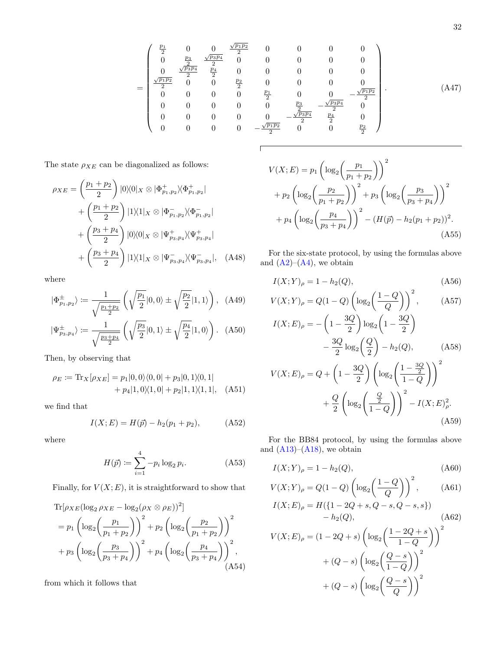$$
= \begin{pmatrix}\n\frac{p_1}{2} & 0 & 0 & \frac{\sqrt{p_1 p_2}}{2} & 0 & 0 & 0 & 0 \\
0 & \frac{p_3}{2} & \frac{\sqrt{p_3 p_4}}{2} & 0 & 0 & 0 & 0 & 0 \\
\frac{\sqrt{p_1 p_2}}{2} & 0 & 0 & \frac{p_2}{2} & 0 & 0 & 0 & 0 \\
0 & 0 & 0 & \frac{p_1}{2} & 0 & 0 & 0 & 0 \\
0 & 0 & 0 & 0 & \frac{p_1}{2} & 0 & 0 & -\frac{\sqrt{p_1 p_2}}{2} \\
0 & 0 & 0 & 0 & 0 & \frac{p_3}{2} & -\frac{\sqrt{p_3 p_4}}{2} & 0 \\
0 & 0 & 0 & 0 & 0 & -\frac{\sqrt{p_3 p_4}}{2} & \frac{p_4}{2} & 0 \\
0 & 0 & 0 & 0 & -\frac{\sqrt{p_1 p_2}}{2} & 0 & 0 & \frac{p_2}{2}\n\end{pmatrix}.
$$
\n(A47)

Г

The state  $\rho_{XE}$  can be diagonalized as follows:

$$
\rho_{XE} = \left(\frac{p_1 + p_2}{2}\right) |0\rangle\langle 0|_X \otimes |\Phi_{p_1, p_2}^+ \rangle\langle \Phi_{p_1, p_2}^+| + \left(\frac{p_1 + p_2}{2}\right) |1\rangle\langle 1|_X \otimes |\Phi_{p_1, p_2}^- \rangle\langle \Phi_{p_1, p_2}^-| + \left(\frac{p_3 + p_4}{2}\right) |0\rangle\langle 0|_X \otimes |\Psi_{p_3, p_4}^+ \rangle\langle \Psi_{p_3, p_4}^+| + \left(\frac{p_3 + p_4}{2}\right) |1\rangle\langle 1|_X \otimes |\Psi_{p_3, p_4}^- \rangle\langle \Psi_{p_3, p_4}^-|, \quad (A48)
$$

where

$$
|\Phi_{p_1,p_2}^{\pm}\rangle := \frac{1}{\sqrt{\frac{p_1+p_2}{2}}} \left(\sqrt{\frac{p_1}{2}}|0,0\rangle \pm \sqrt{\frac{p_2}{2}}|1,1\rangle\right), (A49)
$$

$$
|\Psi^{\pm}_{p_3,p_4}\rangle\coloneqq\frac{1}{\sqrt{\frac{p_3+p_4}{2}}}\left(\sqrt{\frac{p_3}{2}}|0,1\rangle\pm\sqrt{\frac{p_4}{2}}|1,0\rangle\right).\quad\text{(A50)}
$$

Then, by observing that

$$
\rho_E := \text{Tr}_X[\rho_{XE}] = p_1|0,0\rangle\langle0,0| + p_3|0,1\rangle\langle0,1| + p_4|1,0\rangle\langle1,0| + p_2|1,1\rangle\langle1,1|, (A51)
$$

we find that

$$
I(X; E) = H(\vec{p}) - h_2(p_1 + p_2), \tag{A52}
$$

where

$$
H(\vec{p}) \coloneqq \sum_{i=1}^{4} -p_i \log_2 p_i. \tag{A53}
$$

Finally, for  $V(X; E)$ , it is straightforward to show that

Tr
$$
[\rho_{XE}(\log_2 \rho_{XE} - \log_2(\rho_X \otimes \rho_E))^2]
$$
  
=  $p_1 \left( \log_2 \left( \frac{p_1}{p_1 + p_2} \right) \right)^2 + p_2 \left( \log_2 \left( \frac{p_2}{p_1 + p_2} \right) \right)^2$   
+  $p_3 \left( \log_2 \left( \frac{p_3}{p_3 + p_4} \right) \right)^2 + p_4 \left( \log_2 \left( \frac{p_4}{p_3 + p_4} \right) \right)^2$ , (A54)

from which it follows that

$$
V(X; E) = p_1 \left(\log_2\left(\frac{p_1}{p_1 + p_2}\right)\right)^2
$$
  
+  $p_2 \left(\log_2\left(\frac{p_2}{p_1 + p_2}\right)\right)^2 + p_3 \left(\log_2\left(\frac{p_3}{p_3 + p_4}\right)\right)^2$   
+  $p_4 \left(\log_2\left(\frac{p_4}{p_3 + p_4}\right)\right)^2 - (H(\vec{p}) - h_2(p_1 + p_2))^2.$  (A55)

For the six-state protocol, by using the formulas above and  $(A2)$ – $(A4)$ , we obtain

$$
I(X;Y)_{\rho} = 1 - h_2(Q),
$$
\n(A56)

$$
V(X;Y)_{\rho} = Q(1-Q) \left( \log_2 \left( \frac{1-Q}{Q} \right) \right)^2, \quad (A57)
$$

$$
I(X;E)_{\rho} = -\left(1 - \frac{3Q}{2}\right) \log_2 \left(1 - \frac{3Q}{2}\right)
$$

$$
-\frac{3Q}{2}\log_2\left(\frac{Q}{2}\right) - h_2(Q), \qquad (A58)
$$

$$
V(X; E)_{\rho} = Q + \left(1 - \frac{3Q}{2}\right) \left(\log_2 \left(\frac{1 - \frac{3Q}{2}}{1 - Q}\right)\right)^2 + \frac{Q}{2} \left(\log_2 \left(\frac{\frac{Q}{2}}{1 - Q}\right)\right)^2 - I(X; E)_{\rho}^2.
$$
\n(A59)

For the BB84 protocol, by using the formulas above and  $(A13)–(A18)$  $(A13)–(A18)$  $(A13)–(A18)$ , we obtain

$$
I(X;Y)_{\rho} = 1 - h_2(Q), \tag{A60}
$$

$$
V(X;Y)_{\rho} = Q(1-Q) \left( \log_2 \left( \frac{1-Q}{Q} \right) \right)^2, \quad \text{(A61)}
$$
  

$$
I(X;F) = H(1-2Q + \varepsilon Q - \varepsilon Q - \varepsilon \varepsilon^1).
$$

$$
I(X;E)_{\rho} = H({1 - 2Q + s, Q - s, Q - s, s})
$$
  
- h<sub>2</sub>(Q), (A62)

$$
V(X;E)_{\rho} = (1 - 2Q + s) \left( \log_2 \left( \frac{1 - 2Q + s}{1 - Q} \right) \right)^2
$$

$$
+ (Q - s) \left( \log_2 \left( \frac{Q - s}{1 - Q} \right) \right)^2
$$

$$
+ (Q - s) \left( \log_2 \left( \frac{Q - s}{Q} \right) \right)^2
$$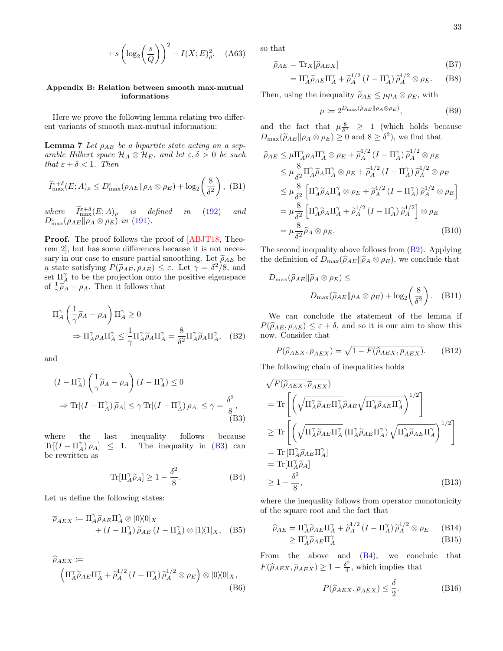$$
+ s \left( \log_2 \left( \frac{s}{Q} \right) \right)^2 - I(X; E)^2_{\rho}.
$$
 (A63)

# <span id="page-32-0"></span>Appendix B: Relation between smooth max-mutual informations

Here we prove the following lemma relating two different variants of smooth max-mutual information:

<span id="page-32-1"></span>**Lemma 7** Let  $\rho_{AE}$  be a bipartite state acting on a separable Hilbert space  $\mathcal{H}_A \otimes \mathcal{H}_E$ , and let  $\varepsilon, \delta > 0$  be such that  $\varepsilon + \delta < 1$ . Then

$$
\widetilde{I}_{\max}^{\varepsilon+\delta}(E;A)_{\rho} \le D_{\max}^{\varepsilon}(\rho_{AE} \| \rho_A \otimes \rho_E) + \log_2\left(\frac{8}{\delta^2}\right), \quad (B1)
$$

where  $\widetilde{I}_{\text{max}}^{\varepsilon+\delta}(E;A)_{\rho}$  is defined in [\(192\)](#page-17-2) and  $D_{\max}^{\varepsilon}(\rho_{AE}|| \rho_A \otimes \rho_E)$  in [\(191\)](#page-17-4).

Proof. The proof follows the proof of [\[ABJT18,](#page-24-8) Theorem 2], but has some differences because it is not necessary in our case to ensure partial smoothing. Let  $\tilde{\rho}_{AE}$  be a state satisfying  $P(\widetilde{\rho}_{AE}, \rho_{AE}) \leq \varepsilon$ . Let  $\gamma = \delta^2/8$ , and set  $\Pi^{\gamma}$  to be the projection onto the positive eigenspace set  $\Pi_A^{\gamma}$  to be the projection onto the positive eigenspace of  $\frac{1}{\gamma} \widetilde{\rho}_A - \rho_A$ . Then it follows that

$$
\Pi_A^{\gamma} \left( \frac{1}{\gamma} \widetilde{\rho}_A - \rho_A \right) \Pi_A^{\gamma} \ge 0
$$
  
\n
$$
\Rightarrow \Pi_A^{\gamma} \rho_A \Pi_A^{\gamma} \le \frac{1}{\gamma} \Pi_A^{\gamma} \widetilde{\rho}_A \Pi_A^{\gamma} = \frac{8}{\delta^2} \Pi_A^{\gamma} \widetilde{\rho}_A \Pi_A^{\gamma}, \quad (B2)
$$

and

$$
(I - \Pi_A^{\gamma}) \left(\frac{1}{\gamma} \widetilde{\rho}_A - \rho_A\right) (I - \Pi_A^{\gamma}) \le 0
$$
  
\n
$$
\Rightarrow \text{Tr}[(I - \Pi_A^{\gamma}) \widetilde{\rho}_A] \le \gamma \text{Tr}[(I - \Pi_A^{\gamma}) \rho_A] \le \gamma = \frac{\delta^2}{8},
$$
\n(B3)

where the last inequality follows because  $Tr[(I - \Pi)^{\gamma}_A]$  $\leq$  1. The inequality in [\(B3\)](#page-32-2) can be rewritten as

<span id="page-32-4"></span>
$$
\operatorname{Tr}[\Pi_A^{\gamma} \widetilde{\rho}_A] \ge 1 - \frac{\delta^2}{8}.\tag{B4}
$$

Let us define the following states:

$$
\overline{\rho}_{AEX} := \Pi_A^{\gamma} \widetilde{\rho}_{AE} \Pi_A^{\gamma} \otimes |0\rangle\langle 0|_X + (I - \Pi_A^{\gamma}) \widetilde{\rho}_{AE} (I - \Pi_A^{\gamma}) \otimes |1\rangle\langle 1|_X, \quad (B5)
$$

$$
\widehat{\rho}_{AEX} := \left( \Pi_A^{\gamma} \widetilde{\rho}_{AE} \Pi_A^{\gamma} + \widetilde{\rho}_A^{1/2} \left( I - \Pi_A^{\gamma} \right) \widetilde{\rho}_A^{1/2} \otimes \rho_E \right) \otimes |0\rangle\langle 0|_X, \tag{B6}
$$

so that

$$
\widehat{\rho}_{AE} = \text{Tr}_X[\widehat{\rho}_{AEX}] \tag{B7}
$$

$$
= \Pi_A^{\gamma} \widetilde{\rho}_{AE} \Pi_A^{\gamma} + \widetilde{\rho}_A^{1/2} (I - \Pi_A^{\gamma}) \widetilde{\rho}_A^{1/2} \otimes \rho_E. \tag{B8}
$$

Then, using the inequality  $\widetilde{\rho}_{AE} \leq \mu \rho_A \otimes \rho_E$ , with

$$
\mu \coloneqq 2^{D_{\max}(\widetilde{\rho}_{AE} \| \rho_A \otimes \rho_E)},\tag{B9}
$$

and the fact that  $\mu \frac{8}{\delta^2} \geq 1$  (which holds because  $D_{\text{max}}(\tilde{\rho}_{AE}|| \rho_A \otimes \rho_E) \ge 0$  and  $8 \ge \delta^2$ ), we find that

$$
\widehat{\rho}_{AE} \leq \mu \Pi_A^{\gamma} \rho_A \Pi_A^{\gamma} \otimes \rho_E + \widetilde{\rho}_A^{1/2} (I - \Pi_A^{\gamma}) \widetilde{\rho}_A^{1/2} \otimes \rho_E
$$
\n
$$
\leq \mu \frac{8}{\delta^2} \Pi_A^{\gamma} \widetilde{\rho}_A \Pi_A^{\gamma} \otimes \rho_E + \widetilde{\rho}_A^{1/2} (I - \Pi_A^{\gamma}) \widetilde{\rho}_A^{1/2} \otimes \rho_E
$$
\n
$$
\leq \mu \frac{8}{\delta^2} \left[ \Pi_A^{\gamma} \widetilde{\rho}_A \Pi_A^{\gamma} \otimes \rho_E + \widetilde{\rho}_A^{1/2} (I - \Pi_A^{\gamma}) \widetilde{\rho}_A^{1/2} \otimes \rho_E \right]
$$
\n
$$
= \mu \frac{8}{\delta^2} \left[ \Pi_A^{\gamma} \widetilde{\rho}_A \Pi_A^{\gamma} + \widetilde{\rho}_A^{1/2} (I - \Pi_A^{\gamma}) \widetilde{\rho}_A^{1/2} \right] \otimes \rho_E
$$
\n
$$
= \mu \frac{8}{\delta^2} \widehat{\rho}_A \otimes \rho_E. \tag{B10}
$$

The second inequality above follows from  $(B2)$ . Applying the definition of  $D_{\text{max}}(\hat{\rho}_{AE} \| \hat{\rho}_A \otimes \rho_E)$ , we conclude that

<span id="page-32-6"></span>
$$
D_{\max}(\hat{\rho}_{AE} \| \hat{\rho}_A \otimes \rho_E) \le
$$
  

$$
D_{\max}(\tilde{\rho}_{AE} \| \rho_A \otimes \rho_E) + \log_2\left(\frac{8}{\delta^2}\right). \quad (B11)
$$

<span id="page-32-3"></span>We can conclude the statement of the lemma if  $P(\widehat{\rho}_{AE}, \rho_{AE}) \leq \varepsilon + \delta$ , and so it is our aim to show this now. Consider that

$$
P(\hat{\rho}_{AEX}, \overline{\rho}_{AEX}) = \sqrt{1 - F(\hat{\rho}_{AEX}, \overline{\rho}_{AEX})}.
$$
 (B12)

The following chain of inequalities holds

<span id="page-32-2"></span>
$$
\sqrt{F(\hat{\rho}_{AEX}, \overline{\rho}_{AEX})}
$$
\n
$$
= \text{Tr}\left[\left(\sqrt{\Pi_{A}^{\gamma}\tilde{\rho}_{AE}\Pi_{A}^{\gamma}}\hat{\rho}_{AE}\sqrt{\Pi_{A}^{\gamma}\tilde{\rho}_{AE}\Pi_{A}^{\gamma}}\right)^{1/2}\right]
$$
\n
$$
\geq \text{Tr}\left[\left(\sqrt{\Pi_{A}^{\gamma}\tilde{\rho}_{AE}\Pi_{A}^{\gamma}}\left(\Pi_{A}^{\gamma}\tilde{\rho}_{AE}\Pi_{A}^{\gamma}\right)\sqrt{\Pi_{A}^{\gamma}\tilde{\rho}_{AE}\Pi_{A}^{\gamma}}\right)^{1/2}\right]
$$
\n
$$
= \text{Tr}\left[\Pi_{A}^{\gamma}\tilde{\rho}_{AE}\Pi_{A}^{\gamma}\right]
$$
\n
$$
= \text{Tr}\left[\Pi_{A}^{\gamma}\tilde{\rho}_{AE}\Pi_{A}^{\gamma}\right]
$$
\n
$$
\geq 1 - \frac{\delta^{2}}{8},
$$
\n(B13)

where the inequality follows from operator monotonicity of the square root and the fact that

$$
\widehat{\rho}_{AE} = \Pi_A^{\gamma} \widetilde{\rho}_{AE} \Pi_A^{\gamma} + \widetilde{\rho}_A^{1/2} (I - \Pi_A^{\gamma}) \widetilde{\rho}_A^{1/2} \otimes \rho_E \qquad (B14)
$$
  
\n
$$
\geq \Pi_A^{\gamma} \widetilde{\rho}_{AE} \Pi_A^{\gamma} \qquad (B15)
$$

From the above and  $(B4)$ , we conclude that  $F(\widehat{\rho}_{AEX}, \overline{\rho}_{AEX}) \geq 1 - \frac{\delta^2}{4}$  $\frac{b^2}{4}$ , which implies that

<span id="page-32-5"></span>
$$
P(\hat{\rho}_{AEX}, \overline{\rho}_{AEX}) \le \frac{\delta}{2}.
$$
 (B16)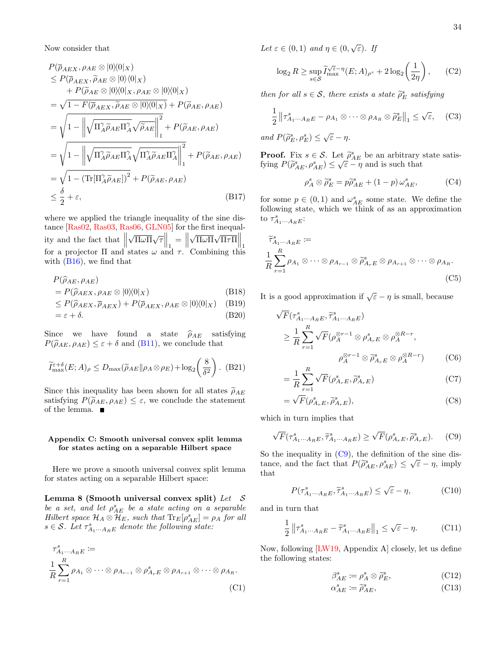Now consider that

$$
P(\bar{\rho}_{AEX}, \rho_{AE} \otimes |0\rangle\langle 0|_X)
$$
  
\n
$$
\leq P(\bar{\rho}_{AEX}, \tilde{\rho}_{AE} \otimes |0\rangle\langle 0|_X)
$$
  
\n
$$
+ P(\tilde{\rho}_{AE} \otimes |0\rangle\langle 0|_X, \rho_{AE} \otimes |0\rangle\langle 0|_X)
$$
  
\n
$$
= \sqrt{1 - F(\bar{\rho}_{AEX}, \tilde{\rho}_{AE} \otimes |0\rangle\langle 0|_X)} + P(\tilde{\rho}_{AE}, \rho_{AE})
$$
  
\n
$$
= \sqrt{1 - \left\|\sqrt{\Pi_A^{\gamma}\tilde{\rho}_{AE}\Pi_A^{\gamma}}\sqrt{\tilde{\rho}_{AE}}\right\|_1^2} + P(\tilde{\rho}_{AE}, \rho_{AE})
$$
  
\n
$$
= \sqrt{1 - \left\|\sqrt{\Pi_A^{\gamma}\tilde{\rho}_{AE}\Pi_A^{\gamma}}\sqrt{\Pi_A^{\gamma}\tilde{\rho}_{AE}\Pi_A^{\gamma}}\right\|_1^2} + P(\tilde{\rho}_{AE}, \rho_{AE})
$$
  
\n
$$
= \sqrt{1 - (\text{Tr}[\Pi_A^{\gamma}\tilde{\rho}_{AE}])^2} + P(\tilde{\rho}_{AE}, \rho_{AE})
$$
  
\n
$$
\leq \frac{\delta}{2} + \varepsilon,
$$
 (B17)

where we applied the triangle inequality of the sine distance [\[Ras02,](#page-28-24) [Ras03,](#page-28-25) [Ras06,](#page-28-26) [GLN05\]](#page-26-23) for the first inequality and the fact that  $\left\| \begin{array}{c} \end{array} \right\|$  $\sqrt{\Pi \omega \Pi} \sqrt{\tau} \Big\|_1 =$  $\sqrt{\Pi \omega \Pi} \sqrt{\Pi \tau \Pi} \Big\|_1$ for a projector  $\Pi$  and states  $\omega$  and  $\tau$ . Combining this with  $(B16)$ , we find that

$$
P(\hat{\rho}_{AE}, \rho_{AE})
$$
  
=  $P(\hat{\rho}_{AEX}, \rho_{AE} \otimes |0\rangle\langle 0|_X)$  (B18)

$$
\leq P(\hat{\rho}_{AEX}, \overline{\rho}_{AEX}) + P(\overline{\rho}_{AEX}, \rho_{AE} \otimes |0\rangle\langle 0|_X) \quad \text{(B19)}
$$

$$
= \varepsilon + \delta. \tag{B20}
$$

Since we have found a state  $\hat{\rho}_{AE}$  satisfying  $P(\widehat{\rho}_{AE}, \rho_{AE}) \leq \varepsilon + \delta$  and [\(B11\)](#page-32-6), we conclude that

$$
\widetilde{I}_{\max}^{\varepsilon+\delta}(E;A)_{\rho} \le D_{\max}(\widetilde{\rho}_{AE} \| \rho_A \otimes \rho_E) + \log_2\left(\frac{8}{\delta^2}\right). (B21)
$$

Since this inequality has been shown for all states  $\tilde{\rho}_{AE}$ satisfying  $P(\tilde{\rho}_{AE}, \rho_{AE}) \leq \varepsilon$ , we conclude the statement of the lemma.

# <span id="page-33-0"></span>Appendix C: Smooth universal convex split lemma for states acting on a separable Hilbert space

Here we prove a smooth universal convex split lemma for states acting on a separable Hilbert space:

Lemma 8 (Smooth universal convex split) Let  $\mathcal S$ be a set, and let  $\rho_{AE}^s$  be a state acting on a separable Hilbert space  $\mathcal{H}_A \otimes \overline{\mathcal{H}}_E$ , such that  $\text{Tr}_E[\rho_{AE}^s] = \rho_A$  for all  $s \in \mathcal{S}$ . Let  $\tau^s_{A_1 \cdots A_R E}$  denote the following state:

$$
\tau_{A_1\cdots A_R E}^s :=
$$
\n
$$
\frac{1}{R} \sum_{r=1}^R \rho_{A_1} \otimes \cdots \otimes \rho_{A_{r-1}} \otimes \rho_{A_r E}^s \otimes \rho_{A_{r+1}} \otimes \cdots \otimes \rho_{A_R}.
$$
\n(C1)

Let  $\varepsilon \in (0,1)$  and  $\eta \in (0,\sqrt{\varepsilon})$ . If

$$
\log_2 R \ge \sup_{s \in \mathcal{S}} \widetilde{I}_{\max}^{\sqrt{\varepsilon} - \eta} (E; A)_{\rho^s} + 2 \log_2 \left( \frac{1}{2\eta} \right), \qquad (C2)
$$

then for all  $s \in \mathcal{S}$ , there exists a state  $\widetilde{\rho}_E^s$  satisfying

$$
\frac{1}{2} \left\| \tau_{A_1 \cdots A_R E}^s - \rho_{A_1} \otimes \cdots \otimes \rho_{A_R} \otimes \widetilde{\rho}_E^s \right\|_1 \le \sqrt{\varepsilon}, \quad \text{(C3)}
$$

and  $P(\widetilde{\rho}_E^s, \rho_E^s) \leq \sqrt{\varepsilon} - \eta$ .

**Proof.** Fix  $s \in \mathcal{S}$ . Let  $\tilde{\rho}_{AE}^s$  be an arbitrary state satisfying  $P(\tilde{\rho}_s^s \mid s) \leq \sqrt{\varepsilon} - n$  and is such that fying  $P(\widetilde{\rho}_{AE}^s, \rho_{AE}^s) \leq \sqrt{\varepsilon} - \eta$  and is such that

<span id="page-33-3"></span>
$$
\rho_A^s \otimes \tilde{\rho}_E^s = p\tilde{\rho}_{AE}^s + (1 - p) \omega_{AE}^s, \tag{C4}
$$

for some  $p \in (0,1)$  and  $\omega_{AE}^s$  some state. We define the following state, which we think of as an approximation to  $\tau_{A_1\cdots A_R}^s$ :

$$
\widetilde{\tau}_{A_1\cdots A_R E}^s :=
$$
\n
$$
\frac{1}{R} \sum_{r=1}^R \rho_{A_1} \otimes \cdots \otimes \rho_{A_{r-1}} \otimes \widetilde{\rho}_{A_r E}^s \otimes \rho_{A_{r+1}} \otimes \cdots \otimes \rho_{A_R}.
$$
\n(C5)

It is a good approximation if  $\sqrt{\varepsilon} - \eta$  is small, because

$$
\sqrt{F}(\tau_{A_1\cdots A_{R}E}^s, \widetilde{\tau}_{A_1\cdots A_{R}E}^s)
$$
\n
$$
\geq \frac{1}{R} \sum_{r=1}^{R} \sqrt{F} (\rho_A^{\otimes r-1} \otimes \rho_{A_rE}^s \otimes \rho_A^{\otimes R-r},
$$
\n
$$
\rho_A^{\otimes r-1} \otimes \widetilde{\rho}_{A_rE}^s \otimes \rho_A^{\otimes R-r})
$$
\n(C6)

$$
=\frac{1}{R}\sum_{r=1}^{R}\sqrt{F}(\rho_{A_{r}E}^{s},\widetilde{\rho}_{A_{r}E}^{s})
$$
(C7)

$$
=\sqrt{F}(\rho_{A_rE}^s,\widetilde{\rho}_{A_rE}^s),\tag{C8}
$$

which in turn implies that

<span id="page-33-1"></span>
$$
\sqrt{F}(\tau_{A_1\cdots A_R E}^s, \widetilde{\tau}_{A_1\cdots A_R E}^s) \ge \sqrt{F}(\rho_{A_r E}^s, \widetilde{\rho}_{A_r E}^s). \tag{C9}
$$

So the inequality in  $(C9)$ , the definition of the sine distance, and the fact that  $P(\tilde{\rho}_{AE}^s, \rho_{AE}^s) \leq \sqrt{\varepsilon} - \eta$ , imply<br>that that

$$
P(\tau_{A_1\cdots A_R E}^s, \tilde{\tau}_{A_1\cdots A_R E}^s) \le \sqrt{\varepsilon} - \eta,\tag{C10}
$$

and in turn that

<span id="page-33-2"></span>
$$
\frac{1}{2} \left\| \tau_{A_1 \cdots A_R E}^s - \widetilde{\tau}_{A_1 \cdots A_R E}^s \right\|_1 \le \sqrt{\varepsilon} - \eta. \tag{C11}
$$

Now, following [\[LW19,](#page-27-26) Appendix A] closely, let us define the following states:

$$
\beta_{AE}^s := \rho_A^s \otimes \widetilde{\rho}_E^s, \tag{C12}
$$

$$
\alpha_{AE}^s \coloneqq \widetilde{\rho}_{AE}^s,\tag{C13}
$$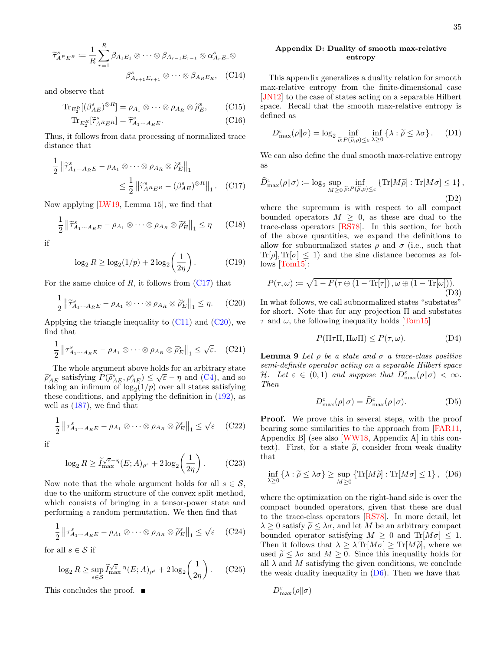$$
\widetilde{\tau}_{A^{R}E^{R}}^{s} := \frac{1}{R} \sum_{r=1}^{R} \beta_{A_{1}E_{1}} \otimes \cdots \otimes \beta_{A_{r-1}E_{r-1}} \otimes \alpha_{A_{r}E_{r}}^{s} \otimes
$$

$$
\beta_{A_{r+1}E_{r+1}}^{s} \otimes \cdots \otimes \beta_{A_{R}E_{R}}, \quad \text{(C14)}
$$

and observe that

$$
\text{Tr}_{E_2^R}[(\beta_{AE}^s)^{\otimes R}] = \rho_{A_1} \otimes \cdots \otimes \rho_{A_R} \otimes \widetilde{\rho}_E^s, \qquad \text{(C15)}
$$

$$
\text{Tr}_{E_2^R}[\widetilde{\tau}_{A^R E^R}^s] = \widetilde{\tau}_{A_1 \cdots A_R E}^s.
$$
 (C16)

Thus, it follows from data processing of normalized trace distance that

$$
\frac{1}{2} \left\| \widetilde{\tau}_{A_1 \cdots A_R E}^s - \rho_{A_1} \otimes \cdots \otimes \rho_{A_R} \otimes \widetilde{\rho}_E^s \right\|_1
$$
  

$$
\leq \frac{1}{2} \left\| \widetilde{\tau}_{A^R E^R}^s - (\beta_{AE}^s)^{\otimes R} \right\|_1. \quad \text{(C17)}
$$

Now applying [\[LW19,](#page-27-26) Lemma 15], we find that

$$
\frac{1}{2} \left\| \widetilde{\tau}_{A_1 \cdots A_R E}^s - \rho_{A_1} \otimes \cdots \otimes \rho_{A_R} \otimes \widetilde{\rho}_E^s \right\|_1 \leq \eta \qquad \text{(C18)}
$$

if

$$
\log_2 R \ge \log_2(1/p) + 2\log_2\left(\frac{1}{2\eta}\right). \tag{C19}
$$

For the same choice of  $R$ , it follows from  $(C17)$  that

<span id="page-34-2"></span>
$$
\frac{1}{2} \left\| \widetilde{\tau}_{A_1 \cdots A_R E}^s - \rho_{A_1} \otimes \cdots \otimes \rho_{A_R} \otimes \widetilde{\rho}_E^s \right\|_1 \leq \eta. \tag{C20}
$$

Applying the triangle inequality to  $(C11)$  and  $(C20)$ , we find that

$$
\frac{1}{2} \left\| \tau_{A_1 \cdots A_R E}^s - \rho_{A_1} \otimes \cdots \otimes \rho_{A_R} \otimes \widetilde{\rho}_E^s \right\|_1 \le \sqrt{\varepsilon}. \quad \text{(C21)}
$$

The whole argument above holds for an arbitrary state  $\widetilde{\rho}_{AE}^s$  satisfying  $P(\widetilde{\rho}_{AE}^s, \rho_{AE}^s) \leq \sqrt{\varepsilon} - \eta$  and [\(C4\)](#page-33-3), and so  $\rho_{AE}^s$  satisfying  $\rho(\widetilde{\rho}_{AE}^s, \rho_{AE}^s) \leq \sqrt{\varepsilon} - \eta$  and (C4), and so taking an infimum of  $\log_2(1/p)$  over all states satisfying these conditions, and applying the definition in [\(192\)](#page-17-2), as well as [\(187\)](#page-16-2), we find that

$$
\frac{1}{2} \left\| \tau_{A_1 \cdots A_R E}^s - \rho_{A_1} \otimes \cdots \otimes \rho_{A_R} \otimes \widetilde{\rho}_E^s \right\|_1 \le \sqrt{\varepsilon} \quad \text{(C22)}
$$

if

1

$$
\log_2 R \ge \widetilde{I}_{\max}^{\sqrt{\varepsilon} - \eta} (E; A)_{\rho^s} + 2 \log_2 \left( \frac{1}{2\eta} \right). \tag{C23}
$$

Now note that the whole argument holds for all  $s \in \mathcal{S}$ , due to the uniform structure of the convex split method, which consists of bringing in a tensor-power state and performing a random permutation. We then find that

$$
\frac{1}{2} \left\| \tau_{A_1 \cdots A_R E}^s - \rho_{A_1} \otimes \cdots \otimes \rho_{A_R} \otimes \widetilde{\rho}_E^s \right\|_1 \leq \sqrt{\varepsilon} \quad \text{(C24)}
$$

for all  $s \in \mathcal{S}$  if

$$
\log_2 R \ge \sup_{s \in \mathcal{S}} \widetilde{I}_{\max}^{\sqrt{\varepsilon} - \eta} (E; A)_{\rho^s} + 2 \log_2 \left( \frac{1}{2\eta} \right). \tag{C25}
$$

This concludes the proof. ■

### <span id="page-34-0"></span>Appendix D: Duality of smooth max-relative entropy

This appendix generalizes a duality relation for smooth max-relative entropy from the finite-dimensional case [\[JN12\]](#page-27-27) to the case of states acting on a separable Hilbert space. Recall that the smooth max-relative entropy is defined as

$$
D_{\max}^{\varepsilon}(\rho \| \sigma) = \log_2 \inf_{\widetilde{\rho}: P(\widetilde{\rho}, \rho) \leq \varepsilon} \inf_{\lambda \geq 0} \left\{ \lambda : \widetilde{\rho} \leq \lambda \sigma \right\}. \tag{D1}
$$

We can also define the dual smooth max-relative entropy as

<span id="page-34-1"></span>
$$
\widehat{D}_{\max}^{\varepsilon}(\rho||\sigma) := \log_2 \sup_{M \geq 0} \inf_{\tilde{\rho}: P(\tilde{\rho}, \rho) \leq \varepsilon} \left\{ \text{Tr}[M\tilde{\rho}] : \text{Tr}[M\sigma] \leq 1 \right\},\tag{D2}
$$

where the supremum is with respect to all compact bounded operators  $M \geq 0$ , as these are dual to the trace-class operators [\[RS78\]](#page-28-32). In this section, for both of the above quantities, we expand the definitions to allow for subnormalized states  $\rho$  and  $\sigma$  (i.e., such that  $\text{Tr}[\rho], \text{Tr}[\sigma] \leq 1$  and the sine distance becomes as follows [\[Tom15\]](#page-28-33):

$$
P(\tau,\omega) := \sqrt{1 - F(\tau \oplus (1 - \text{Tr}[\tau]), \omega \oplus (1 - \text{Tr}[\omega])).
$$
\n(D3)

In what follows, we call subnormalized states "substates" for short. Note that for any projection Π and substates  $\tau$  and  $\omega$ , the following inequality holds [\[Tom15\]](#page-28-33)

$$
P(\Pi \tau \Pi, \Pi \omega \Pi) \le P(\tau, \omega). \tag{D4}
$$

<span id="page-34-4"></span>**Lemma 9** Let  $\rho$  be a state and  $\sigma$  a trace-class positive semi-definite operator acting on a separable Hilbert space H. Let  $\varepsilon \in (0,1)$  and suppose that  $D_{\max}^{\varepsilon}(\rho||\sigma) < \infty$ . Then

$$
D_{\max}^{\varepsilon}(\rho \| \sigma) = \widehat{D}_{\max}^{\varepsilon}(\rho \| \sigma). \tag{D5}
$$

**Proof.** We prove this in several steps, with the proof bearing some similarities to the approach from [\[FAR11,](#page-26-27) Appendix B] (see also [\[WW18,](#page-29-20) Appendix A] in this context). First, for a state  $\tilde{\rho}$ , consider from weak duality that

<span id="page-34-3"></span>
$$
\inf_{\lambda \ge 0} {\lambda : \widetilde{\rho} \le \lambda \sigma} \ge \sup_{M \ge 0} {\{ \operatorname{Tr} [M \widetilde{\rho}] : \operatorname{Tr} [M \sigma] \le 1 \}, \quad (D6)}
$$

where the optimization on the right-hand side is over the compact bounded operators, given that these are dual to the trace-class operators [\[RS78\]](#page-28-32). In more detail, let  $\lambda \geq 0$  satisfy  $\tilde{\rho} \leq \lambda \sigma$ , and let M be an arbitrary compact bounded operator satisfying  $M \geq 0$  and  $Tr[M\sigma] \leq 1$ . Then it follows that  $\lambda > \lambda \text{Tr}[M\sigma] > \text{Tr}[M\tilde{\rho}]$ , where we used  $\tilde{\rho} \leq \lambda \sigma$  and  $M \geq 0$ . Since this inequality holds for all  $\lambda$  and  $M$  satisfying the given conditions, we conclude the weak duality inequality in  $(D6)$ . Then we have that

$$
D_{\max}^{\varepsilon}(\rho\|\sigma)
$$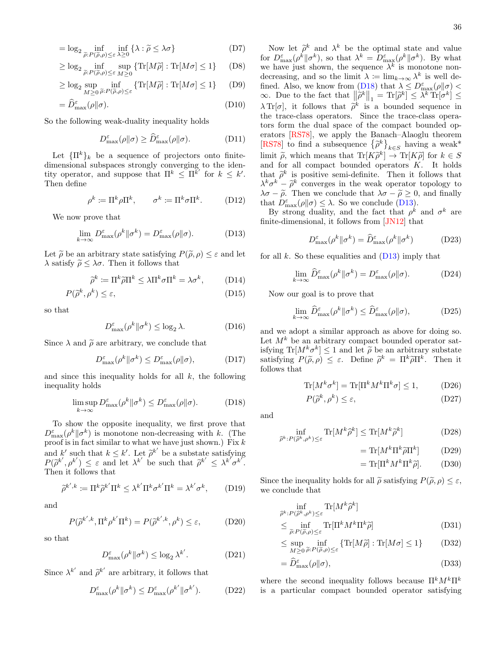$$
= \log_2 \inf_{\tilde{\rho}: P(\tilde{\rho}, \rho) \leq \varepsilon} \inf_{\lambda \geq 0} \{ \lambda : \tilde{\rho} \leq \lambda \sigma \}
$$
 (D7)

$$
\geq \log_2 \inf_{\tilde{\rho}: P(\tilde{\rho}, \rho) \leq \varepsilon} \sup_{M \geq 0} \{ \text{Tr}[M\tilde{\rho}] : \text{Tr}[M\sigma] \leq 1 \} \tag{D8}
$$

$$
\geq \log_2 \sup_{M \geq 0} \inf_{\tilde{\rho}: P(\tilde{\rho}, \rho) \leq \varepsilon} \{ \text{Tr}[M\tilde{\rho}] : \text{Tr}[M\sigma] \leq 1 \} \tag{D9}
$$

$$
= \widehat{D}_{\max}^{\varepsilon}(\rho \| \sigma). \tag{D10}
$$

So the following weak-duality inequality holds

<span id="page-35-2"></span>
$$
D_{\max}^{\varepsilon}(\rho \| \sigma) \ge \widehat{D}_{\max}^{\varepsilon}(\rho \| \sigma). \tag{D11}
$$

Let  ${\{\Pi^k\}}_k$  be a sequence of projectors onto finitedimensional subspaces strongly converging to the identity operator, and suppose that  $\Pi^k \leq \Pi^{\vec{k}}'$  for  $k \leq k'$ . Then define

$$
\rho^k := \Pi^k \rho \Pi^k, \qquad \sigma^k := \Pi^k \sigma \Pi^k. \tag{D12}
$$

We now prove that

<span id="page-35-1"></span>
$$
\lim_{k \to \infty} D_{\text{max}}^{\varepsilon}(\rho^k \| \sigma^k) = D_{\text{max}}^{\varepsilon}(\rho \| \sigma). \tag{D13}
$$

Let  $\tilde{\rho}$  be an arbitrary state satisfying  $P(\tilde{\rho}, \rho) \leq \varepsilon$  and let  $\lambda$  satisfy  $\tilde{\rho} \leq \lambda \sigma$ . Then it follows that

$$
\widetilde{\rho}^k := \Pi^k \widetilde{\rho} \Pi^k \le \lambda \Pi^k \sigma \Pi^k = \lambda \sigma^k, \tag{D14}
$$

$$
P(\tilde{\rho}^k, \rho^k) \le \varepsilon,\tag{D15}
$$

so that

$$
D_{\max}^{\varepsilon}(\rho^k \|\sigma^k) \le \log_2 \lambda. \tag{D16}
$$

Since  $\lambda$  and  $\tilde{\rho}$  are arbitrary, we conclude that

$$
D_{\max}^{\varepsilon}(\rho^k \|\sigma^k) \le D_{\max}^{\varepsilon}(\rho\|\sigma), \tag{D17}
$$

and since this inequality holds for all  $k$ , the following inequality holds

<span id="page-35-0"></span>
$$
\limsup_{k \to \infty} D_{\max}^{\varepsilon}(\rho^k \| \sigma^k) \le D_{\max}^{\varepsilon}(\rho \| \sigma). \tag{D18}
$$

To show the opposite inequality, we first prove that  $D_{\max}^{\varepsilon}(\rho^k||\sigma^k)$  is monotone non-decreasing with k. (The proof is in fact similar to what we have just shown.) Fix  $k$ and k' such that  $k \leq k'$ . Let  $\tilde{\rho}^{k'}$  be a substate satisfying  $P(\tilde{\rho}^{k'} | k') \leq \varepsilon$  and let  $\lambda^{k'}$  be such that  $\tilde{\rho}^{k'} \leq \lambda^{k'} \sigma^{k'}$  $P(\tilde{\rho}^{k'}, \rho^{k'}) \leq \varepsilon$  and let  $\lambda^{k'}$  be such that  $\tilde{\rho}^{k'} \leq \lambda^{k'} \sigma^{k''}$ .<br>Then it follows that Then it follows that

$$
\tilde{\rho}^{k',k} := \Pi^k \tilde{\rho}^{k'} \Pi^k \le \lambda^{k'} \Pi^k \sigma^{k'} \Pi^k = \lambda^{k'} \sigma^k, \qquad (D19)
$$

and

$$
P(\tilde{\rho}^{k',k}, \Pi^k \rho^{k'} \Pi^k) = P(\tilde{\rho}^{k',k}, \rho^k) \le \varepsilon,
$$
 (D20)

so that

$$
D_{\max}^{\varepsilon}(\rho^k \|\sigma^k) \le \log_2 \lambda^{k'}.
$$
 (D21)

Since  $\lambda^{k'}$  and  $\tilde{\rho}^{k'}$  are arbitrary, it follows that

$$
D_{\max}^{\varepsilon}(\rho^k \| \sigma^k) \le D_{\max}^{\varepsilon}(\rho^{k'} \| \sigma^{k'}).
$$
 (D22)

36

Now let  $\tilde{\rho}^k$  and  $\lambda^k$  be the optimal state and value<br> $\tilde{\rho}^k$   $(e^k||\sigma^k)$  so that  $\lambda^k - D^{\varepsilon}$   $(e^k||\sigma^k)$ . By what for  $D_{\max}^{\varepsilon}(\rho^k||\sigma^k)$ , so that  $\lambda^k = D_{\max}^{\varepsilon}(\rho^k||\sigma^k)$ . By what we have just shown, the sequence  $\lambda^k$  is monotone nondecreasing, and so the limit  $\lambda := \lim_{k \to \infty} \lambda^k$  is well defined. Also, we know from  $(D18)$  that  $\lambda \leq D_{\text{max}}^{\varepsilon}(\rho||\sigma) <$  $\infty$ . Due to the fact that  $\|\tilde{\rho}^k\|_1 = \text{Tr}[\tilde{\rho}^k] \leq \lambda^k \text{Tr}[\sigma^k] \leq$  $\lambda \text{Tr}[\sigma]$ , it follows that  $\tilde{\rho}^k$  is a bounded sequence in the trace class operators. the trace-class operators. Since the trace-class operators form the dual space of the compact bounded operators [\[RS78\]](#page-28-32), we apply the Banach–Alaoglu theorem [\[RS78\]](#page-28-32) to find a subsequence  $\{\tilde{\rho}^k\}_{k \in S}$  having a weak\* limit  $\tilde{\rho}$ , which means that  $\text{Tr}[K\tilde{\rho}^k] \to \text{Tr}[K\tilde{\rho}]$  for  $k \in S$ <br>and for all compact bounded operators  $K$ . It holds and for all compact bounded operators  $K$ . It holds that  $\tilde{\rho}^k$  is positive semi-definite. Then it follows that  $\lambda^k \sigma^k - \tilde{\alpha}^k$  converges in the weak operator topology to  $\lambda^k \sigma^k - \tilde{\rho}^k$  converges in the weak operator topology to  $\lambda \sigma - \tilde{\rho}$ . Then we conclude that  $\lambda \sigma - \tilde{\rho} > 0$  and finally  $\lambda \sigma - \tilde{\rho}$ . Then we conclude that  $\lambda \sigma - \tilde{\rho} \geq 0$ , and finally that  $D_{\max}^{\varepsilon}(\rho||\sigma) \leq \lambda$ . So we conclude [\(D13\)](#page-35-1).

By strong duality, and the fact that  $\rho^k$  and  $\sigma^k$  are finite-dimensional, it follows from [\[JN12\]](#page-27-27) that

$$
D_{\text{max}}^{\varepsilon}(\rho^k \| \sigma^k) = \hat{D}_{\text{max}}^{\varepsilon}(\rho^k \| \sigma^k)
$$
 (D23)

for all  $k$ . So these equalities and  $(D13)$  imply that

<span id="page-35-3"></span>
$$
\lim_{k \to \infty} \widehat{D}_{\max}^{\varepsilon}(\rho^k \| \sigma^k) = D_{\max}^{\varepsilon}(\rho \| \sigma). \tag{D24}
$$

Now our goal is to prove that

<span id="page-35-4"></span>
$$
\lim_{k \to \infty} \widehat{D}_{\max}^{\varepsilon}(\rho^k \| \sigma^k) \le \widehat{D}_{\max}^{\varepsilon}(\rho \| \sigma), \tag{D25}
$$

and we adopt a similar approach as above for doing so. Let  $M^k$  be an arbitrary compact bounded operator satisfying  $Tr[M^k \sigma^k] \leq 1$  and let  $\tilde{\rho}$  be an arbitrary substate<br>satisfying  $P(\tilde{\rho} | \rho) \leq \varepsilon$  Define  $\tilde{\rho}^k = \Pi^k \tilde{\rho} \Pi^k$ . Then it satisfying  $P(\tilde{\rho}, \rho) \leq \varepsilon$ . Define  $\tilde{\rho}^k = \Pi^k \tilde{\rho} \Pi^k$ . Then it follows that follows that

$$
\text{Tr}[M^k \sigma^k] = \text{Tr}[\Pi^k M^k \Pi^k \sigma] \le 1,
$$
 (D26)

$$
P(\tilde{\rho}^k, \rho^k) \le \varepsilon,\tag{D27}
$$

and

$$
\inf_{\hat{\rho}^k: P(\hat{\rho}^k, \rho^k) \le \varepsilon} \text{Tr}[M^k \hat{\rho}^k] \le \text{Tr}[M^k \hat{\rho}^k]
$$
 (D28)

 $= \text{Tr}[M^{k}\Pi^{k}\widetilde{\rho}\Pi^{k}% +L\widetilde{\rho}L^{k}]$  $(D29)$ 

$$
= \text{Tr}[\Pi^k M^k \Pi^k \tilde{\rho}]. \quad (D30)
$$

Since the inequality holds for all  $\tilde{\rho}$  satisfying  $P(\tilde{\rho}, \rho) \leq \varepsilon$ , we conclude that

$$
\inf_{\widehat{\rho}^k: P(\widehat{\rho}^k, \rho^k) \leq \varepsilon} \text{Tr}[M^k \widehat{\rho}^k]
$$
\n
$$
\leq \inf_{\widetilde{\rho}: P(\widetilde{\rho}, \rho) \leq \varepsilon} \text{Tr}[\Pi^k M^k \Pi^k \widetilde{\rho}]
$$
\n(D31)

$$
\leq \sup_{M \geq 0} \inf_{\tilde{\rho}: P(\tilde{\rho}, \rho) \leq \varepsilon} \{ \text{Tr}[M\tilde{\rho}] : \text{Tr}[M\sigma] \leq 1 \}
$$
 (D32)

$$
=\widehat{D}_{\max}^{\varepsilon}(\rho\|\sigma),\tag{D33}
$$

where the second inequality follows because  $\Pi^k M^k \Pi^k$ is a particular compact bounded operator satisfying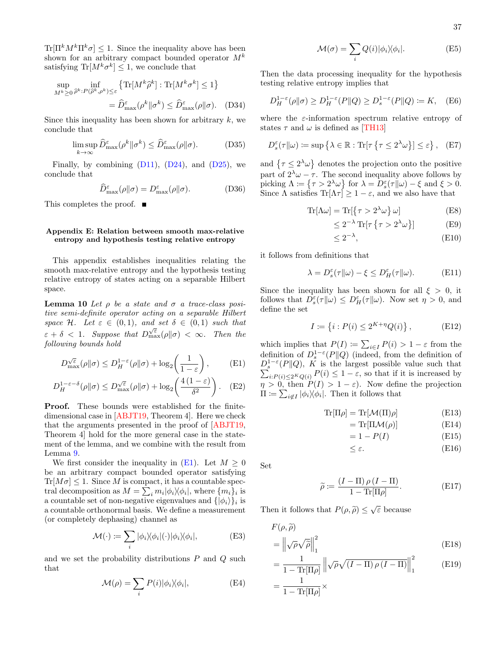$\text{Tr}[\Pi^k M^k \Pi^k \sigma] \leq 1$ . Since the inequality above has been shown for an arbitrary compact bounded operator  $M^k$ satisfying  $\text{Tr}[M^k \sigma^k] \leq 1$ , we conclude that

$$
\sup_{M^k \ge 0} \inf_{\hat{\rho}^k : P(\hat{\rho}^k, \rho^k) \le \varepsilon} \left\{ \text{Tr}[M^k \hat{\rho}^k] : \text{Tr}[M^k \sigma^k] \le 1 \right\}
$$

$$
= \hat{D}^{\varepsilon}_{\text{max}}(\rho^k || \sigma^k) \le \hat{D}^{\varepsilon}_{\text{max}}(\rho || \sigma). \quad (D34)
$$

Since this inequality has been shown for arbitrary  $k$ , we conclude that

$$
\limsup_{k \to \infty} \widehat{D}_{\max}^{\varepsilon}(\rho^k \| \sigma^k) \le \widehat{D}_{\max}^{\varepsilon}(\rho \| \sigma). \tag{D35}
$$

Finally, by combining  $(D11)$ ,  $(D24)$ , and  $(D25)$ , we conclude that

$$
\widehat{D}_{\max}^{\varepsilon}(\rho\|\sigma) = D_{\max}^{\varepsilon}(\rho\|\sigma). \tag{D36}
$$

This completes the proof.  $\blacksquare$ 

### <span id="page-36-0"></span>Appendix E: Relation between smooth max-relative entropy and hypothesis testing relative entropy

This appendix establishes inequalities relating the smooth max-relative entropy and the hypothesis testing relative entropy of states acting on a separable Hilbert space.

<span id="page-36-3"></span>**Lemma 10** Let  $\rho$  be a state and  $\sigma$  a trace-class positive semi-definite operator acting on a separable Hilbert space H. Let  $\varepsilon \in (0,1)$ , and set  $\delta \in (0,1)$  such that  $\varepsilon + \delta < 1$ . Suppose that  $D_{\max}^{\sqrt{\varepsilon}}(\rho||\sigma) < \infty$ . Then the following bounds hold

$$
D_{\max}^{\sqrt{\varepsilon}}(\rho \| \sigma) \le D_H^{1-\varepsilon}(\rho \| \sigma) + \log_2\left(\frac{1}{1-\varepsilon}\right),\tag{E1}
$$

$$
D_H^{1-\varepsilon-\delta}(\rho\|\sigma) \le D_{\max}^{\sqrt{\varepsilon}}(\rho\|\sigma) + \log_2\left(\frac{4(1-\varepsilon)}{\delta^2}\right). \quad (E2)
$$

Proof. These bounds were established for the finitedimensional case in [\[ABJT19,](#page-24-9) Theorem 4]. Here we check that the arguments presented in the proof of [\[ABJT19,](#page-24-9) Theorem 4] hold for the more general case in the statement of the lemma, and we combine with the result from Lemma [9.](#page-34-4)

We first consider the inequality in  $(E1)$ . Let  $M \geq 0$ be an arbitrary compact bounded operator satisfying  $\text{Tr}[M\sigma] \leq 1$ . Since M is compact, it has a countable spectral decomposition as  $M = \sum_i m_i |\phi_i\rangle\langle\phi_i|$ , where  $\{m_i\}_i$  is a countable set of non-negative eigenvalues and  $\{|\phi_i\rangle\}_i$  is a countable orthonormal basis. We define a measurement (or completely dephasing) channel as

$$
\mathcal{M}(\cdot) \coloneqq \sum_{i} |\phi_i\rangle\langle\phi_i|(\cdot)|\phi_i\rangle\langle\phi_i|,\tag{E3}
$$

and we set the probability distributions  $P$  and  $Q$  such that

$$
\mathcal{M}(\rho) = \sum_{i} P(i) |\phi_i\rangle\langle\phi_i|,\tag{E4}
$$

$$
\mathcal{M}(\sigma) = \sum_{i} Q(i) |\phi_i\rangle\langle\phi_i|.
$$
 (E5)

Then the data processing inequality for the hypothesis testing relative entropy implies that

$$
D_H^{1-\varepsilon}(\rho \| \sigma) \ge D_H^{1-\varepsilon}(P \| Q) \ge D_s^{1-\varepsilon}(P \| Q) \coloneqq K, \quad (E6)
$$

where the  $\varepsilon$ -information spectrum relative entropy of states  $\tau$  and  $\omega$  is defined as [\[TH13\]](#page-28-7)

$$
D_s^{\varepsilon}(\tau \| \omega) := \sup \left\{ \lambda \in \mathbb{R} : \text{Tr}[\tau \left\{ \tau \le 2^{\lambda} \omega \right\}] \le \varepsilon \right\}, \quad \text{(E7)}
$$

and  $\{\tau \leq 2^{\lambda} \omega\}$  denotes the projection onto the positive part of  $2^{\lambda} \omega - \tau$ . The second inequality above follows by picking  $\Lambda := \{ \tau > 2^{\lambda} \omega \}$  for  $\lambda = D_s^{\varepsilon}(\tau \| \omega) - \xi$  and  $\xi > 0$ . Since  $\Lambda$  satisfies  $\text{Tr}[\Lambda \tau] \geq 1 - \varepsilon$ , and we also have that

$$
\operatorname{Tr}[\Lambda \omega] = \operatorname{Tr}[\{\tau > 2^{\lambda} \omega\} \omega] \tag{E8}
$$

$$
\leq 2^{-\lambda} \operatorname{Tr} [\tau \{ \tau > 2^{\lambda} \omega \}]
$$
 (E9)

$$
\leq 2^{-\lambda},\tag{E10}
$$

it follows from definitions that

$$
\lambda = D_s^{\varepsilon}(\tau \| \omega) - \xi \le D_H^{\varepsilon}(\tau \| \omega). \tag{E11}
$$

Since the inequality has been shown for all  $\xi > 0$ , it follows that  $D_s^{\varepsilon}(\tau||\omega) \leq D_H^{\varepsilon}(\tau||\omega)$ . Now set  $\eta > 0$ , and define the set

$$
I := \{ i : P(i) \le 2^{K + \eta} Q(i) \},
$$
 (E12)

<span id="page-36-2"></span><span id="page-36-1"></span>which implies that  $P(I) := \sum_{i \in I} P(i) > 1 - \varepsilon$  from the definition of  $D_s^{1-\epsilon}(P||Q)$  (indeed, from the definition of  $D_s^{1-\varepsilon}(P\|Q)$ , K is the largest possible value such that  $\sum_{i:P(i)\leq 2^KQ(i)} P(i) \leq 1-\varepsilon$ , so that if it is increased by  $\eta > 0$ , then  $P(I) > 1 - \varepsilon$ . Now define the projection  $\Pi \coloneqq \sum_{i \notin I} |\phi_i\rangle\langle\phi_i|$ . Then it follows that

$$
\operatorname{Tr}[\Pi \rho] = \operatorname{Tr}[\mathcal{M}(\Pi)\rho] \tag{E13}
$$

$$
= \text{Tr}[\Pi \mathcal{M}(\rho)] \tag{E14}
$$

$$
=1-P(I) \tag{E15}
$$

$$
\leq \varepsilon. \tag{E16}
$$

Set

$$
\widetilde{\rho} := \frac{(I - \Pi) \rho (I - \Pi)}{1 - \text{Tr}[\Pi \rho]}.
$$
\n(E17)

Then it follows that  $P(\rho, \tilde{\rho}) \leq \sqrt{\varepsilon}$  because

$$
F(\rho, \widetilde{\rho})
$$
  
=  $\left\| \sqrt{\rho} \sqrt{\widetilde{\rho}} \right\|_{1}^{2}$  (E18)

$$
= \frac{1}{1 - \text{Tr}[\Pi \rho]} \left\| \sqrt{\rho} \sqrt{(I - \Pi) \rho (I - \Pi)} \right\|_1^2 \qquad \text{(E19)}
$$

$$
= \frac{1}{1 - \text{Tr}[\Pi \rho]} \times
$$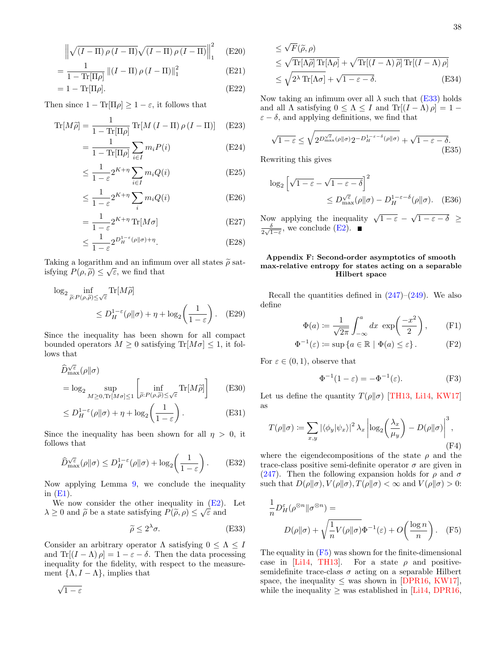$$
\left\| \sqrt{\left(I - \Pi\right) \rho \left(I - \Pi\right)} \sqrt{\left(I - \Pi\right) \rho \left(I - \Pi\right)} \right\|_{1}^{2} \quad \text{(E20)}
$$

$$
= \frac{1}{1 - \text{Tr}[\Pi \rho]} \left( (I - \Pi) \rho (I - \Pi) \right)_{1}^{2} \tag{E21}
$$

$$
=1-\text{Tr}[\Pi\rho].\tag{E22}
$$

Then since  $1 - \text{Tr}[\Pi \rho] \ge 1 - \varepsilon$ , it follows that

$$
\text{Tr}[M\tilde{\rho}] = \frac{1}{1 - \text{Tr}[\Pi\rho]} \text{Tr}[M(I - \Pi)\rho(I - \Pi)] \quad \text{(E23)}
$$

$$
=\frac{1}{1-\text{Tr}[\Pi\rho]}\sum_{i\in I}m_iP(i)
$$
 (E24)

$$
\leq \frac{1}{1-\varepsilon} 2^{K+\eta} \sum_{i \in I} m_i Q(i) \tag{E25}
$$

$$
\leq \frac{1}{1-\varepsilon} 2^{K+\eta} \sum_{i} m_i Q(i) \tag{E26}
$$

$$
=\frac{1}{1-\varepsilon}2^{K+\eta}\operatorname{Tr}[M\sigma]
$$
 (E27)

$$
\leq \frac{1}{1-\varepsilon} 2^{D_H^{1-\varepsilon}(\rho||\sigma)+\eta}.\tag{E28}
$$

Taking a logarithm and an infimum over all states  $\tilde{\rho}$  satisfying  $P(\rho, \tilde{\rho}) \leq \sqrt{\varepsilon}$ , we find that

$$
\log_2 \inf_{\tilde{\rho}: P(\rho, \tilde{\rho}) \le \sqrt{\varepsilon}} \text{Tr}[M\tilde{\rho}]
$$
  
\$\le D\_H^{1-\varepsilon}(\rho || \sigma) + \eta + \log\_2\left(\frac{1}{1-\varepsilon}\right). \quad (E29)\$

Since the inequality has been shown for all compact bounded operators  $M \geq 0$  satisfying  $\text{Tr}[M\sigma] \leq 1$ , it follows that

$$
\widehat{D}_{\max}^{\sqrt{\varepsilon}}(\rho||\sigma)
$$
\n
$$
= \log_2 \sup_{M \ge 0, \text{Tr}[M\sigma] \le 1} \left[ \inf_{\widetilde{\rho}: P(\rho, \widetilde{\rho}) \le \sqrt{\varepsilon}} \text{Tr}[M\widetilde{\rho}] \right] \tag{E30}
$$

$$
\leq D_H^{1-\varepsilon}(\rho \| \sigma) + \eta + \log_2\left(\frac{1}{1-\varepsilon}\right). \tag{E31}
$$

Since the inequality has been shown for all  $\eta > 0$ , it follows that

$$
\widehat{D}_{\max}^{\sqrt{\varepsilon}}(\rho \|\sigma) \le D_H^{1-\varepsilon}(\rho\|\sigma) + \log_2\left(\frac{1}{1-\varepsilon}\right). \tag{E32}
$$

Now applying Lemma [9,](#page-34-4) we conclude the inequality in  $(E1)$ .

We now consider the other inequality in  $(E2)$ . Let  $\lambda \geq 0$  and  $\tilde{\rho}$  be a state satisfying  $P(\tilde{\rho}, \rho) \leq \sqrt{\varepsilon}$  and

<span id="page-37-2"></span>
$$
\widetilde{\rho} \le 2^{\lambda} \sigma. \tag{E33}
$$

Consider an arbitrary operator  $\Lambda$  satisfying  $0 \leq \Lambda \leq I$ and  $\text{Tr}[(I - \Lambda)\rho] = 1 - \varepsilon - \delta$ . Then the data processing inequality for the fidelity, with respect to the measurement  $\{\Lambda, I - \Lambda\}$ , implies that

$$
\leq \sqrt{F}(\widetilde{\rho}, \rho)
$$
  
\n
$$
\leq \sqrt{\text{Tr}[\Lambda \widetilde{\rho}]\,\text{Tr}[\Lambda \rho]} + \sqrt{\text{Tr}[(I - \Lambda) \widetilde{\rho}]\,\text{Tr}[(I - \Lambda) \rho]}
$$
  
\n
$$
\leq \sqrt{2^{\lambda}\,\text{Tr}[\Lambda \sigma]} + \sqrt{1 - \varepsilon - \delta}.
$$
 (E34)

Now taking an infimum over all  $\lambda$  such that [\(E33\)](#page-37-2) holds and all  $\Lambda$  satisfying  $0 \leq \Lambda \leq I$  and  $\text{Tr}[(I - \Lambda)\rho] = 1 \varepsilon - \delta$ , and applying definitions, we find that

$$
\sqrt{1-\varepsilon} \le \sqrt{2^{D_{\text{max}}^{\sqrt{\varepsilon}}(\rho||\sigma)} 2^{-D_H^{1-\varepsilon-\delta}(\rho||\sigma)}} + \sqrt{1-\varepsilon-\delta}.
$$
\n(E35)

Rewriting this gives

$$
\log_2 \left[ \sqrt{1 - \varepsilon} - \sqrt{1 - \varepsilon - \delta} \right]^2
$$
  
\$\leq D\_{\max}^{\sqrt{\varepsilon}}(\rho || \sigma) - D\_H^{1 - \varepsilon - \delta}(\rho || \sigma).\$ (E36)

Now applying the inequality  $\sqrt{1-\varepsilon} - \sqrt{1-\varepsilon-\delta} \ge$ δ  $\frac{\delta}{2\sqrt{1-\varepsilon}}$ , we conclude [\(E2\)](#page-36-2).

# <span id="page-37-0"></span>Appendix F: Second-order asymptotics of smooth max-relative entropy for states acting on a separable Hilbert space

Recall the quantities defined in  $(247)$ – $(249)$ . We also define

$$
\Phi(a) := \frac{1}{\sqrt{2\pi}} \int_{-\infty}^{a} dx \exp\left(\frac{-x^2}{2}\right), \qquad \text{(F1)}
$$

$$
\Phi^{-1}(\varepsilon) := \sup \{ a \in \mathbb{R} \mid \Phi(a) \le \varepsilon \}. \tag{F2}
$$

For  $\varepsilon \in (0,1)$ , observe that

<span id="page-37-3"></span>
$$
\Phi^{-1}(1 - \varepsilon) = -\Phi^{-1}(\varepsilon). \tag{F3}
$$

Let us define the quantity  $T(\rho||\sigma)$  [\[TH13,](#page-28-7) [Li14,](#page-27-9) [KW17\]](#page-27-11) as

$$
T(\rho||\sigma) := \sum_{x,y} |\langle \phi_y | \psi_x \rangle|^2 \lambda_x \left| \log_2 \left( \frac{\lambda_x}{\mu_y} \right) - D(\rho||\sigma) \right|^3,
$$
\n(F4)

where the eigendecompositions of the state  $\rho$  and the trace-class positive semi-definite operator  $\sigma$  are given in [\(247\)](#page-21-6). Then the following expansion holds for  $\rho$  and  $\sigma$ such that  $D(\rho||\sigma), V(\rho||\sigma), T(\rho||\sigma) < \infty$  and  $V(\rho||\sigma) > 0$ :

<span id="page-37-1"></span>
$$
\frac{1}{n}D_H^{\varepsilon}(\rho^{\otimes n}||\sigma^{\otimes n}) =
$$
  
 
$$
D(\rho||\sigma) + \sqrt{\frac{1}{n}V(\rho||\sigma)}\Phi^{-1}(\varepsilon) + O\left(\frac{\log n}{n}\right).
$$
 (F5)

The equality in [\(F5\)](#page-37-1) was shown for the finite-dimensional case in [\[Li14,](#page-27-9) [TH13\]](#page-28-7). For a state  $\rho$  and positivesemidefinite trace-class  $\sigma$  acting on a separable Hilbert space, the inequality  $\leq$  was shown in [\[DPR16,](#page-26-17) [KW17\]](#page-27-11), while the inequality  $\geq$  was established in [\[Li14,](#page-27-9) [DPR16,](#page-26-17)

 $\sqrt{1-\varepsilon}$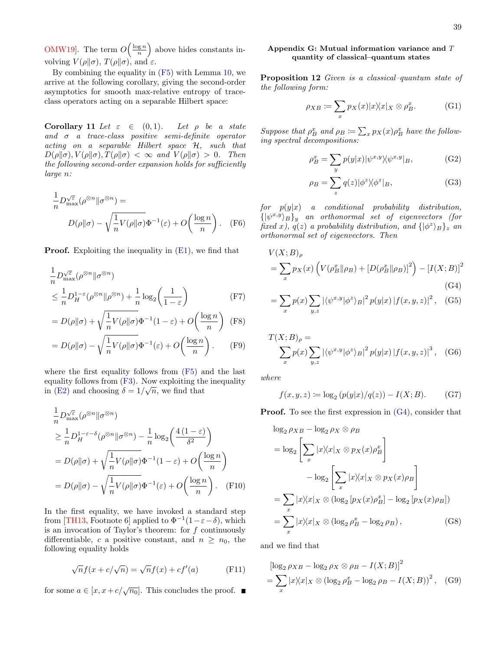[OMW19\]](#page-27-10). The term  $O\left(\frac{\log n}{n}\right)$  above hides constants involving  $V(\rho||\sigma)$ ,  $T(\rho||\sigma)$ , and  $\varepsilon$ .

By combining the equality in [\(F5\)](#page-37-1) with Lemma [10,](#page-36-3) we arrive at the following corollary, giving the second-order asymptotics for smooth max-relative entropy of traceclass operators acting on a separable Hilbert space:

<span id="page-38-1"></span>Corollary 11 Let  $\varepsilon \in (0,1)$ . Let  $\rho$  be a state and  $\sigma$  a trace-class positive semi-definite operator acting on a separable Hilbert space H, such that  $D(\rho||\sigma), V(\rho||\sigma), T(\rho||\sigma) < \infty$  and  $V(\rho||\sigma) > 0$ . Then the following second-order expansion holds for sufficiently large n:

$$
\frac{1}{n}D_{\max}^{\sqrt{\varepsilon}}(\rho^{\otimes n}||\sigma^{\otimes n}) =
$$
\n
$$
D(\rho||\sigma) - \sqrt{\frac{1}{n}V(\rho||\sigma)}\Phi^{-1}(\varepsilon) + O\left(\frac{\log n}{n}\right). \quad (F6)
$$

**Proof.** Exploiting the inequality in  $(E1)$ , we find that

$$
\frac{1}{n}D_{\max}^{\sqrt{\varepsilon}}(\rho^{\otimes n}||\sigma^{\otimes n})
$$
\n
$$
\leq \frac{1}{n}D_H^{1-\varepsilon}(\rho^{\otimes n}||\rho^{\otimes n}) + \frac{1}{n}\log_2\left(\frac{1}{1-\varepsilon}\right) \tag{F7}
$$

$$
= D(\rho||\sigma) + \sqrt{\frac{1}{n}V(\rho||\sigma)}\Phi^{-1}(1-\varepsilon) + O\left(\frac{\log n}{n}\right)
$$
 (F8)

$$
= D(\rho||\sigma) - \sqrt{\frac{1}{n}V(\rho||\sigma)}\Phi^{-1}(\varepsilon) + O\left(\frac{\log n}{n}\right). \tag{F9}
$$

where the first equality follows from [\(F5\)](#page-37-1) and the last equality follows from  $(F3)$ . Now exploiting the inequality in [\(E2\)](#page-36-2) and choosing  $\delta = 1/\sqrt{n}$ , we find that

$$
\frac{1}{n}D_{\max}^{\sqrt{\varepsilon}}(\rho^{\otimes n}||\sigma^{\otimes n})
$$
\n
$$
\geq \frac{1}{n}D_H^{1-\varepsilon-\delta}(\rho^{\otimes n}||\sigma^{\otimes n}) - \frac{1}{n}\log_2\left(\frac{4(1-\varepsilon)}{\delta^2}\right)
$$
\n
$$
= D(\rho||\sigma) + \sqrt{\frac{1}{n}V(\rho||\sigma)}\Phi^{-1}(1-\varepsilon) + O\left(\frac{\log n}{n}\right)
$$
\n
$$
= D(\rho||\sigma) - \sqrt{\frac{1}{n}V(\rho||\sigma)}\Phi^{-1}(\varepsilon) + O\left(\frac{\log n}{n}\right). \quad (F10)
$$

In the first equality, we have invoked a standard step from [\[TH13,](#page-28-7) Footnote 6] applied to  $\Phi^{-1}(1-\varepsilon-\delta)$ , which is an invocation of Taylor's theorem: for  $f$  continuously differentiable, c a positive constant, and  $n \geq n_0$ , the following equality holds

$$
\sqrt{n}f(x + c/\sqrt{n}) = \sqrt{n}f(x) + cf'(a)
$$
 (F11)

for some  $a \in [x, x + c/\sqrt{n_0}]$ . This concludes the proof.

# <span id="page-38-0"></span>Appendix G: Mutual information variance and T quantity of classical–quantum states

Proposition 12 Given is a classical–quantum state of the following form:

$$
\rho_{XB} := \sum_{x} p_X(x) |x\rangle\langle x|_X \otimes \rho_B^x. \tag{G1}
$$

Suppose that  $\rho_B^x$  and  $\rho_B \coloneqq \sum_x p_X(x) \rho_B^x$  have the following spectral decompositions:

$$
\rho_B^x = \sum_y p(y|x) |\psi^{x,y}\rangle\langle\psi^{x,y}|_B,\tag{G2}
$$

<span id="page-38-2"></span>
$$
\rho_B = \sum_z q(z) |\phi^z \rangle \langle \phi^z |_B,\tag{G3}
$$

 $for \quad p(y|x)$  a conditional probability distribution,  $\{|\psi^{x,y}\rangle_B\}_y$  an orthonormal set of eigenvectors (for fixed x),  $q(z)$  a probability distribution, and  $\{|\phi^z\rangle_B\}_z$  and orthonormal set of eigenvectors. Then

$$
V(X;B)_{\rho}
$$
  
=  $\sum_{x} p_X(x) \left( V(\rho_B^x || \rho_B) + [D(\rho_B^x || \rho_B)]^2 \right) - [I(X;B)]^2$   
(G4)

<span id="page-38-3"></span>
$$
= \sum_{x} p(x) \sum_{y,z} \left| \langle \psi^{x,y} | \phi^z \rangle_B \right|^2 p(y|x) \left| f(x,y,z) \right|^2, \quad \text{(G5)}
$$

$$
T(X;B)_{\rho} = \sum_{x} p(x) \sum_{y,z} |\langle \psi^{x,y} | \phi^z \rangle_B|^2 p(y|x) |f(x,y,z)|^3, \quad (G6)
$$

where

$$
f(x, y, z) := \log_2 (p(y|x)/q(z)) - I(X; B).
$$
 (G7)

**Proof.** To see the first expression in  $(G4)$ , consider that

$$
\log_2 \rho_{XB} - \log_2 \rho_X \otimes \rho_B
$$
  
=  $\log_2 \left[ \sum_x |x \rangle \langle x | X \otimes p_X(x) \rho_B^x \rangle \right]$   

$$
- \log_2 \left[ \sum_x |x \rangle \langle x | X \otimes p_X(x) \rho_B \rangle \right]
$$
  
=  $\sum_x |x \rangle \langle x | X \otimes (\log_2 [p_X(x) \rho_B^x] - \log_2 [p_X(x) \rho_B])$   
=  $\sum_x |x \rangle \langle x | X \otimes (\log_2 \rho_B^x - \log_2 \rho_B),$  (G8)

and we find that

$$
[\log_2 \rho_{XB} - \log_2 \rho_X \otimes \rho_B - I(X; B)]^2
$$
  
= 
$$
\sum_x |x\rangle\langle x|_X \otimes (\log_2 \rho_B^x - \log_2 \rho_B - I(X; B))^2
$$
, (G9)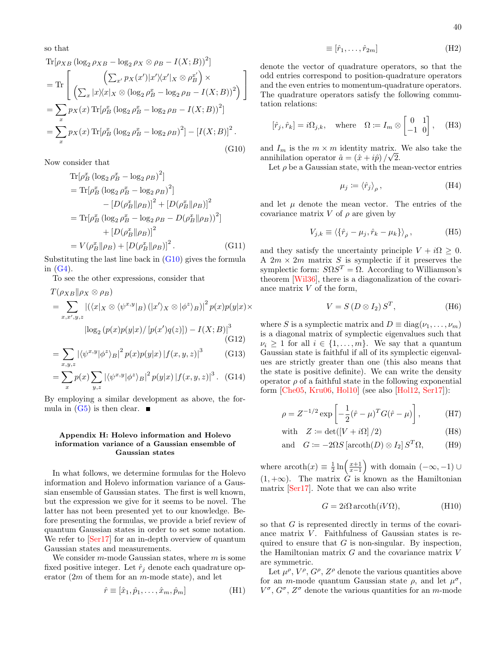so that

$$
\begin{split} &\text{Tr}[\rho_{XB} \left(\log_2 \rho_{XB} - \log_2 \rho_{X} \otimes \rho_B - I(X;B)\right)^2] \\ &= \text{Tr}\left[\begin{array}{c} \left(\sum_{x'} p_X(x')|x'\rangle \langle x'|_X \otimes \rho_B^{x'}\right) \times \\ \left(\sum_{x} |x\rangle \langle x|_X \otimes (\log_2 \rho_B^x - \log_2 \rho_B - I(X;B))^2\right) \end{array}\right] \\ &= \sum_{x} p_X(x) \text{Tr}[\rho_B^x \left(\log_2 \rho_B^x - \log_2 \rho_B - I(X;B)\right)^2] \\ &= \sum_{x} p_X(x) \text{Tr}[\rho_B^x \left(\log_2 \rho_B^x - \log_2 \rho_B\right)^2] - [I(X;B)]^2. \end{split} \tag{G10}
$$

Now consider that

$$
\begin{split} \text{Tr}[\rho_B^x (\log_2 \rho_B^x - \log_2 \rho_B)^2] \\ &= \text{Tr}[\rho_B^x (\log_2 \rho_B^x - \log_2 \rho_B)^2] \\ &- [D(\rho_B^x || \rho_B)]^2 + [D(\rho_B^x || \rho_B)]^2 \\ &= \text{Tr}[\rho_B^x (\log_2 \rho_B^x - \log_2 \rho_B - D(\rho_B^x || \rho_B))^2] \\ &+ [D(\rho_B^x || \rho_B)]^2 \\ &= V(\rho_B^x || \rho_B) + [D(\rho_B^x || \rho_B)]^2. \end{split} \tag{G11}
$$

Substituting the last line back in [\(G10\)](#page-39-1) gives the formula in  $(G4)$ .

To see the other expressions, consider that

$$
T(\rho_{XB}||\rho_X \otimes \rho_B)
$$
  
=  $\sum_{x,x',y,z} |(\langle x|x \otimes \langle \psi^{x,y}|_B) (|x'\rangle_X \otimes |\phi^z\rangle_B)|^2 p(x)p(y|x) \times$   

$$
|\log_2 (p(x)p(y|x) / [p(x')q(z)]) - I(X;B)|^3
$$
(G12)

$$
= \sum_{x,y,z} |\langle \psi^{x,y} | \phi^z \rangle_B|^2 p(x) p(y|x) |f(x,y,z)|^3 \qquad \text{(G13)}
$$

$$
= \sum_{x} p(x) \sum_{y,z} |\langle \psi^{x,y} | \phi^z \rangle_B|^2 p(y|x) |f(x,y,z)|^3. \quad (G14)
$$

By employing a similar development as above, the formula in  $(G5)$  is then clear.  $\blacksquare$ 

## <span id="page-39-0"></span>Appendix H: Holevo information and Holevo information variance of a Gaussian ensemble of Gaussian states

In what follows, we determine formulas for the Holevo information and Holevo information variance of a Gaussian ensemble of Gaussian states. The first is well known, but the expression we give for it seems to be novel. The latter has not been presented yet to our knowledge. Before presenting the formulas, we provide a brief review of quantum Gaussian states in order to set some notation. We refer to  $\lceil \text{Ser17} \rceil$  for an in-depth overview of quantum Gaussian states and measurements.

We consider  $m$ -mode Gaussian states, where  $m$  is some fixed positive integer. Let  $\hat{r}_i$  denote each quadrature operator  $(2m)$  of them for an m-mode state), and let

$$
\hat{r} \equiv [\hat{x}_1, \hat{p}_1, \dots, \hat{x}_m, \hat{p}_m]
$$
(H1)

denote the vector of quadrature operators, so that the odd entries correspond to position-quadrature operators and the even entries to momentum-quadrature operators. The quadrature operators satisfy the following commutation relations:

$$
[\hat{r}_j, \hat{r}_k] = i\Omega_{j,k}, \quad \text{where} \quad \Omega := I_m \otimes \begin{bmatrix} 0 & 1 \\ -1 & 0 \end{bmatrix}, \quad \text{(H3)}
$$

<span id="page-39-1"></span>and  $I_m$  is the  $m \times m$  identity matrix. We also take the annihilation operator  $\hat{a} = (\hat{x} + i\hat{p})/\sqrt{2}$ .

Let  $\rho$  be a Gaussian state, with the mean-vector entries

$$
\mu_j := \langle \hat{r}_j \rangle_{\rho},\tag{H4}
$$

and let  $\mu$  denote the mean vector. The entries of the covariance matrix V of  $\rho$  are given by

$$
V_{j,k} \equiv \langle \{\hat{r}_j - \mu_j, \hat{r}_k - \mu_k\} \rangle_{\rho}, \tag{H5}
$$

and they satisfy the uncertainty principle  $V + i\Omega \geq 0$ . A  $2m \times 2m$  matrix S is symplectic if it preserves the symplectic form:  $S\Omega S^{T} = \Omega$ . According to Williamson's theorem [\[Wil36\]](#page-29-21), there is a diagonalization of the covariance matrix V of the form,

$$
V = S(D \otimes I_2) S^T, \tag{H6}
$$

where S is a symplectic matrix and  $D \equiv \text{diag}(\nu_1, \dots, \nu_m)$ is a diagonal matrix of symplectic eigenvalues such that  $\nu_i \geq 1$  for all  $i \in \{1, \ldots, m\}$ . We say that a quantum Gaussian state is faithful if all of its symplectic eigenvalues are strictly greater than one (this also means that the state is positive definite). We can write the density operator  $\rho$  of a faithful state in the following exponential form [\[Che05,](#page-25-29) [Kru06,](#page-27-28) [Hol10\]](#page-26-28) (see also [\[Hol12,](#page-26-29) [Ser17\]](#page-28-19)):

$$
\rho = Z^{-1/2} \exp \left[ -\frac{1}{2} (\hat{r} - \mu)^T G (\hat{r} - \mu) \right],
$$
 (H7)

with 
$$
Z := det([V + i\Omega] / 2)
$$
 (H8)

and 
$$
G := -2\Omega S \left[ \operatorname{arcoth}(D) \otimes I_2 \right] S^T \Omega,
$$
 (H9)

where  $\operatorname{arcoth}(x) \equiv \frac{1}{2} \ln \left( \frac{x+1}{x-1} \right)$ ) with domain  $(-\infty, -1) \cup$  $(1, +\infty)$ . The matrix G is known as the Hamiltonian matrix [\[Ser17\]](#page-28-19). Note that we can also write

$$
G = 2i\Omega \operatorname{arcoth}(iV\Omega),\tag{H10}
$$

so that G is represented directly in terms of the covariance matrix  $V$ . Faithfulness of Gaussian states is required to ensure that  $G$  is non-singular. By inspection, the Hamiltonian matrix  $G$  and the covariance matrix  $V$ are symmetric.

Let  $\mu^{\rho}, V^{\rho}, G^{\rho}, Z^{\rho}$  denote the various quantities above for an *m*-mode quantum Gaussian state  $\rho$ , and let  $\mu^{\sigma}$ ,  $V^{\sigma}$ ,  $G^{\sigma}$ ,  $Z^{\sigma}$  denote the various quantities for an m-mode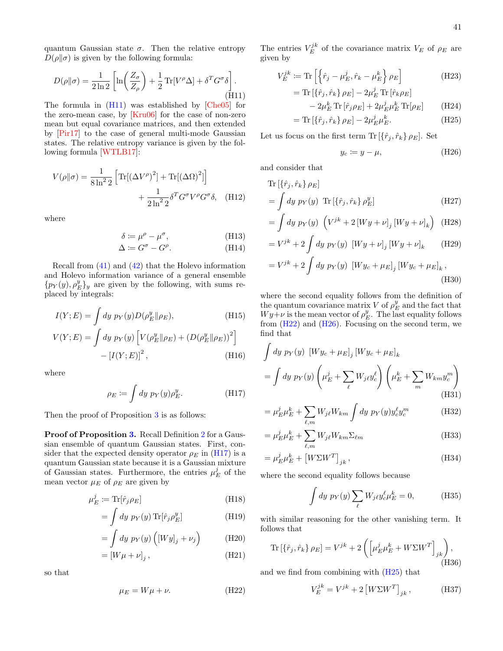quantum Gaussian state  $\sigma$ . Then the relative entropy  $D(\rho||\sigma)$  is given by the following formula:

<span id="page-40-0"></span>
$$
D(\rho||\sigma) = \frac{1}{2\ln 2} \left[ \ln \left( \frac{Z_{\sigma}}{Z_{\rho}} \right) + \frac{1}{2} \operatorname{Tr}[V^{\rho} \Delta] + \delta^{T} G^{\sigma} \delta \right].
$$
\n(H11)

The formula in [\(H11\)](#page-40-0) was established by [\[Che05\]](#page-25-29) for the zero-mean case, by [\[Kru06\]](#page-27-28) for the case of non-zero mean but equal covariance matrices, and then extended by [\[Pir17\]](#page-28-34) to the case of general multi-mode Gaussian states. The relative entropy variance is given by the following formula [\[WTLB17\]](#page-29-22):

$$
V(\rho||\sigma) = \frac{1}{8 \ln^2 2} \left[ \text{Tr}[(\Delta V^\rho)^2] + \text{Tr}[(\Delta \Omega)^2] \right] + \frac{1}{2 \ln^2 2} \delta^T G^\sigma V^\rho G^\sigma \delta, \quad (H12)
$$

where

$$
\delta \coloneqq \mu^{\rho} - \mu^{\sigma},\tag{H13}
$$

$$
\Delta \coloneqq G^{\sigma} - G^{\rho}.\tag{H14}
$$

Recall from [\(41\)](#page-7-2) and [\(42\)](#page-7-3) that the Holevo information and Holevo information variance of a general ensemble  ${p_Y(y), p_E^y}_y$  are given by the following, with sums replaced by integrals:

$$
I(Y; E) = \int dy \ p_Y(y) D(\rho_E^y || \rho_E),
$$
 (H15)  

$$
V(Y; E) = \int dy \ p_Y(y) \left[ V(\rho_E^y || \rho_E) + (D(\rho_E^y || \rho_E))^2 \right]
$$

$$
- [I(Y; E)]^2,
$$
 (H16)

where

<span id="page-40-1"></span>
$$
\rho_E := \int dy \ p_Y(y) \rho_E^y. \tag{H17}
$$

Then the proof of Proposition [3](#page-14-0) is as follows:

Proof of Proposition [3.](#page-14-0) Recall Definition [2](#page-14-1) for a Gaussian ensemble of quantum Gaussian states. First, consider that the expected density operator  $\rho_E$  in [\(H17\)](#page-40-1) is a quantum Gaussian state because it is a Gaussian mixture of Gaussian states. Furthermore, the entries  $\mu_E^j$  of the mean vector  $\mu_E$  of  $\rho_E$  are given by

$$
\mu_E^j := \text{Tr}[\hat{r}_j \rho_E] \tag{H18}
$$

$$
= \int dy \, p_Y(y) \, \text{Tr}[\hat{r}_j \rho_E^y] \tag{H19}
$$

$$
= \int dy \, p_Y(y) \left( [Wy]_j + \nu_j \right) \tag{H20}
$$

$$
= [W\mu + \nu]_j , \qquad (H21)
$$

so that

<span id="page-40-2"></span>
$$
\mu_E = W\mu + \nu. \tag{H22}
$$

The entries  $V_E^{jk}$  of the covariance matrix  $V_E$  of  $\rho_E$  are given by

$$
V_E^{jk} := \text{Tr}\left[\left\{\hat{r}_j - \mu_E^j, \hat{r}_k - \mu_E^k\right\} \rho_E\right]
$$
  
= 
$$
\text{Tr}\left[\left\{\hat{r}_j, \hat{r}_k\right\} \rho_E\right] - 2\mu_E^j \text{Tr}\left[\hat{r}_k \rho_E\right]
$$
 (H23)

$$
-2\mu_E^k \operatorname{Tr}\left[\hat{r}_j \rho_E\right] + 2\mu_E^j \mu_E^k \operatorname{Tr}[\rho_E] \tag{H24}
$$

$$
= \text{Tr}\left[\{\hat{r}_j, \hat{r}_k\} \,\rho_E\right] - 2\mu_E^j \mu_E^k. \tag{H25}
$$

Let us focus on the first term  $\text{Tr} \left[ \{ \hat{r}_j, \hat{r}_k \} \rho_E \right]$ . Set

<span id="page-40-4"></span><span id="page-40-3"></span>
$$
y_c \coloneqq y - \mu,\tag{H26}
$$

<span id="page-40-5"></span>and consider that

$$
\text{Tr}\left[\{\hat{r}_j, \hat{r}_k\} \rho_E\right] \n= \int dy \ p_Y(y) \text{ Tr}\left[\{\hat{r}_j, \hat{r}_k\} \rho_E^y\right]
$$
\n(H27)

$$
= \int dy \, p_Y(y) \, \left( V^{jk} + 2 \left[ Wy + \nu \right]_j \left[ Wy + \nu \right]_k \right) \, \text{(H28)}
$$

$$
= V^{jk} + 2 \int dy \, p_Y(y) \, [Wy + \nu]_j \, [Wy + \nu]_k \qquad \text{(H29)}
$$

$$
= V^{jk} + 2 \int dy \, p_Y(y) \, [W y_c + \mu_E]_j [W y_c + \mu_E]_k ,
$$
\n(H30)

where the second equality follows from the definition of the quantum covariance matrix V of  $\rho_E^y$  and the fact that  $Wy+\nu$  is the mean vector of  $\rho_E^y$ . The last equality follows from  $(H22)$  and  $(H26)$ . Focusing on the second term, we find that

$$
\int dy \, p_Y(y) \, [W y_c + \mu_E]_j \, [W y_c + \mu_E]_k
$$
\n
$$
= \int dy \, p_Y(y) \left( \mu_E^j + \sum_{\ell} W_j \ell y_c^{\ell} \right) \left( \mu_E^k + \sum_m W_{km} y_c^m \right)
$$
\n(H31)

$$
= \mu_E^j \mu_E^k + \sum_{\ell,m} W_{j\ell} W_{km} \int dy \ p_Y(y) y_c^{\ell} y_c^m \tag{H32}
$$

$$
= \mu_E^j \mu_E^k + \sum_{\ell,m} W_{j\ell} W_{km} \Sigma_{\ell m}
$$
 (H33)

$$
= \mu_E^j \mu_E^k + \left[W \Sigma W^T\right]_{jk},\tag{H34}
$$

where the second equality follows because

$$
\int dy \, p_Y(y) \sum_{\ell} W_{j\ell} y_{c\ell}^{\ell} \mu_E^k = 0, \tag{H35}
$$

with similar reasoning for the other vanishing term. It follows that

$$
\text{Tr}\left[\{\hat{r}_j, \hat{r}_k\} \,\rho_E\right] = V^{jk} + 2\left(\left[\mu_E^j \mu_E^k + W\Sigma W^T\right]_{jk}\right),\tag{H36}
$$

and we find from combining with [\(H25\)](#page-40-4) that

$$
V_E^{jk} = V^{jk} + 2 \left[ W\Sigma W^T \right]_{jk}, \tag{H37}
$$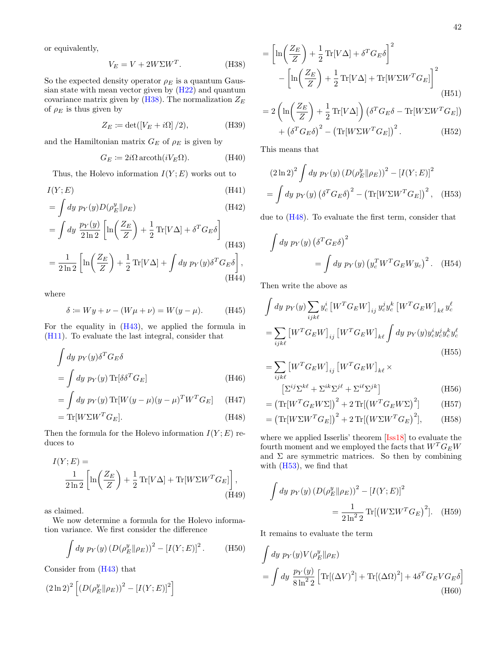or equivalently,

<span id="page-41-0"></span>
$$
V_E = V + 2W\Sigma W^T. \tag{H38}
$$

So the expected density operator  $\rho_E$  is a quantum Gaussian state with mean vector given by [\(H22\)](#page-40-2) and quantum covariance matrix given by  $(H38)$ . The normalization  $Z_E$ of  $\rho_E$  is thus given by

$$
Z_E \coloneqq \det([V_E + i\Omega] / 2), \tag{H39}
$$

and the Hamiltonian matrix  $G_E$  of  $\rho_E$  is given by

$$
G_E := 2i\Omega \operatorname{arcoth}(iV_E \Omega). \tag{H40}
$$

Thus, the Holevo information  $I(Y; E)$  works out to

$$
I(Y; E) \tag{H41}
$$

$$
= \int dy \ p_Y(y) D(\rho_E^y || \rho_E)
$$
\n(H42)\n
$$
= \int dy \ \frac{p_Y(y)}{2 \ln 2} \left[ \ln \left( \frac{Z_E}{Z} \right) + \frac{1}{2} \text{Tr}[V \Delta] + \delta^T G_E \delta \right]
$$
\n(H43)\n
$$
= \frac{1}{2 \ln 2} \left[ \ln \left( \frac{Z_E}{Z} \right) + \frac{1}{2} \text{Tr}[V \Delta] + \int dy \ p_Y(y) \delta^T G_E \delta \right],
$$

$$
= \frac{1}{2\ln 2} \left[ \ln \left( \frac{Z_E}{Z} \right) + \frac{1}{2} \operatorname{Tr}[V\Delta] + \int dy \ p_Y(y) \delta^T G_E \delta \right],\tag{H44}
$$

where

$$
\delta := Wy + \nu - (W\mu + \nu) = W(y - \mu). \tag{H45}
$$

For the equality in [\(H43\)](#page-41-1), we applied the formula in [\(H11\)](#page-40-0). To evaluate the last integral, consider that

$$
\int dy \, p_Y(y) \delta^T G_E \delta
$$
\n
$$
= \int dy \, p_Y(y) \, \text{Tr}[\delta \delta^T G_E]
$$
\n(H46)

$$
= \int dy \, p_Y(y) \operatorname{Tr}[W(y-\mu)(y-\mu)^T W^T G_E] \qquad \text{(H47)}
$$

$$
= \text{Tr}[W\Sigma W^T G_E]. \tag{H48}
$$

Then the formula for the Holevo information  $I(Y;E)$  reduces to

$$
I(Y; E) =
$$
  
\n
$$
\frac{1}{2 \ln 2} \left[ \ln \left( \frac{Z_E}{Z} \right) + \frac{1}{2} \operatorname{Tr}[V \Delta] + \operatorname{Tr}[W \Sigma W^T G_E] \right],
$$
  
\n(H49)

as claimed.

We now determine a formula for the Holevo information variance. We first consider the difference

$$
\int dy \, p_Y(y) \left( D(\rho_E^y || \rho_E) \right)^2 - [I(Y; E)]^2. \tag{H50}
$$

Consider from [\(H43\)](#page-41-1) that

$$
\left(2\ln2\right)^2\left[\left(D(\rho_E^y\|\rho_E)\right)^2-\left[I(Y;E)\right]^2\right]
$$

$$
= \left[\ln\left(\frac{Z_E}{Z}\right) + \frac{1}{2}\operatorname{Tr}[V\Delta] + \delta^T G_E \delta\right]^2
$$

$$
- \left[\ln\left(\frac{Z_E}{Z}\right) + \frac{1}{2}\operatorname{Tr}[V\Delta] + \operatorname{Tr}[W\Sigma W^T G_E]\right]^2
$$
(H51)

$$
=2\left(\ln\left(\frac{Z_E}{Z}\right)+\frac{1}{2}\operatorname{Tr}[V\Delta]\right)\left(\delta^T G_E \delta - \operatorname{Tr}[W\Sigma W^T G_E]\right) + \left(\delta^T G_E \delta\right)^2 - \left(\operatorname{Tr}[W\Sigma W^T G_E]\right)^2.
$$
 (H52)

This means that

<span id="page-41-3"></span>
$$
(2\ln 2)^{2} \int dy \, p_{Y}(y) \left(D(\rho_{E}^{y}||\rho_{E})\right)^{2} - \left[I(Y;E)\right]^{2}
$$

$$
= \int dy \, p_{Y}(y) \left(\delta^{T} G_{E} \delta\right)^{2} - \left(\text{Tr}[W\Sigma W^{T} G_{E}]\right)^{2}, \quad (H53)
$$

<span id="page-41-1"></span>due to [\(H48\)](#page-41-2). To evaluate the first term, consider that

$$
\int dy \, p_Y(y) \left(\delta^T G_E \delta\right)^2
$$

$$
= \int dy \, p_Y(y) \left(y_c^T W^T G_E W y_c\right)^2. \quad \text{(H54)}
$$

Then write the above as

$$
\int dy \, p_Y(y) \sum_{ijk\ell} y_c^i \left[ W^T G_E W \right]_{ij} y_c^j y_c^k \left[ W^T G_E W \right]_{k\ell} y_c^\ell
$$
\n
$$
= \sum_{ijk\ell} \left[ W^T G_E W \right]_{ij} \left[ W^T G_E W \right]_{k\ell} \int dy \, p_Y(y) y_c^i y_c^j y_c^k y_c^\ell
$$
\n(H55)

$$
= \sum_{ijk\ell} \left[ W^T G_E W \right]_{ij} \left[ W^T G_E W \right]_{k\ell} \times
$$
  

$$
\left[ \Sigma^{ij} \Sigma^{k\ell} + \Sigma^{ik} \Sigma^{j\ell} + \Sigma^{i\ell} \Sigma^{jk} \right]
$$
 (H56)

$$
= \left(\text{Tr}[W^T G_E W \Sigma]\right)^2 + 2 \text{Tr}[(W^T G_E W \Sigma)^2] \tag{H57}
$$

<span id="page-41-2"></span>
$$
= \left(\text{Tr}[W\Sigma W^T G_E]\right)^2 + 2 \text{Tr}[(W\Sigma W^T G_E)^2], \quad \text{(H58)}
$$

where we applied Isserlis' theorem [\[Iss18\]](#page-26-30) to evaluate the fourth moment and we employed the facts that  $W^T G_E W$ and  $\Sigma$  are symmetric matrices. So then by combining with  $(H53)$ , we find that

$$
\int dy \, p_Y(y) \left( D(\rho_E^y || \rho_E) \right)^2 - [I(Y; E)]^2
$$

$$
= \frac{1}{2 \ln^2 2} \text{Tr}[(W\Sigma W^T G_E)^2]. \quad \text{(H59)}
$$

It remains to evaluate the term

$$
\int dy \, p_Y(y) V(\rho_E^y || \rho_E)
$$
  
= 
$$
\int dy \, \frac{p_Y(y)}{8 \ln^2 2} \left[ \text{Tr}[(\Delta V)^2] + \text{Tr}[(\Delta \Omega)^2] + 4 \delta^T G_E V G_E \delta \right]
$$
(H60)